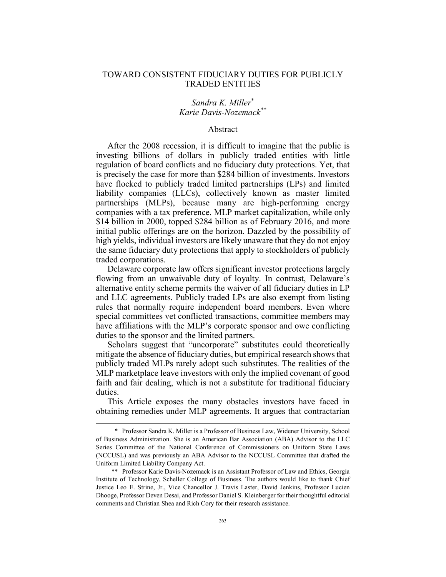## TOWARD CONSISTENT FIDUCIARY DUTIES FOR PUBLICLY TRADED ENTITIES

## *Sandra K. Miller*\* *Karie Davis-Nozemack\*\**

#### Abstract

After the 2008 recession, it is difficult to imagine that the public is investing billions of dollars in publicly traded entities with little regulation of board conflicts and no fiduciary duty protections. Yet, that is precisely the case for more than \$284 billion of investments. Investors have flocked to publicly traded limited partnerships (LPs) and limited liability companies (LLCs), collectively known as master limited partnerships (MLPs), because many are high-performing energy companies with a tax preference. MLP market capitalization, while only \$14 billion in 2000, topped \$284 billion as of February 2016, and more initial public offerings are on the horizon. Dazzled by the possibility of high yields, individual investors are likely unaware that they do not enjoy the same fiduciary duty protections that apply to stockholders of publicly traded corporations.

Delaware corporate law offers significant investor protections largely flowing from an unwaivable duty of loyalty. In contrast, Delaware's alternative entity scheme permits the waiver of all fiduciary duties in LP and LLC agreements. Publicly traded LPs are also exempt from listing rules that normally require independent board members. Even where special committees vet conflicted transactions, committee members may have affiliations with the MLP's corporate sponsor and owe conflicting duties to the sponsor and the limited partners.

Scholars suggest that "uncorporate" substitutes could theoretically mitigate the absence of fiduciary duties, but empirical research shows that publicly traded MLPs rarely adopt such substitutes. The realities of the MLP marketplace leave investors with only the implied covenant of good faith and fair dealing, which is not a substitute for traditional fiduciary duties.

This Article exposes the many obstacles investors have faced in obtaining remedies under MLP agreements. It argues that contractarian

 <sup>\*</sup> Professor Sandra K. Miller is a Professor of Business Law, Widener University, School of Business Administration. She is an American Bar Association (ABA) Advisor to the LLC Series Committee of the National Conference of Commissioners on Uniform State Laws (NCCUSL) and was previously an ABA Advisor to the NCCUSL Committee that drafted the Uniform Limited Liability Company Act.

 <sup>\*\*</sup> Professor Karie Davis-Nozemack is an Assistant Professor of Law and Ethics, Georgia Institute of Technology, Scheller College of Business. The authors would like to thank Chief Justice Leo E. Strine, Jr., Vice Chancellor J. Travis Laster, David Jenkins, Professor Lucien Dhooge, Professor Deven Desai, and Professor Daniel S. Kleinberger for their thoughtful editorial comments and Christian Shea and Rich Cory for their research assistance.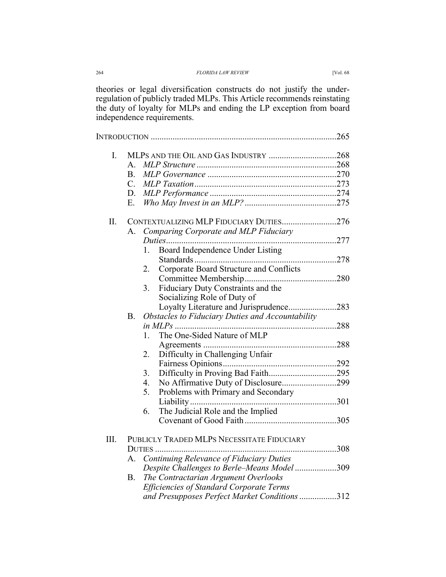| 264 | <b>FLORIDA LAW REVIEW</b>                                                       | Vol. 68 |
|-----|---------------------------------------------------------------------------------|---------|
|     | the contract of the contract of the contract of the contract of the contract of |         |

theories or legal diversification constructs do not justify the underregulation of publicly traded MLPs. This Article recommends reinstating the duty of loyalty for MLPs and ending the LP exception from board independence requirements.

| I.   |              |                                                  |  |
|------|--------------|--------------------------------------------------|--|
|      | $\mathsf{A}$ |                                                  |  |
|      | <b>B.</b>    |                                                  |  |
|      | $C_{\cdot}$  |                                                  |  |
|      | D.           |                                                  |  |
|      | Ε.           |                                                  |  |
| Π.   |              | CONTEXTUALIZING MLP FIDUCIARY DUTIES276          |  |
|      | А.           | Comparing Corporate and MLP Fiduciary            |  |
|      |              |                                                  |  |
|      |              | Board Independence Under Listing<br>1.           |  |
|      |              |                                                  |  |
|      |              | Corporate Board Structure and Conflicts<br>2.    |  |
|      |              |                                                  |  |
|      |              | Fiduciary Duty Constraints and the<br>3.         |  |
|      |              | Socializing Role of Duty of                      |  |
|      |              | Loyalty Literature and Jurisprudence283          |  |
|      | <b>B.</b>    | Obstacles to Fiduciary Duties and Accountability |  |
|      |              |                                                  |  |
|      |              | The One-Sided Nature of MLP<br>1.                |  |
|      |              |                                                  |  |
|      |              | Difficulty in Challenging Unfair<br>2.           |  |
|      |              |                                                  |  |
|      |              | 3.                                               |  |
|      |              | No Affirmative Duty of Disclosure299<br>4.       |  |
|      |              | Problems with Primary and Secondary<br>5.        |  |
|      |              |                                                  |  |
|      |              | The Judicial Role and the Implied<br>6.          |  |
|      |              |                                                  |  |
| III. |              | PUBLICLY TRADED MLPS NECESSITATE FIDUCIARY       |  |
|      |              | <b>DUTIES</b>                                    |  |
|      | A.           | Continuing Relevance of Fiduciary Duties         |  |
|      |              | Despite Challenges to Berle-Means Model 309      |  |
|      | Β.           | The Contractarian Argument Overlooks             |  |
|      |              | <b>Efficiencies of Standard Corporate Terms</b>  |  |
|      |              | and Presupposes Perfect Market Conditions 312    |  |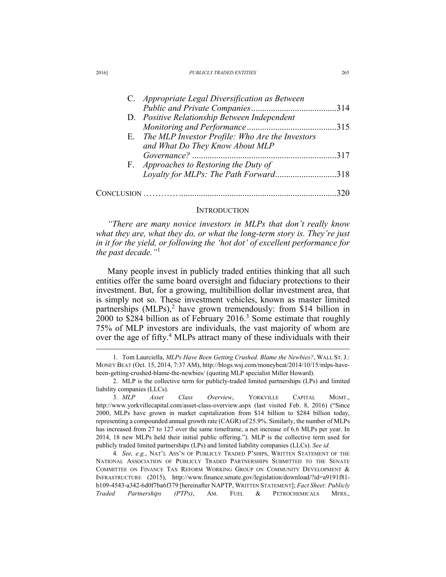| C. Appropriate Legal Diversification as Between    |     |
|----------------------------------------------------|-----|
|                                                    | 314 |
| D. Positive Relationship Between Independent       |     |
|                                                    | 315 |
| E. The MLP Investor Profile: Who Are the Investors |     |
| and What Do They Know About MLP                    |     |
|                                                    | 317 |
| F. Approaches to Restoring the Duty of             |     |
| Loyalty for MLPs: The Path Forward318              |     |
|                                                    |     |
|                                                    |     |

#### INTRODUCTION

*"There are many novice investors in MLPs that don't really know what they are, what they do, or what the long-term story is. They're just in it for the yield, or following the 'hot dot' of excellent performance for the past decade."*<sup>1</sup>

Many people invest in publicly traded entities thinking that all such entities offer the same board oversight and fiduciary protections to their investment. But, for a growing, multibillion dollar investment area, that is simply not so. These investment vehicles, known as master limited partnerships (MLPs),<sup>2</sup> have grown tremendously: from \$14 billion in  $2000$  to \$284 billion as of February 2016.<sup>3</sup> Some estimate that roughly 75% of MLP investors are individuals, the vast majority of whom are over the age of fifty.<sup>4</sup> MLPs attract many of these individuals with their

 <sup>1.</sup> Tom Laurciella, *MLPs Have Been Getting Crushed. Blame the Newbies?*, WALL ST. J.: MONEY BEAT (Oct. 15, 2014, 7:37 AM), http://blogs.wsj.com/moneybeat/2014/10/15/mlps-havebeen-getting-crushed-blame-the-newbies/ (quoting MLP specialist Miller Howard).

 <sup>2.</sup> MLP is the collective term for publicly-traded limited partnerships (LPs) and limited liability companies (LLCs).

 <sup>3.</sup> *MLP Asset Class Overview*, YORKVILLE CAPITAL MGMT., http://www.yorkvillecapital.com/asset-class-overview.aspx (last visited Feb. 8, 2016) ("Since 2000, MLPs have grown in market capitalization from \$14 billion to \$284 billion today, representing a compounded annual growth rate (CAGR) of 25.9%. Similarly, the number of MLPs has increased from 27 to 127 over the same timeframe, a net increase of 6.6 MLPs per year. In 2014, 18 new MLPs held their initial public offering."). MLP is the collective term used for publicly traded limited partnerships (LPs) and limited liability companies (LLCs). *See id.*

<sup>4</sup>*. See, e.g.*, NAT'L ASS'N OF PUBLICLY TRADED P'SHIPS, WRITTEN STATEMENT OF THE NATIONAL ASSOCIATION OF PUBLICLY TRADED PARTNERSHIPS SUBMITTED TO THE SENATE COMMITTEE ON FINANCE TAX REFORM WORKING GROUP ON COMMUNITY DEVELOPMENT & INFRASTRUCTURE (2015), http://www.finance.senate.gov/legislation/download/?id=a9191f81 b109-4543-a342-6d0f7ba6f379 [hereinafter NAPTP, WRITTEN STATEMENT]; *Fact Sheet: Publicly Traded Partnerships (PTPs)*, AM. FUEL & PETROCHEMICALS MFRS.,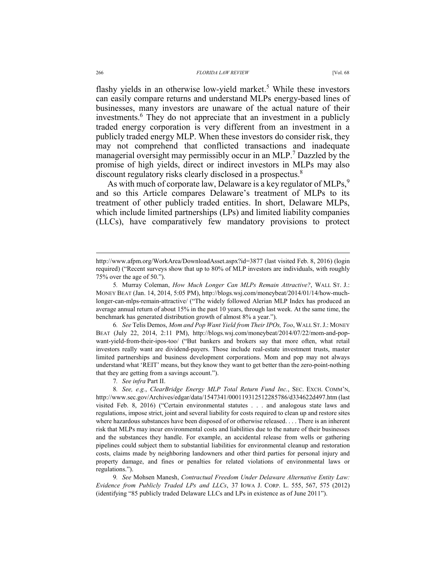flashy yields in an otherwise low-yield market.<sup>5</sup> While these investors can easily compare returns and understand MLPs energy-based lines of businesses, many investors are unaware of the actual nature of their investments.6 They do not appreciate that an investment in a publicly traded energy corporation is very different from an investment in a publicly traded energy MLP. When these investors do consider risk, they may not comprehend that conflicted transactions and inadequate managerial oversight may permissibly occur in an MLP.<sup>7</sup> Dazzled by the promise of high yields, direct or indirect investors in MLPs may also discount regulatory risks clearly disclosed in a prospectus.<sup>8</sup>

As with much of corporate law, Delaware is a key regulator of MLPs, $9$ and so this Article compares Delaware's treatment of MLPs to its treatment of other publicly traded entities. In short, Delaware MLPs, which include limited partnerships (LPs) and limited liability companies (LLCs), have comparatively few mandatory provisions to protect

6*. See* Telis Demos, *Mom and Pop Want Yield from Their IPOs, Too*, WALL ST.J.: MONEY BEAT (July 22, 2014, 2:11 PM), http://blogs.wsj.com/moneybeat/2014/07/22/mom-and-popwant-yield-from-their-ipos-too/ ("But bankers and brokers say that more often, what retail investors really want are dividend-payers. Those include real-estate investment trusts, master limited partnerships and business development corporations. Mom and pop may not always understand what 'REIT' means, but they know they want to get better than the zero-point-nothing that they are getting from a savings account.").

7*. See infra* Part II.

9*. See* Mohsen Manesh, *Contractual Freedom Under Delaware Alternative Entity Law: Evidence from Publicly Traded LPs and LLCs*, 37 IOWA J. CORP. L. 555, 567, 575 (2012) (identifying "85 publicly traded Delaware LLCs and LPs in existence as of June 2011").

http://www.afpm.org/WorkArea/DownloadAsset.aspx?id=3877 (last visited Feb. 8, 2016) (login required) ("Recent surveys show that up to 80% of MLP investors are individuals, with roughly 75% over the age of 50.").

<sup>5</sup>*.* Murray Coleman, *How Much Longer Can MLPs Remain Attractive?*, WALL ST. J.: MONEY BEAT (Jan. 14, 2014, 5:05 PM), http://blogs.wsj.com/moneybeat/2014/01/14/how-muchlonger-can-mlps-remain-attractive/ ("The widely followed Alerian MLP Index has produced an average annual return of about 15% in the past 10 years, through last week. At the same time, the benchmark has generated distribution growth of almost 8% a year.").

<sup>8</sup>*. See, e.g.*, *ClearBridge Energy MLP Total Return Fund Inc.*, SEC. EXCH. COMM'N, http://www.sec.gov/Archives/edgar/data/1547341/000119312512285786/d334622d497.htm (last visited Feb. 8, 2016) ("Certain environmental statutes . . . and analogous state laws and regulations, impose strict, joint and several liability for costs required to clean up and restore sites where hazardous substances have been disposed of or otherwise released. . . . There is an inherent risk that MLPs may incur environmental costs and liabilities due to the nature of their businesses and the substances they handle. For example, an accidental release from wells or gathering pipelines could subject them to substantial liabilities for environmental cleanup and restoration costs, claims made by neighboring landowners and other third parties for personal injury and property damage, and fines or penalties for related violations of environmental laws or regulations.").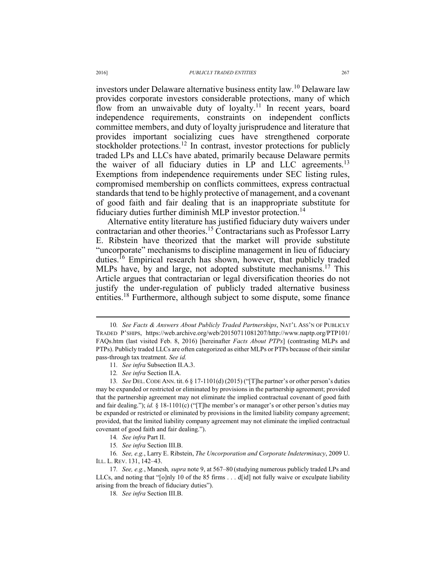investors under Delaware alternative business entity law.10 Delaware law provides corporate investors considerable protections, many of which flow from an unwaivable duty of loyalty.<sup>11</sup> In recent years, board independence requirements, constraints on independent conflicts committee members, and duty of loyalty jurisprudence and literature that provides important socializing cues have strengthened corporate stockholder protections.<sup>12</sup> In contrast, investor protections for publicly traded LPs and LLCs have abated, primarily because Delaware permits the waiver of all fiduciary duties in LP and LLC agreements.<sup>13</sup> Exemptions from independence requirements under SEC listing rules, compromised membership on conflicts committees, express contractual standards that tend to be highly protective of management, and a covenant of good faith and fair dealing that is an inappropriate substitute for fiduciary duties further diminish MLP investor protection.<sup>14</sup>

Alternative entity literature has justified fiduciary duty waivers under contractarian and other theories.<sup>15</sup> Contractarians such as Professor Larry E. Ribstein have theorized that the market will provide substitute "uncorporate" mechanisms to discipline management in lieu of fiduciary duties.16 Empirical research has shown, however, that publicly traded MLPs have, by and large, not adopted substitute mechanisms.<sup>17</sup> This Article argues that contractarian or legal diversification theories do not justify the under-regulation of publicly traded alternative business entities.18 Furthermore, although subject to some dispute, some finance

16*. See, e.g.*, Larry E. Ribstein, *The Uncorporation and Corporate Indeterminacy*, 2009 U. ILL. L. REV. 131, 142–43.

 <sup>10</sup>*. See Facts & Answers About Publicly Traded Partnerships*, NAT'L ASS'N OF PUBLICLY TRADED P'SHIPS, https://web.archive.org/web/20150711081207/http://www.naptp.org/PTP101/ FAQs.htm (last visited Feb. 8, 2016) [hereinafter *Facts About PTPs*] (contrasting MLPs and PTPs). Publicly traded LLCs are often categorized as either MLPs or PTPs because of their similar pass-through tax treatment. *See id.*

<sup>11</sup>*. See infra* Subsection II.A.3.

<sup>12</sup>*. See infra* Section II.A.

<sup>13</sup>*. See* DEL.CODE ANN. tit. 6 § 17-1101(d) (2015) ("[T]he partner's or other person's duties may be expanded or restricted or eliminated by provisions in the partnership agreement; provided that the partnership agreement may not eliminate the implied contractual covenant of good faith and fair dealing."); *id.* § 18-1101(c) ("[T]he member's or manager's or other person's duties may be expanded or restricted or eliminated by provisions in the limited liability company agreement; provided, that the limited liability company agreement may not eliminate the implied contractual covenant of good faith and fair dealing.").

<sup>14</sup>*. See infra* Part II.

<sup>15</sup>*. See infra* Section III.B.

<sup>17</sup>*. See, e.g.*, Manesh*, supra* note 9, at 567–80 (studying numerous publicly traded LPs and LLCs, and noting that "[o]nly 10 of the 85 firms . . . d[id] not fully waive or exculpate liability arising from the breach of fiduciary duties").

<sup>18</sup>*. See infra* Section III.B.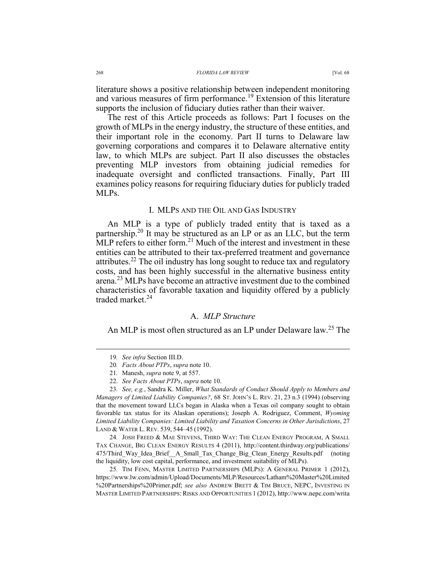literature shows a positive relationship between independent monitoring and various measures of firm performance.<sup>19</sup> Extension of this literature supports the inclusion of fiduciary duties rather than their waiver.

The rest of this Article proceeds as follows: Part I focuses on the growth of MLPs in the energy industry, the structure of these entities, and their important role in the economy. Part II turns to Delaware law governing corporations and compares it to Delaware alternative entity law, to which MLPs are subject. Part II also discusses the obstacles preventing MLP investors from obtaining judicial remedies for inadequate oversight and conflicted transactions. Finally, Part III examines policy reasons for requiring fiduciary duties for publicly traded MLPs.

## I. MLPS AND THE OIL AND GAS INDUSTRY

An MLP is a type of publicly traded entity that is taxed as a partnership.20 It may be structured as an LP or as an LLC, but the term MLP refers to either form.<sup>21</sup> Much of the interest and investment in these entities can be attributed to their tax-preferred treatment and governance attributes.<sup>22</sup> The oil industry has long sought to reduce tax and regulatory costs, and has been highly successful in the alternative business entity arena.<sup>23</sup> MLPs have become an attractive investment due to the combined characteristics of favorable taxation and liquidity offered by a publicly traded market.<sup>24</sup>

## A. *MLP Structure*

An MLP is most often structured as an LP under Delaware law.<sup>25</sup> The

24*.* JOSH FREED & MAE STEVENS, THIRD WAY: THE CLEAN ENERGY PROGRAM, A SMALL TAX CHANGE, BIG CLEAN ENERGY RESULTS 4 (2011), http://content.thirdway.org/publications/ 475/Third\_Way\_Idea\_Brief\_\_A\_Small\_Tax\_Change\_Big\_Clean\_Energy\_Results.pdf (noting the liquidity, low cost capital, performance, and investment suitability of MLPs).

25*.* TIM FENN, MASTER LIMITED PARTNERSHIPS (MLPS): A GENERAL PRIMER 1 (2012), https://www.lw.com/admin/Upload/Documents/MLP/Resources/Latham%20Master%20Limited %20Partnerships%20Primer.pdf; *see also* ANDREW BRETT & TIM BRUCE, NEPC, INVESTING IN MASTER LIMITED PARTNERSHIPS: RISKS AND OPPORTUNITIES 1 (2012), http://www.nepc.com/writa

 <sup>19</sup>*. See infra* Section III.D.

<sup>20</sup>*. Facts About PTPs*, *supra* note 10.

<sup>21</sup>*.* Manesh, *supra* note 9, at 557.

 <sup>22.</sup> *See Facts About PTPs*, *supra* note 10.

<sup>23</sup>*. See, e.g.*, Sandra K. Miller, *What Standards of Conduct Should Apply to Members and Managers of Limited Liability Companies?*, 68 ST. JOHN'S L. REV. 21, 23 n.3 (1994) (observing that the movement toward LLCs began in Alaska when a Texas oil company sought to obtain favorable tax status for its Alaskan operations); Joseph A. Rodriguez, Comment, *Wyoming Limited Liability Companies: Limited Liability and Taxation Concerns in Other Jurisdictions*, 27 LAND & WATER L. REV. 539, 544–45 (1992).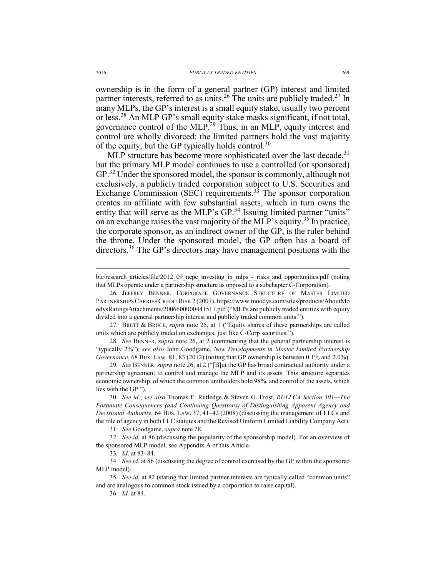ownership is in the form of a general partner (GP) interest and limited partner interests, referred to as units.<sup>26</sup> The units are publicly traded.<sup>27</sup> In many MLPs, the GP's interest is a small equity stake, usually two percent or less.28 An MLP GP's small equity stake masks significant, if not total, governance control of the MLP.<sup>29</sup> Thus, in an MLP, equity interest and control are wholly divorced: the limited partners hold the vast majority of the equity, but the GP typically holds control.<sup>30</sup>

MLP structure has become more sophisticated over the last decade,  $31$ but the primary MLP model continues to use a controlled (or sponsored) GP.<sup>32</sup> Under the sponsored model, the sponsor is commonly, although not exclusively, a publicly traded corporation subject to U.S. Securities and Exchange Commission (SEC) requirements. $33$  The sponsor corporation creates an affiliate with few substantial assets, which in turn owns the entity that will serve as the MLP's GP.<sup>34</sup> Issuing limited partner "units" on an exchange raises the vast majority of the MLP's equity.35 In practice, the corporate sponsor, as an indirect owner of the GP, is the ruler behind the throne. Under the sponsored model, the GP often has a board of directors.36 The GP's directors may have management positions with the

26*.* JEFFREY BENNER, CORPORATE GOVERNANCE STRUCTURE OF MASTER LIMITED PARTNERSHIPS CARRIES CREDIT RISK 2 (2007), https://www.moodys.com/sites/products/AboutMo odysRatingsAttachments/2006600000441511.pdf ("MLPs are publicly traded entities with equity divided into a general partnership interest and publicly traded common units.").

27*.* BRETT & BRUCE, *supra* note 25, at 1 ("Equity shares of these partnerships are called units which are publicly traded on exchanges, just like C-Corp securities.").

28*. See* BENNER, *supra* note 26, at 2 (commenting that the general partnership interest is "typically 2%"); *see also* John Goodgame, *New Developments in Master Limited Partnership Governance*, 68 BUS. LAW. 81, 83 (2012) (noting that GP ownership is between 0.1% and 2.0%).

29*. See* BENNER, *supra* note 26, at 2 ("[B]ut the GP has broad contractual authority under a partnership agreement to control and manage the MLP and its assets. This structure separates economic ownership, of which the common unitholders hold 98%, and control of the assets, which lies with the GP.").

30*. See id.*; *see also* Thomas E. Rutledge & Steven G. Frost, *RULLCA Section 301—The Fortunate Consequences (and Continuing Questions) of Distinguishing Apparent Agency and Decisional Authority*, 64 BUS. LAW. 37, 41–42 (2008) (discussing the management of LLCs and the role of agency in both LLC statutes and the Revised Uniform Limited Liability Company Act).

31*. See* Goodgame, *supra* note 28.

32*. See id.* at 86 (discussing the popularity of the sponsorship model). For an overview of the sponsored MLP model, see Appendix A of this Article.

33*. Id*. at 83–84*.*

 34. *See id.* at 86 (discussing the degree of control exercised by the GP within the sponsored MLP model).

 35. *See id.* at 82 (stating that limited partner interests are typically called "common units" and are analogous to common stock issued by a corporation to raise capital).

36. *Id.* at 84.

ble/research\_articles/file/2012\_09\_nepc\_investing\_in\_mlps\_-\_risks\_and\_opportunities.pdf (noting that MLPs operate under a partnership structure as opposed to a subchapter C-Corporation).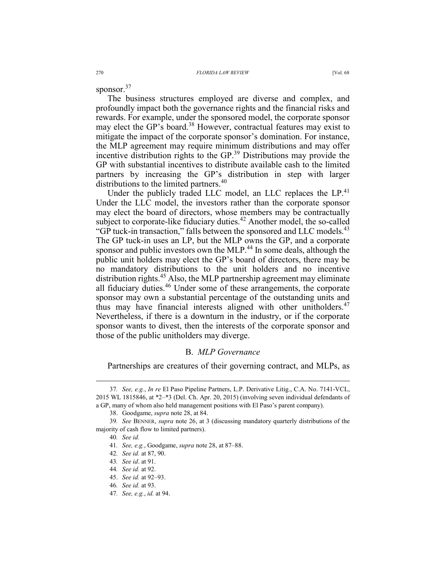sponsor.<sup>37</sup>

The business structures employed are diverse and complex, and profoundly impact both the governance rights and the financial risks and rewards. For example, under the sponsored model, the corporate sponsor may elect the GP's board.<sup>38</sup> However, contractual features may exist to mitigate the impact of the corporate sponsor's domination. For instance, the MLP agreement may require minimum distributions and may offer incentive distribution rights to the GP.39 Distributions may provide the GP with substantial incentives to distribute available cash to the limited partners by increasing the GP's distribution in step with larger distributions to the limited partners.<sup>40</sup>

Under the publicly traded LLC model, an LLC replaces the  $LP<sup>41</sup>$ Under the LLC model, the investors rather than the corporate sponsor may elect the board of directors, whose members may be contractually subject to corporate-like fiduciary duties.<sup>42</sup> Another model, the so-called "GP tuck-in transaction," falls between the sponsored and LLC models.<sup>43</sup> The GP tuck-in uses an LP, but the MLP owns the GP, and a corporate sponsor and public investors own the MLP.<sup>44</sup> In some deals, although the public unit holders may elect the GP's board of directors, there may be no mandatory distributions to the unit holders and no incentive distribution rights.<sup>45</sup> Also, the MLP partnership agreement may eliminate all fiduciary duties.<sup>46</sup> Under some of these arrangements, the corporate sponsor may own a substantial percentage of the outstanding units and thus may have financial interests aligned with other unitholders.<sup>47</sup> Nevertheless, if there is a downturn in the industry, or if the corporate sponsor wants to divest, then the interests of the corporate sponsor and those of the public unitholders may diverge.

## B. *MLP Governance*

Partnerships are creatures of their governing contract, and MLPs, as

 <sup>37</sup>*. See, e.g.*, *In re* El Paso Pipeline Partners, L.P. Derivative Litig., C.A. No. 7141-VCL, 2015 WL 1815846, at \*2–\*3 (Del. Ch. Apr. 20, 2015) (involving seven individual defendants of a GP, many of whom also held management positions with El Paso's parent company).

 <sup>38.</sup> Goodgame, *supra* note 28, at 84.

<sup>39</sup>*. See* BENNER, *supra* note 26, at 3 (discussing mandatory quarterly distributions of the majority of cash flow to limited partners).

<sup>40</sup>*. See id.*

<sup>41</sup>*. See, e.g.*, Goodgame, *supra* note 28, at 87–88.

<sup>42</sup>*. See id.* at 87, 90.

<sup>43</sup>*. See id*. at 91.

<sup>44</sup>*. See id.* at 92.

 <sup>45.</sup> *See id.* at 92–93.

<sup>46</sup>*. See id.* at 93.

<sup>47</sup>*. See, e.g.*, *id.* at 94.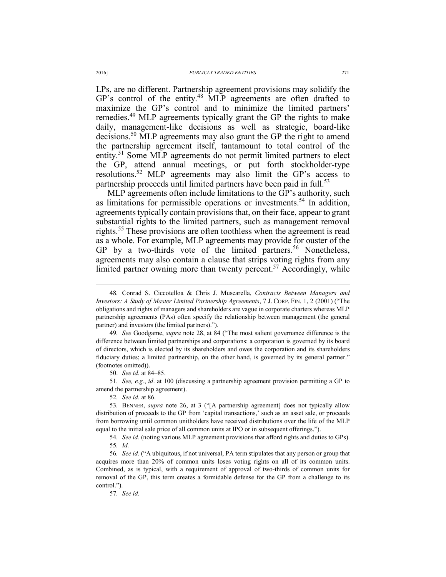LPs, are no different. Partnership agreement provisions may solidify the GP's control of the entity.<sup>48</sup> MLP agreements are often drafted to maximize the GP's control and to minimize the limited partners' remedies.49 MLP agreements typically grant the GP the rights to make daily, management-like decisions as well as strategic, board-like decisions.50 MLP agreements may also grant the GP the right to amend the partnership agreement itself, tantamount to total control of the entity.<sup>51</sup> Some MLP agreements do not permit limited partners to elect the GP, attend annual meetings, or put forth stockholder-type resolutions.52 MLP agreements may also limit the GP's access to partnership proceeds until limited partners have been paid in full.<sup>53</sup>

MLP agreements often include limitations to the GP's authority, such as limitations for permissible operations or investments.<sup>54</sup> In addition, agreements typically contain provisions that, on their face, appear to grant substantial rights to the limited partners, such as management removal rights.<sup>55</sup> These provisions are often toothless when the agreement is read as a whole. For example, MLP agreements may provide for ouster of the GP by a two-thirds vote of the limited partners.<sup>56</sup> Nonetheless, agreements may also contain a clause that strips voting rights from any limited partner owning more than twenty percent.<sup>57</sup> Accordingly, while

49*. See* Goodgame, *supra* note 28, at 84 ("The most salient governance difference is the difference between limited partnerships and corporations: a corporation is governed by its board of directors, which is elected by its shareholders and owes the corporation and its shareholders fiduciary duties; a limited partnership, on the other hand, is governed by its general partner." (footnotes omitted)).

50. *See id.* at 84–85.

51*. See, e.g.*, *id*. at 100 (discussing a partnership agreement provision permitting a GP to amend the partnership agreement).

52*. See id.* at 86.

53*.* BENNER, *supra* note 26, at 3 ("[A partnership agreement] does not typically allow distribution of proceeds to the GP from 'capital transactions,' such as an asset sale, or proceeds from borrowing until common unitholders have received distributions over the life of the MLP equal to the initial sale price of all common units at IPO or in subsequent offerings.").

54*. See id.* (noting various MLP agreement provisions that afford rights and duties to GPs). 55*. Id.*

56*. See id.* ("A ubiquitous, if not universal, PA term stipulates that any person or group that acquires more than 20% of common units loses voting rights on all of its common units. Combined, as is typical, with a requirement of approval of two-thirds of common units for removal of the GP, this term creates a formidable defense for the GP from a challenge to its control.").

57*. See id.* 

 <sup>48</sup>*.* Conrad S. Ciccotelloa & Chris J. Muscarella, *Contracts Between Managers and Investors: A Study of Master Limited Partnership Agreements*, 7 J. CORP. FIN. 1, 2 (2001) ("The obligations and rights of managers and shareholders are vague in corporate charters whereas MLP partnership agreements (PAs) often specify the relationship between management (the general partner) and investors (the limited partners).").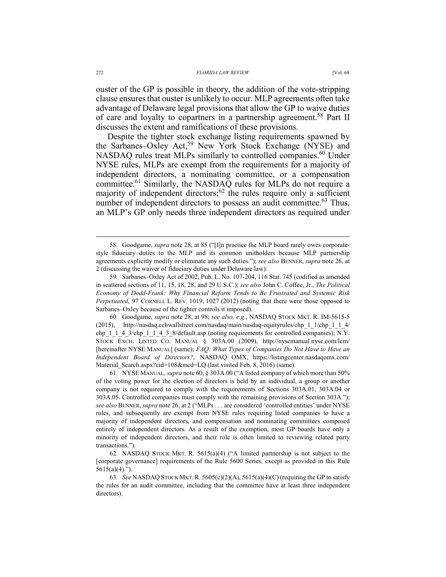ouster of the GP is possible in theory, the addition of the vote-stripping clause ensures that ouster is unlikely to occur. MLP agreements often take advantage of Delaware legal provisions that allow the GP to waive duties of care and loyalty to copartners in a partnership agreement.<sup>58</sup> Part II discusses the extent and ramifications of these provisions.

Despite the tighter stock exchange listing requirements spawned by the Sarbanes–Oxley Act,<sup>59</sup> New York Stock Exchange (NYSE) and NASDAQ rules treat MLPs similarly to controlled companies.<sup>60</sup> Under NYSE rules, MLPs are exempt from the requirements for a majority of independent directors, a nominating committee, or a compensation committee.61 Similarly, the NASDAQ rules for MLPs do not require a majority of independent directors;62 the rules require only a sufficient number of independent directors to possess an audit committee.<sup>63</sup> Thus, an MLP's GP only needs three independent directors as required under

60*.* Goodgame, *supra* note 28, at 98; *see also, e.g.*, NASDAQ STOCK MKT. R. IM-5615-5 (2015), http://nasdaq.cchwallstreet.com/nasdaq/main/nasdaq-equityrules/chp\_1\_1/chp\_1\_1\_4/ chp\_1\_1\_4\_3/chp\_1\_1\_4\_3\_8/default.asp (noting requirements for controlled companies); N.Y. STOCK EXCH. LISTED CO. MANUAL § 303A.00 (2009), http://nysemanual.nyse.com/lcm/ [hereinafter NYSE MANUAL] (same); *FAQ: What Types of Companies Do Not Have to Have an Independent Board of Directors?*, NASDAQ OMX, https://listingcenter.nasdaqomx.com/ Material Search.aspx?cid=108&mcd=LQ (last visited Feb. 8, 2016) (same).

61*.* NYSE MANUAL, *supra* note 60, § 303A.00 ("A listed company of which more than 50% of the voting power for the election of directors is held by an individual, a group or another company is not required to comply with the requirements of Sections 303A.01, 303A.04 or 303A.05. Controlled companies must comply with the remaining provisions of Section 303A."); *see also* BENNER, *supra* note 26, at 2 ("MLPs . . . are considered 'controlled entities' under NYSE rules, and subsequently are exempt from NYSE rules requiring listed companies to have a majority of independent directors, and compensation and nominating committees composed entirely of independent directors. As a result of the exemption, most GP boards have only a minority of independent directors, and their role is often limited to reviewing related party transactions.").

62*.* NASDAQ STOCK MKT. R. 5615(a)(4) ("A limited partnership is not subject to the [corporate governance] requirements of the Rule 5600 Series, except as provided in this Rule  $5615(a)(4)$ .").

63*. See* NASDAQ STOCK MKT.R. 5605(c)(2)(A), 5615(a)(4)(C) (requiring the GP to satisfy the rules for an audit committee, including that the committee have at least three independent directors).

 <sup>58</sup>*.* Goodgame, *supra* note 28, at 85 ("[I]n practice the MLP board rarely owes corporatestyle fiduciary duties to the MLP and its common unitholders because MLP partnership agreements explicitly modify or eliminate any such duties."); *see also* BENNER, *supra* note 26, at 2 (discussing the waiver of fiduciary duties under Delaware law).

<sup>59</sup>*.* Sarbanes–Oxley Act of 2002, Pub. L. No. 107-204, 116 Stat. 745 (codified as amended in scattered sections of 11, 15, 18, 28, and 29 U.S.C.); *see also* John C. Coffee, Jr., *The Political Economy of Dodd-Frank: Why Financial Reform Tends to Be Frustrated and Systemic Risk Perpetuated*, 97 CORNELL L. REV. 1019, 1027 (2012) (noting that there were those opposed to Sarbanes–Oxley because of the tighter controls it imposed).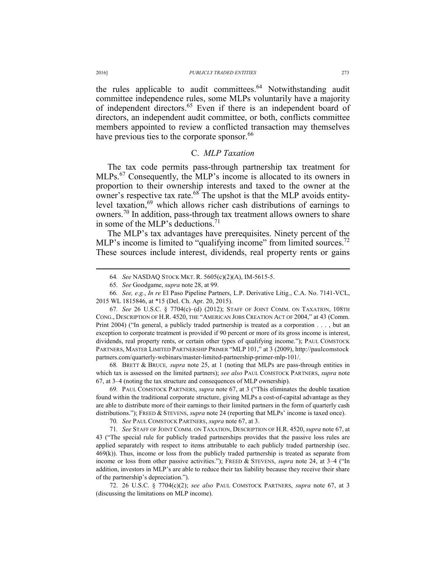the rules applicable to audit committees.<sup>64</sup> Notwithstanding audit committee independence rules, some MLPs voluntarily have a majority of independent directors.65 Even if there is an independent board of directors, an independent audit committee, or both, conflicts committee members appointed to review a conflicted transaction may themselves have previous ties to the corporate sponsor.<sup>66</sup>

## C. *MLP Taxation*

The tax code permits pass-through partnership tax treatment for MLPs.<sup>67</sup> Consequently, the MLP's income is allocated to its owners in proportion to their ownership interests and taxed to the owner at the owner's respective tax rate. $68$ <sup>T</sup> The upshot is that the MLP avoids entitylevel taxation, $69$  which allows richer cash distributions of earnings to owners.<sup>70</sup> In addition, pass-through tax treatment allows owners to share in some of the MLP's deductions.<sup>71</sup>

The MLP's tax advantages have prerequisites. Ninety percent of the MLP's income is limited to "qualifying income" from limited sources.<sup>72</sup> These sources include interest, dividends, real property rents or gains

66*. See, e.g.*, *In re* El Paso Pipeline Partners, L.P. Derivative Litig., C.A. No. 7141-VCL, 2015 WL 1815846, at \*15 (Del. Ch. Apr. 20, 2015).

67*. See* 26 U.S.C. § 7704(c)–(d) (2012); STAFF OF JOINT COMM. ON TAXATION, 108TH CONG., DESCRIPTION OF H.R. 4520, THE "AMERICAN JOBS CREATION ACT OF 2004," at 43 (Comm. Print 2004) ("In general, a publicly traded partnership is treated as a corporation . . . , but an exception to corporate treatment is provided if 90 percent or more of its gross income is interest, dividends, real property rents, or certain other types of qualifying income."); PAUL COMSTOCK PARTNERS, MASTER LIMITED PARTNERSHIP PRIMER "MLP 101," at 3 (2009), http://paulcomstock partners.com/quarterly-webinars/master-limited-partnership-primer-mlp-101/.

68*.* BRETT & BRUCE*, supra* note 25, at 1 (noting that MLPs are pass-through entities in which tax is assessed on the limited partners); *see also* PAUL COMSTOCK PARTNERS, *supra* note 67, at 3–4 (noting the tax structure and consequences of MLP ownership).

69*.* PAUL COMSTOCK PARTNERS, *supra* note 67, at 3 ("This eliminates the double taxation found within the traditional corporate structure, giving MLPs a cost-of-capital advantage as they are able to distribute more of their earnings to their limited partners in the form of quarterly cash distributions."); FREED & STEVENS, *supra* note 24 (reporting that MLPs' income is taxed once).

70*. See* PAUL COMSTOCK PARTNERS, *supra* note 67, at 3.

71*. See* STAFF OF JOINT COMM. ON TAXATION, DESCRIPTION OF H.R. 4520, *supra* note 67, at 43 ("The special rule for publicly traded partnerships provides that the passive loss rules are applied separately with respect to items attributable to each publicly traded partnership (sec. 469(k)). Thus, income or loss from the publicly traded partnership is treated as separate from income or loss from other passive activities."); FREED & STEVENS, *supra* note 24, at 3–4 ("In addition, investors in MLP's are able to reduce their tax liability because they receive their share of the partnership's depreciation.").

 72. 26 U.S.C. § 7704(c)(2); *see also* PAUL COMSTOCK PARTNERS, *supra* note 67, at 3 (discussing the limitations on MLP income).

 <sup>64</sup>*. See* NASDAQ STOCK MKT. R. 5605(c)(2)(A), IM-5615-5.

 <sup>65.</sup> *See* Goodgame, *supra* note 28, at 99.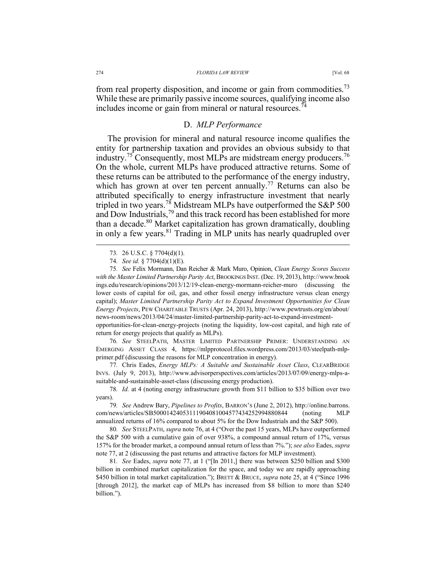from real property disposition, and income or gain from commodities.<sup>73</sup> While these are primarily passive income sources, qualifying income also includes income or gain from mineral or natural resources.<sup>74</sup>

## D. *MLP Performance*

The provision for mineral and natural resource income qualifies the entity for partnership taxation and provides an obvious subsidy to that industry.<sup>75</sup> Consequently, most MLPs are midstream energy producers.<sup>76</sup> On the whole, current MLPs have produced attractive returns. Some of these returns can be attributed to the performance of the energy industry, which has grown at over ten percent annually.<sup>77</sup> Returns can also be attributed specifically to energy infrastructure investment that nearly tripled in two years.<sup>78</sup> Midstream MLPs have outperformed the S&P 500 and Dow Industrials,<sup>79</sup> and this track record has been established for more than a decade.<sup>80</sup> Market capitalization has grown dramatically, doubling in only a few years.<sup>81</sup> Trading in MLP units has nearly quadrupled over

75*. See* Felix Mormann, Dan Reicher & Mark Muro, Opinion, *Clean Energy Scores Success with the Master Limited Partnership Parity Act*, BROOKINGS INST. (Dec. 19, 2013), http://www.brook ings.edu/research/opinions/2013/12/19-clean-energy-mormann-reicher-muro (discussing the lower costs of capital for oil, gas, and other fossil energy infrastructure versus clean energy capital); *Master Limited Partnership Parity Act to Expand Investment Opportunities for Clean Energy Projects*, PEW CHARITABLE TRUSTS (Apr. 24, 2013), http://www.pewtrusts.org/en/about/ news-room/news/2013/04/24/master-limited-partnership-parity-act-to-expand-investment-

opportunities-for-clean-energy-projects (noting the liquidity, low-cost capital, and high rate of return for energy projects that qualify as MLPs).

76*. See* STEELPATH, MASTER LIMITED PARTNERSHIP PRIMER: UNDERSTANDING AN EMERGING ASSET CLASS 4, https://mlpprotocol.files.wordpress.com/2013/03/steelpath-mlpprimer.pdf (discussing the reasons for MLP concentration in energy).

77*.* Chris Eades, *Energy MLPs: A Suitable and Sustainable Asset Class*, CLEARBRIDGE INVS. (July 9, 2013), http://www.advisorperspectives.com/articles/2013/07/09/energy-mlps-asuitable-and-sustainable-asset-class (discussing energy production).

78*. Id.* at 4 (noting energy infrastructure growth from \$11 billion to \$35 billion over two years).

79*. See* Andrew Bary, *Pipelines to Profits*, BARRON'S (June 2, 2012), http://online.barrons. com/news/articles/SB50001424053111904081004577434252994880844 (noting MLP annualized returns of 16% compared to about 5% for the Dow Industrials and the S&P 500).

80*. See* STEELPATH, *supra* note 76, at 4 ("Over the past 15 years, MLPs have outperformed the S&P 500 with a cumulative gain of over 938%, a compound annual return of 17%, versus 157% for the broader market, a compound annual return of less than 7%."); *see also* Eades, *supra*  note 77, at 2 (discussing the past returns and attractive factors for MLP investment).

81*. See* Eades, *supra* note 77, at 1 ("[In 2011,] there was between \$250 billion and \$300 billion in combined market capitalization for the space, and today we are rapidly approaching \$450 billion in total market capitalization."); BRETT & BRUCE, *supra* note 25, at 4 ("Since 1996 [through 2012], the market cap of MLPs has increased from \$8 billion to more than \$240 billion.").

 <sup>73</sup>*.* 26 U.S.C. § 7704(d)(1).

<sup>74</sup>*. See id.* § 7704(d)(1)(E).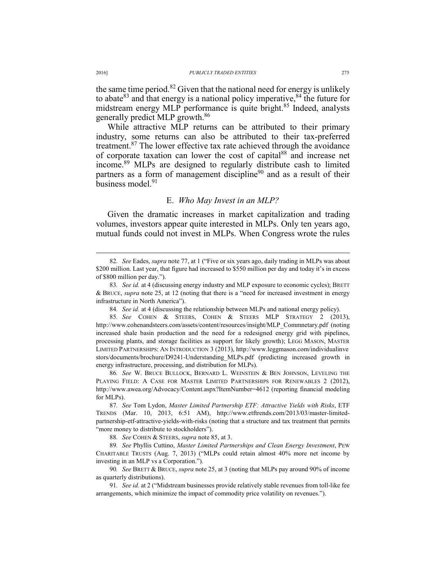the same time period.<sup>82</sup> Given that the national need for energy is unlikely to abate  $83$  and that energy is a national policy imperative,  $84$  the future for midstream energy MLP performance is quite bright.<sup>85</sup> Indeed, analysts generally predict MLP growth.86

While attractive MLP returns can be attributed to their primary industry, some returns can also be attributed to their tax-preferred treatment.<sup>87</sup> The lower effective tax rate achieved through the avoidance of corporate taxation can lower the cost of capital<sup>88</sup> and increase net income.89 MLPs are designed to regularly distribute cash to limited partners as a form of management discipline<sup>90</sup> and as a result of their business model.<sup>91</sup>

#### E. *Who May Invest in an MLP?*

Given the dramatic increases in market capitalization and trading volumes, investors appear quite interested in MLPs. Only ten years ago, mutual funds could not invest in MLPs. When Congress wrote the rules

86*. See* W. BRUCE BULLOCK, BERNARD L. WEINSTEIN & BEN JOHNSON, LEVELING THE PLAYING FIELD: A CASE FOR MASTER LIMITED PARTNERSHIPS FOR RENEWABLES 2 (2012), http://www.awea.org/Advocacy/Content.aspx?ItemNumber=4612 (reporting financial modeling for MLPs).

87*. See* Tom Lydon, *Master Limited Partnership ETF: Attractive Yields with Risks*, ETF TRENDS (Mar. 10, 2013, 6:51 AM), http://www.etftrends.com/2013/03/master-limitedpartnership-etf-attractive-yields-with-risks (noting that a structure and tax treatment that permits "more money to distribute to stockholders").

88*. See* COHEN & STEERS, *supra* note 85, at 3.

89*. See* Phyllis Cuttino, *Master Limited Partnerships and Clean Energy Investment*, PEW CHARITABLE TRUSTS (Aug. 7, 2013) ("MLPs could retain almost 40% more net income by investing in an MLP vs a Corporation.").

90*. See* BRETT & BRUCE, *supra* note 25, at 3 (noting that MLPs pay around 90% of income as quarterly distributions).

91*. See id.* at 2 ("Midstream businesses provide relatively stable revenues from toll-like fee arrangements, which minimize the impact of commodity price volatility on revenues.").

 <sup>82</sup>*. See* Eades, *supra* note 77, at 1 ("Five or six years ago, daily trading in MLPs was about \$200 million. Last year, that figure had increased to \$550 million per day and today it's in excess of \$800 million per day.").

<sup>83</sup>*. See id.* at 4 (discussing energy industry and MLP exposure to economic cycles); BRETT & BRUCE, *supra* note 25, at 12 (noting that there is a "need for increased investment in energy infrastructure in North America").

<sup>84</sup>*. See id.* at 4 (discussing the relationship between MLPs and national energy policy).

<sup>85</sup>*. See* COHEN & STEERS, COHEN & STEERS MLP STRATEGY 2 (2013), http://www.cohenandsteers.com/assets/content/resources/insight/MLP\_Commnetary.pdf (noting increased shale basin production and the need for a redesigned energy grid with pipelines, processing plants, and storage facilities as support for likely growth); LEGG MASON, MASTER LIMITED PARTNERSHIPS: AN INTRODUCTION 3 (2013), http://www.leggmason.com/individualinve stors/documents/brochure/D9241-Understanding\_MLPs.pdf (predicting increased growth in energy infrastructure, processing, and distribution for MLPs).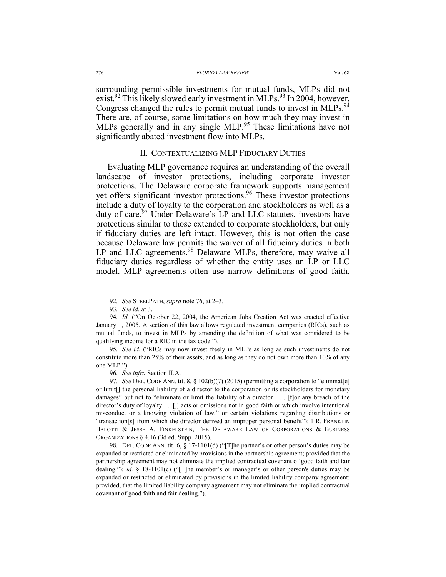surrounding permissible investments for mutual funds, MLPs did not exist.<sup>92</sup> This likely slowed early investment in MLPs.<sup>93</sup> In 2004, however, Congress changed the rules to permit mutual funds to invest in MLPs.<sup>94</sup> There are, of course, some limitations on how much they may invest in MLPs generally and in any single MLP.<sup>95</sup> These limitations have not significantly abated investment flow into MLPs.

### II. CONTEXTUALIZING MLP FIDUCIARY DUTIES

Evaluating MLP governance requires an understanding of the overall landscape of investor protections, including corporate investor protections. The Delaware corporate framework supports management vet offers significant investor protections.<sup>96</sup> These investor protections include a duty of loyalty to the corporation and stockholders as well as a duty of care.<sup>97</sup> Under Delaware's LP and LLC statutes, investors have protections similar to those extended to corporate stockholders, but only if fiduciary duties are left intact. However, this is not often the case because Delaware law permits the waiver of all fiduciary duties in both LP and LLC agreements.<sup>98</sup> Delaware MLPs, therefore, may waive all fiduciary duties regardless of whether the entity uses an LP or LLC model. MLP agreements often use narrow definitions of good faith,

95*. See id*. ("RICs may now invest freely in MLPs as long as such investments do not constitute more than 25% of their assets, and as long as they do not own more than 10% of any one MLP.").

96*. See infra* Section II.A.

97*. See* DEL. CODE ANN. tit. 8, § 102(b)(7) (2015) (permitting a corporation to "eliminat[e] or limit[] the personal liability of a director to the corporation or its stockholders for monetary damages" but not to "eliminate or limit the liability of a director . . . [f]or any breach of the director's duty of loyalty . . .[,] acts or omissions not in good faith or which involve intentional misconduct or a knowing violation of law," or certain violations regarding distributions or "transaction[s] from which the director derived an improper personal benefit"); 1 R. FRANKLIN BALOTTI & JESSE A. FINKELSTEIN, THE DELAWARE LAW OF CORPORATIONS & BUSINESS ORGANIZATIONS § 4.16 (3d ed. Supp. 2015).

98*.* DEL. CODE ANN. tit. 6, § 17-1101(d) ("[T]he partner's or other person's duties may be expanded or restricted or eliminated by provisions in the partnership agreement; provided that the partnership agreement may not eliminate the implied contractual covenant of good faith and fair dealing."); *id.* § 18-1101(c) ("[T]he member's or manager's or other person's duties may be expanded or restricted or eliminated by provisions in the limited liability company agreement; provided, that the limited liability company agreement may not eliminate the implied contractual covenant of good faith and fair dealing.").

 <sup>92</sup>*. See* STEELPATH, *supra* note 76, at 2–3.

<sup>93</sup>*. See id.* at 3.

<sup>94</sup>*. Id.* ("On October 22, 2004, the American Jobs Creation Act was enacted effective January 1, 2005. A section of this law allows regulated investment companies (RICs), such as mutual funds, to invest in MLPs by amending the definition of what was considered to be qualifying income for a RIC in the tax code.").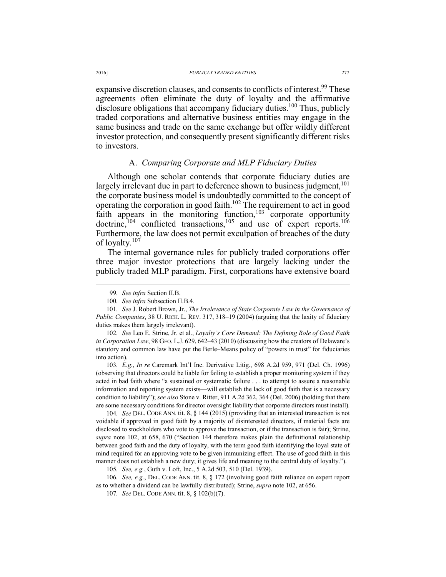expansive discretion clauses, and consents to conflicts of interest.<sup>99</sup> These agreements often eliminate the duty of loyalty and the affirmative disclosure obligations that accompany fiduciary duties.<sup>100</sup> Thus, publicly traded corporations and alternative business entities may engage in the same business and trade on the same exchange but offer wildly different investor protection, and consequently present significantly different risks to investors.

#### A. *Comparing Corporate and MLP Fiduciary Duties*

Although one scholar contends that corporate fiduciary duties are largely irrelevant due in part to deference shown to business judgment,  $101$ the corporate business model is undoubtedly committed to the concept of operating the corporation in good faith.<sup>102</sup> The requirement to act in good faith appears in the monitoring function, $103$  corporate opportunity doctrine,<sup>104</sup> conflicted transactions,<sup>105</sup> and use of expert reports.<sup>106</sup> Furthermore, the law does not permit exculpation of breaches of the duty of loyalty.<sup>107</sup>

The internal governance rules for publicly traded corporations offer three major investor protections that are largely lacking under the publicly traded MLP paradigm. First, corporations have extensive board

102*. See* Leo E. Strine, Jr. et al., *Loyalty's Core Demand: The Defining Role of Good Faith in Corporation Law*, 98 GEO. L.J. 629, 642–43 (2010) (discussing how the creators of Delaware's statutory and common law have put the Berle–Means policy of "powers in trust" for fiduciaries into action).

103*. E.g.*, *In re* Caremark Int'l Inc. Derivative Litig., 698 A.2d 959, 971 (Del. Ch. 1996) (observing that directors could be liable for failing to establish a proper monitoring system if they acted in bad faith where "a sustained or systematic failure . . . to attempt to assure a reasonable information and reporting system exists—will establish the lack of good faith that is a necessary condition to liability"); *see also* Stone v. Ritter, 911 A.2d 362, 364 (Del. 2006) (holding that there are some necessary conditions for director oversight liability that corporate directors must install).

104*. See* DEL. CODE ANN. tit. 8, § 144 (2015) (providing that an interested transaction is not voidable if approved in good faith by a majority of disinterested directors, if material facts are disclosed to stockholders who vote to approve the transaction, or if the transaction is fair); Strine, *supra* note 102, at 658, 670 ("Section 144 therefore makes plain the definitional relationship between good faith and the duty of loyalty, with the term good faith identifying the loyal state of mind required for an approving vote to be given immunizing effect. The use of good faith in this manner does not establish a new duty; it gives life and meaning to the central duty of loyalty.").

105*. See, e.g.*, Guth v. Loft, Inc., 5 A.2d 503, 510 (Del. 1939).

106*. See, e.g.*, DEL. CODE ANN. tit. 8, § 172 (involving good faith reliance on expert report as to whether a dividend can be lawfully distributed); Strine, *supra* note 102, at 656.

107*. See* DEL. CODE ANN. tit. 8, § 102(b)(7).

 <sup>99</sup>*. See infra* Section II.B.

<sup>100</sup>*. See infra* Subsection II.B.4.

<sup>101</sup>*. See* J. Robert Brown, Jr., *The Irrelevance of State Corporate Law in the Governance of Public Companies*, 38 U. RICH. L. REV. 317, 318–19 (2004) (arguing that the laxity of fiduciary duties makes them largely irrelevant).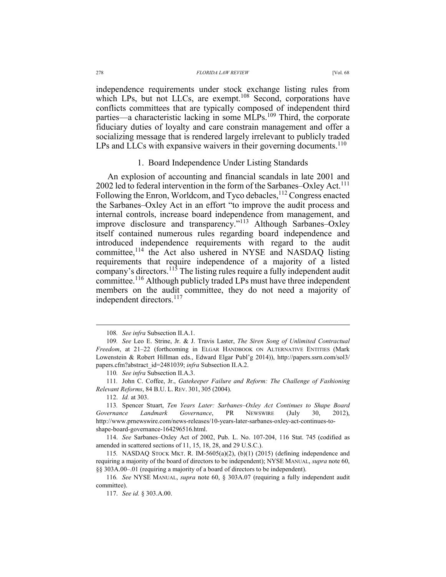independence requirements under stock exchange listing rules from which LPs, but not LLCs, are exempt.<sup>108</sup> Second, corporations have conflicts committees that are typically composed of independent third parties—a characteristic lacking in some MLPs.<sup>109</sup> Third, the corporate fiduciary duties of loyalty and care constrain management and offer a socializing message that is rendered largely irrelevant to publicly traded LPs and LLCs with expansive waivers in their governing documents.<sup>110</sup>

### 1. Board Independence Under Listing Standards

An explosion of accounting and financial scandals in late 2001 and 2002 led to federal intervention in the form of the Sarbanes–Oxley Act.<sup>111</sup> Following the Enron, Worldcom, and Tyco debacles, <sup>112</sup> Congress enacted the Sarbanes–Oxley Act in an effort "to improve the audit process and internal controls, increase board independence from management, and improve disclosure and transparency."113 Although Sarbanes–Oxley itself contained numerous rules regarding board independence and introduced independence requirements with regard to the audit committee,  $114$  the Act also ushered in NYSE and NASDAQ listing requirements that require independence of a majority of a listed company's directors.<sup>115</sup> The listing rules require a fully independent audit committee.116 Although publicly traded LPs must have three independent members on the audit committee, they do not need a majority of independent directors.<sup>117</sup>

110*. See infra* Subsection II.A.3.

112. *Id.* at 303.

 114. *See* Sarbanes–Oxley Act of 2002, Pub. L. No. 107-204, 116 Stat. 745 (codified as amended in scattered sections of 11, 15, 18, 28, and 29 U.S.C.).

115*.* NASDAQ STOCK MKT. R. IM-5605(a)(2), (b)(1) (2015) (defining independence and requiring a majority of the board of directors to be independent); NYSE MANUAL, *supra* note 60, §§ 303A.00–.01 (requiring a majority of a board of directors to be independent).

116*. See* NYSE MANUAL, *supra* note 60, § 303A.07 (requiring a fully independent audit committee).

 <sup>108</sup>*. See infra* Subsection II.A.1.

<sup>109</sup>*. See* Leo E. Strine, Jr. & J. Travis Laster, *The Siren Song of Unlimited Contractual Freedom*, at 21–22 (forthcoming in ELGAR HANDBOOK ON ALTERNATIVE ENTITIES (Mark Lowenstein & Robert Hillman eds., Edward Elgar Publ'g 2014)), http://papers.ssrn.com/sol3/ papers.cfm?abstract\_id=2481039; *infra* Subsection II.A.2.

<sup>111</sup>*.* John C. Coffee, Jr., *Gatekeeper Failure and Reform: The Challenge of Fashioning Relevant Reforms*, 84 B.U. L. REV. 301, 305 (2004).

<sup>113</sup>*.* Spencer Stuart, *Ten Years Later: Sarbanes–Oxley Act Continues to Shape Board Governance Landmark Governance*, PR NEWSWIRE (July 30, 2012), http://www.prnewswire.com/news-releases/10-years-later-sarbanes-oxley-act-continues-toshape-board-governance-164296516.html.

 <sup>117.</sup> *See id.* § 303.A.00.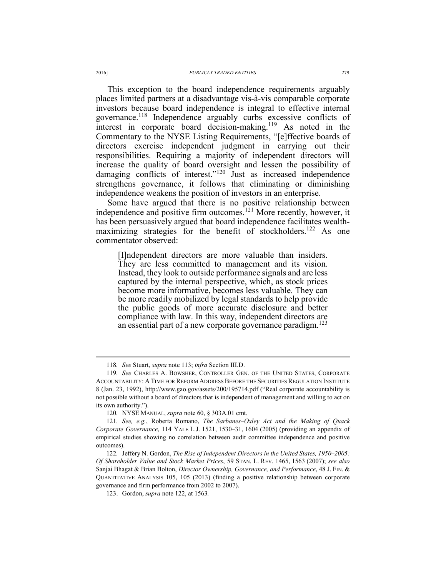This exception to the board independence requirements arguably places limited partners at a disadvantage vis-à-vis comparable corporate investors because board independence is integral to effective internal governance.118 Independence arguably curbs excessive conflicts of interest in corporate board decision-making.119 As noted in the Commentary to the NYSE Listing Requirements, "[e]ffective boards of directors exercise independent judgment in carrying out their responsibilities. Requiring a majority of independent directors will increase the quality of board oversight and lessen the possibility of damaging conflicts of interest."<sup>120</sup> Just as increased independence strengthens governance, it follows that eliminating or diminishing independence weakens the position of investors in an enterprise.

Some have argued that there is no positive relationship between independence and positive firm outcomes.<sup>121</sup> More recently, however, it has been persuasively argued that board independence facilitates wealthmaximizing strategies for the benefit of stockholders.<sup>122</sup> As one commentator observed:

[I]ndependent directors are more valuable than insiders. They are less committed to management and its vision. Instead, they look to outside performance signals and are less captured by the internal perspective, which, as stock prices become more informative, becomes less valuable. They can be more readily mobilized by legal standards to help provide the public goods of more accurate disclosure and better compliance with law. In this way, independent directors are an essential part of a new corporate governance paradigm.<sup>123</sup>

 <sup>118</sup>*. See* Stuart, *supra* note 113; *infra* Section III.D.

<sup>119</sup>*. See* CHARLES A. BOWSHER, CONTROLLER GEN. OF THE UNITED STATES, CORPORATE ACCOUNTABILITY: A TIME FOR REFORM ADDRESS BEFORE THE SECURITIES REGULATION INSTITUTE 8 (Jan. 23, 1992), http://www.gao.gov/assets/200/195714.pdf ("Real corporate accountability is not possible without a board of directors that is independent of management and willing to act on its own authority.").

<sup>120</sup>*.* NYSE MANUAL, *supra* note 60, § 303A.01 cmt.

<sup>121</sup>*. See, e.g.*, Roberta Romano, *The Sarbanes–Oxley Act and the Making of Quack Corporate Governance*, 114 YALE L.J. 1521, 1530–31, 1604 (2005) (providing an appendix of empirical studies showing no correlation between audit committee independence and positive outcomes).

<sup>122.</sup> Jeffery N. Gordon, *The Rise of Independent Directors in the United States, 1950-2005: Of Shareholder Value and Stock Market Prices*, 59 STAN. L. REV. 1465, 1563 (2007); *see also*  Sanjai Bhagat & Brian Bolton, *Director Ownership, Governance, and Performance*, 48 J. FIN. & QUANTITATIVE ANALYSIS 105, 105 (2013) (finding a positive relationship between corporate governance and firm performance from 2002 to 2007).

<sup>123.</sup> Gordon, *supra* note 122, at 1563*.*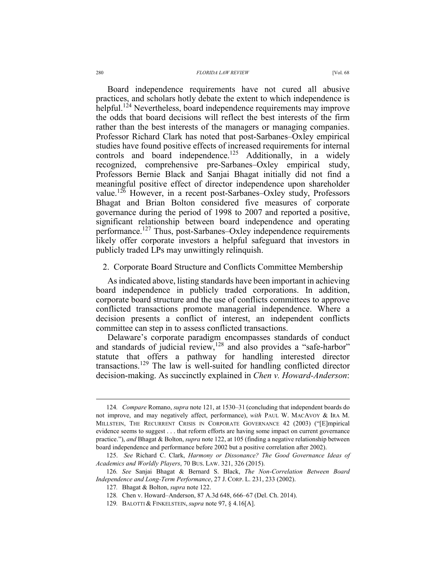Board independence requirements have not cured all abusive practices, and scholars hotly debate the extent to which independence is helpful.<sup>124</sup> Nevertheless, board independence requirements may improve the odds that board decisions will reflect the best interests of the firm rather than the best interests of the managers or managing companies. Professor Richard Clark has noted that post-Sarbanes–Oxley empirical studies have found positive effects of increased requirements for internal controls and board independence.<sup>125</sup> Additionally, in a widely recognized, comprehensive pre-Sarbanes–Oxley empirical study, Professors Bernie Black and Sanjai Bhagat initially did not find a meaningful positive effect of director independence upon shareholder value.126 However, in a recent post-Sarbanes–Oxley study, Professors Bhagat and Brian Bolton considered five measures of corporate governance during the period of 1998 to 2007 and reported a positive, significant relationship between board independence and operating performance.127 Thus, post-Sarbanes–Oxley independence requirements likely offer corporate investors a helpful safeguard that investors in publicly traded LPs may unwittingly relinquish.

#### 2. Corporate Board Structure and Conflicts Committee Membership

As indicated above, listing standards have been important in achieving board independence in publicly traded corporations. In addition, corporate board structure and the use of conflicts committees to approve conflicted transactions promote managerial independence. Where a decision presents a conflict of interest, an independent conflicts committee can step in to assess conflicted transactions.

Delaware's corporate paradigm encompasses standards of conduct and standards of judicial review,<sup>128</sup> and also provides a "safe-harbor" statute that offers a pathway for handling interested director transactions.129 The law is well-suited for handling conflicted director decision-making. As succinctly explained in *Chen v. Howard-Anderson*:

 <sup>124</sup>*. Compare* Romano, *supra* note 121, at 1530–31 (concluding that independent boards do not improve, and may negatively affect, performance), *with* PAUL W. MACAVOY & IRA M. MILLSTEIN, THE RECURRENT CRISIS IN CORPORATE GOVERNANCE 42 (2003) ("[E]mpirical evidence seems to suggest . . . that reform efforts are having some impact on current governance practice."), *and* Bhagat & Bolton, *supra* note 122, at 105 (finding a negative relationship between board independence and performance before 2002 but a positive correlation after 2002).

 <sup>125.</sup> *See* Richard C. Clark, *Harmony or Dissonance? The Good Governance Ideas of Academics and Worldly Players*, 70 BUS. LAW. 321, 326 (2015).

<sup>126</sup>*. See* Sanjai Bhagat & Bernard S. Black, *The Non-Correlation Between Board Independence and Long-Term Performance*, 27 J. CORP. L. 231, 233 (2002).

<sup>127</sup>*.* Bhagat & Bolton, *supra* note 122.

<sup>128</sup>*.* Chen v. Howard–Anderson, 87 A.3d 648, 666–67 (Del. Ch. 2014).

<sup>129</sup>*.* BALOTTI & FINKELSTEIN, *supra* note 97, § 4.16[A].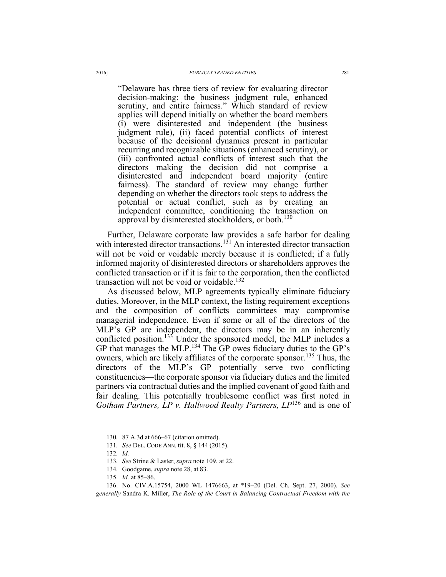"Delaware has three tiers of review for evaluating director decision-making: the business judgment rule, enhanced scrutiny, and entire fairness." Which standard of review applies will depend initially on whether the board members (i) were disinterested and independent (the business judgment rule), (ii) faced potential conflicts of interest because of the decisional dynamics present in particular recurring and recognizable situations (enhanced scrutiny), or (iii) confronted actual conflicts of interest such that the directors making the decision did not comprise a disinterested and independent board majority (entire fairness). The standard of review may change further depending on whether the directors took steps to address the potential or actual conflict, such as by creating an independent committee, conditioning the transaction on approval by disinterested stockholders, or both.<sup>130</sup>

Further, Delaware corporate law provides a safe harbor for dealing with interested director transactions.<sup>131</sup> An interested director transaction will not be void or voidable merely because it is conflicted; if a fully informed majority of disinterested directors or shareholders approves the conflicted transaction or if it is fair to the corporation, then the conflicted transaction will not be void or voidable.<sup>132</sup>

As discussed below, MLP agreements typically eliminate fiduciary duties. Moreover, in the MLP context, the listing requirement exceptions and the composition of conflicts committees may compromise managerial independence. Even if some or all of the directors of the MLP's GP are independent, the directors may be in an inherently conflicted position.<sup>133</sup> Under the sponsored model, the MLP includes a GP that manages the MLP.<sup>134</sup> The GP owes fiduciary duties to the GP's owners, which are likely affiliates of the corporate sponsor.<sup>135</sup> Thus, the directors of the MLP's GP potentially serve two conflicting constituencies—the corporate sponsor via fiduciary duties and the limited partners via contractual duties and the implied covenant of good faith and fair dealing. This potentially troublesome conflict was first noted in *Gotham Partners, LP v. Hallwood Realty Partners, LP*136 and is one of

 <sup>130</sup>*.* 87 A.3d at 666–67 (citation omitted).

<sup>131</sup>*. See* DEL. CODE ANN. tit. 8, § 144 (2015).

<sup>132</sup>*. Id.*

<sup>133</sup>*. See* Strine & Laster, *supra* note 109, at 22.

<sup>134</sup>*.* Goodgame, *supra* note 28, at 83.

 <sup>135.</sup> *Id.* at 85–86.

 <sup>136.</sup> No. CIV.A.15754, 2000 WL 1476663, at \*19–20 (Del. Ch. Sept. 27, 2000). *See generally* Sandra K. Miller, *The Role of the Court in Balancing Contractual Freedom with the*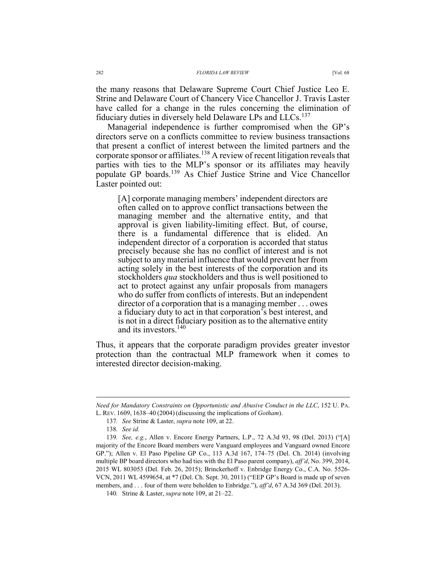the many reasons that Delaware Supreme Court Chief Justice Leo E. Strine and Delaware Court of Chancery Vice Chancellor J. Travis Laster have called for a change in the rules concerning the elimination of fiduciary duties in diversely held Delaware LPs and LLCs.<sup>137</sup>

Managerial independence is further compromised when the GP's directors serve on a conflicts committee to review business transactions that present a conflict of interest between the limited partners and the corporate sponsor or affiliates.<sup>138</sup> A review of recent litigation reveals that parties with ties to the MLP's sponsor or its affiliates may heavily populate GP boards.139 As Chief Justice Strine and Vice Chancellor Laster pointed out:

[A] corporate managing members' independent directors are often called on to approve conflict transactions between the managing member and the alternative entity, and that approval is given liability-limiting effect. But, of course, there is a fundamental difference that is elided. An independent director of a corporation is accorded that status precisely because she has no conflict of interest and is not subject to any material influence that would prevent her from acting solely in the best interests of the corporation and its stockholders *qua* stockholders and thus is well positioned to act to protect against any unfair proposals from managers who do suffer from conflicts of interests. But an independent director of a corporation that is a managing member . . . owes a fiduciary duty to act in that corporation's best interest, and is not in a direct fiduciary position as to the alternative entity and its investors.140

Thus, it appears that the corporate paradigm provides greater investor protection than the contractual MLP framework when it comes to interested director decision-making.

*Need for Mandatory Constraints on Opportunistic and Abusive Conduct in the LLC*, 152 U. PA. L. REV. 1609, 1638–40 (2004) (discussing the implications of *Gotham*).

<sup>137</sup>*. See* Strine & Laster, *supra* note 109, at 22.

<sup>138</sup>*. See id.* 

<sup>139</sup>*. See, e.g.*, Allen v. Encore Energy Partners, L.P., 72 A.3d 93, 98 (Del. 2013) ("[A] majority of the Encore Board members were Vanguard employees and Vanguard owned Encore GP."); Allen v. El Paso Pipeline GP Co., 113 A.3d 167, 174–75 (Del. Ch. 2014) (involving multiple BP board directors who had ties with the El Paso parent company), *aff'd*, No. 399, 2014, 2015 WL 803053 (Del. Feb. 26, 2015); Brinckerhoff v. Enbridge Energy Co., C.A. No. 5526- VCN, 2011 WL 4599654, at \*7 (Del. Ch. Sept. 30, 2011) ("EEP GP's Board is made up of seven members, and . . . four of them were beholden to Enbridge."), *aff'd*, 67 A.3d 369 (Del. 2013).

<sup>140</sup>*.* Strine & Laster, *supra* note 109, at 21–22.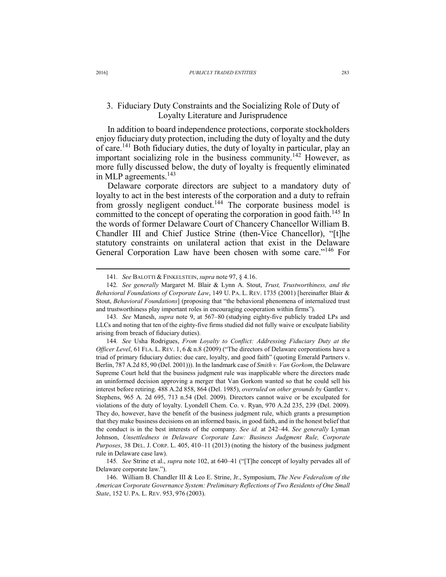## 3. Fiduciary Duty Constraints and the Socializing Role of Duty of Loyalty Literature and Jurisprudence

In addition to board independence protections, corporate stockholders enjoy fiduciary duty protection, including the duty of loyalty and the duty of care.141 Both fiduciary duties, the duty of loyalty in particular, play an important socializing role in the business community.142 However, as more fully discussed below, the duty of loyalty is frequently eliminated in MLP agreements.<sup>143</sup>

Delaware corporate directors are subject to a mandatory duty of loyalty to act in the best interests of the corporation and a duty to refrain from grossly negligent conduct.<sup>144</sup> The corporate business model is committed to the concept of operating the corporation in good faith.<sup>145</sup> In the words of former Delaware Court of Chancery Chancellor William B. Chandler III and Chief Justice Strine (then-Vice Chancellor), "[t]he statutory constraints on unilateral action that exist in the Delaware General Corporation Law have been chosen with some care."<sup>146</sup> For

144*. See* Usha Rodrigues, *From Loyalty to Conflict: Addressing Fiduciary Duty at the Officer Level*, 61 FLA. L. REV. 1, 6 & n.8 (2009) ("The directors of Delaware corporations have a triad of primary fiduciary duties: due care, loyalty, and good faith" (quoting Emerald Partners v. Berlin, 787 A.2d 85, 90 (Del. 2001))). In the landmark case of *Smith v. Van Gorkom*, the Delaware Supreme Court held that the business judgment rule was inapplicable where the directors made an uninformed decision approving a merger that Van Gorkom wanted so that he could sell his interest before retiring. 488 A.2d 858, 864 (Del. 1985), *overruled on other grounds by* Gantler v. Stephens, 965 A. 2d 695, 713 n.54 (Del. 2009). Directors cannot waive or be exculpated for violations of the duty of loyalty. Lyondell Chem. Co. v. Ryan, 970 A.2d 235, 239 (Del. 2009). They do, however, have the benefit of the business judgment rule, which grants a presumption that they make business decisions on an informed basis, in good faith, and in the honest belief that the conduct is in the best interests of the company. *See id.* at 242–44. *See generally* Lyman Johnson, *Unsettledness in Delaware Corporate Law: Business Judgment Rule, Corporate Purposes*, 38 DEL. J. CORP. L. 405, 410–11 (2013) (noting the history of the business judgment rule in Delaware case law).

145*. See* Strine et al., *supra* note 102, at 640–41 ("[T]he concept of loyalty pervades all of Delaware corporate law.").

 146. William B. Chandler III & Leo E. Strine, Jr., Symposium, *The New Federalism of the American Corporate Governance System: Preliminary Reflections of Two Residents of One Small State*, 152 U. PA. L. REV. 953, 976 (2003).

 <sup>141</sup>*. See* BALOTTI & FINKELSTEIN, *supra* note 97, § 4.16.

<sup>142</sup>*. See generally* Margaret M. Blair & Lynn A. Stout, *Trust, Trustworthiness, and the Behavioral Foundations of Corporate Law*, 149 U. PA. L. REV. 1735 (2001) [hereinafter Blair & Stout, *Behavioral Foundations*] (proposing that "the behavioral phenomena of internalized trust and trustworthiness play important roles in encouraging cooperation within firms").

<sup>143</sup>*. See* Manesh, *supra* note 9, at 567–80 (studying eighty-five publicly traded LPs and LLCs and noting that ten of the eighty-five firms studied did not fully waive or exculpate liability arising from breach of fiduciary duties).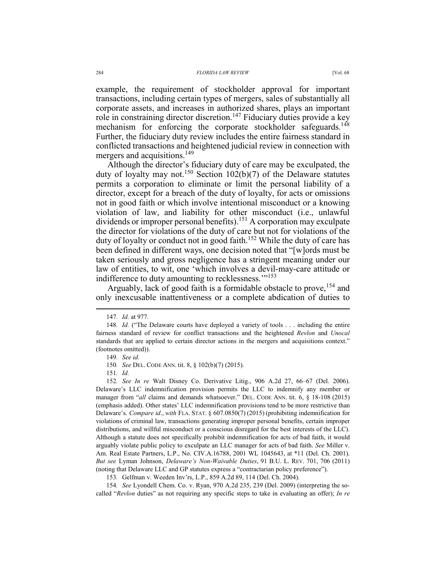example, the requirement of stockholder approval for important transactions, including certain types of mergers, sales of substantially all corporate assets, and increases in authorized shares, plays an important role in constraining director discretion.<sup>147</sup> Fiduciary duties provide a key mechanism for enforcing the corporate stockholder safeguards.<sup>148</sup> Further, the fiduciary duty review includes the entire fairness standard in conflicted transactions and heightened judicial review in connection with mergers and acquisitions.<sup>149</sup>

Although the director's fiduciary duty of care may be exculpated, the duty of loyalty may not.<sup>150</sup> Section 102(b)(7) of the Delaware statutes permits a corporation to eliminate or limit the personal liability of a director, except for a breach of the duty of loyalty, for acts or omissions not in good faith or which involve intentional misconduct or a knowing violation of law, and liability for other misconduct (i.e., unlawful dividends or improper personal benefits).<sup>151</sup> A corporation may exculpate the director for violations of the duty of care but not for violations of the duty of loyalty or conduct not in good faith.<sup>152</sup> While the duty of care has been defined in different ways, one decision noted that "[w]ords must be taken seriously and gross negligence has a stringent meaning under our law of entities, to wit, one 'which involves a devil-may-care attitude or indifference to duty amounting to recklessness."<sup>153</sup>

Arguably, lack of good faith is a formidable obstacle to prove, <sup>154</sup> and only inexcusable inattentiveness or a complete abdication of duties to

152*. See In re* Walt Disney Co. Derivative Litig., 906 A.2d 27, 66–67 (Del. 2006). Delaware's LLC indemnification provision permits the LLC to indemnify any member or manager from "*all* claims and demands whatsoever." DEL. CODE ANN. tit. 6, § 18-108 (2015) (emphasis added). Other states' LLC indemnification provisions tend to be more restrictive than Delaware's. *Compare id*., *with* FLA. STAT. § 607.0850(7) (2015) (prohibiting indemnification for violations of criminal law, transactions generating improper personal benefits, certain improper distributions, and willful misconduct or a conscious disregard for the best interests of the LLC). Although a statute does not specifically prohibit indemnification for acts of bad faith, it would arguably violate public policy to exculpate an LLC manager for acts of bad faith. *See* Miller v. Am. Real Estate Partners, L.P., No. CIV.A.16788, 2001 WL 1045643, at \*11 (Del. Ch. 2001). *But see* Lyman Johnson, *Delaware's Non-Waivable Duties*, 91 B.U. L. REV. 701, 706 (2011) (noting that Delaware LLC and GP statutes express a "contractarian policy preference").

153*.* Gelfman v. Weeden Inv'rs, L.P., 859 A.2d 89, 114 (Del. Ch. 2004).

154*. See* Lyondell Chem. Co. v. Ryan, 970 A.2d 235, 239 (Del. 2009) (interpreting the socalled "*Revlon* duties" as not requiring any specific steps to take in evaluating an offer); *In re*

 <sup>147</sup>*. Id.* at 977*.*

<sup>148</sup>*. Id.* ("The Delaware courts have deployed a variety of tools . . . including the entire fairness standard of review for conflict transactions and the heightened *Revlon* and *Unocal*  standards that are applied to certain director actions in the mergers and acquisitions context." (footnotes omitted)).

<sup>149</sup>*. See id.*

<sup>150</sup>*. See* DEL. CODE ANN. tit. 8, § 102(b)(7) (2015).

<sup>151</sup>*. Id.*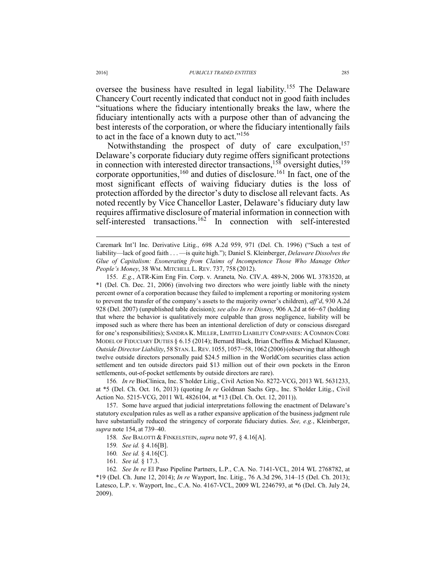oversee the business have resulted in legal liability.155 The Delaware Chancery Court recently indicated that conduct not in good faith includes "situations where the fiduciary intentionally breaks the law, where the fiduciary intentionally acts with a purpose other than of advancing the best interests of the corporation, or where the fiduciary intentionally fails to act in the face of a known duty to act."<sup>156</sup>

Notwithstanding the prospect of duty of care exculpation,<sup>157</sup> Delaware's corporate fiduciary duty regime offers significant protections in connection with interested director transactions,  $158$  oversight duties,  $159$ corporate opportunities,  $160$  and duties of disclosure.  $161$  In fact, one of the most significant effects of waiving fiduciary duties is the loss of protection afforded by the director's duty to disclose all relevant facts. As noted recently by Vice Chancellor Laster, Delaware's fiduciary duty law requires affirmative disclosure of material information in connection with self-interested transactions.<sup>162</sup> In connection with self-interested

 155. *E.g.*, ATR-Kim Eng Fin. Corp. v. Araneta*,* No. CIV.A. 489-N, 2006 WL 3783520, at \*1 (Del. Ch. Dec. 21, 2006) (involving two directors who were jointly liable with the ninety percent owner of a corporation because they failed to implement a reporting or monitoring system to prevent the transfer of the company's assets to the majority owner's children), *aff'd*, 930 A.2d 928 (Del. 2007) (unpublished table decision); *see also In re Disney*, 906 A.2d at 66–67 (holding that where the behavior is qualitatively more culpable than gross negligence, liability will be imposed such as where there has been an intentional dereliction of duty or conscious disregard for one's responsibilities); SANDRA K. MILLER, LIMITED LIABILITY COMPANIES: A COMMON CORE MODEL OF FIDUCIARY DUTIES § 6.15 (2014); Bernard Black, Brian Cheffins & Michael Klausner, *Outside Director Liability*, 58 STAN. L.REV. 1055, 1057–58, 1062 (2006)(observing that although twelve outside directors personally paid \$24.5 million in the WorldCom securities class action settlement and ten outside directors paid \$13 million out of their own pockets in the Enron settlements, out-of-pocket settlements by outside directors are rare).

156*. In re* BioClinica, Inc. S'holder Litig., Civil Action No. 8272-VCG, 2013 WL 5631233, at \*5 (Del. Ch. Oct. 16, 2013) (quoting *In re* Goldman Sachs Grp., Inc. S'holder Litig., Civil Action No. 5215-VCG, 2011 WL 4826104, at \*13 (Del. Ch. Oct. 12, 2011)).

 157. Some have argued that judicial interpretations following the enactment of Delaware's statutory exculpation rules as well as a rather expansive application of the business judgment rule have substantially reduced the stringency of corporate fiduciary duties. *See, e.g.*, Kleinberger, *supra* note 154, at 739–40.

158*. See* BALOTTI & FINKELSTEIN, *supra* note 97, § 4.16[A].

159*. See id.* § 4.16[B].

160*. See id.* § 4.16[C].

161*. See id.* § 17.3.

162*. See In re* El Paso Pipeline Partners, L.P., C.A. No. 7141-VCL, 2014 WL 2768782, at \*19 (Del. Ch. June 12, 2014); *In re* Wayport, Inc. Litig., 76 A.3d 296, 314–15 (Del. Ch. 2013); Latesco, L.P. v. Wayport, Inc., C.A. No. 4167-VCL, 2009 WL 2246793, at \*6 (Del. Ch. July 24, 2009).

Caremark Int'l Inc. Derivative Litig., 698 A.2d 959, 971 (Del. Ch. 1996) ("Such a test of liability—lack of good faith . . . —is quite high."); Daniel S. Kleinberger, *Delaware Dissolves the Glue of Capitalism: Exonerating from Claims of Incompetence Those Who Manage Other People's Money*, 38 WM. MITCHELL L. REV. 737, 758 (2012).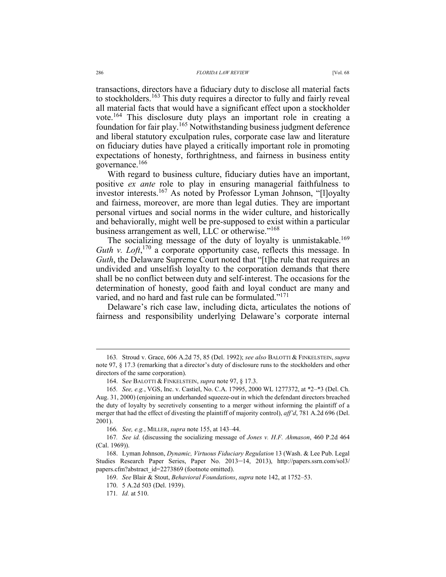transactions, directors have a fiduciary duty to disclose all material facts to stockholders.163 This duty requires a director to fully and fairly reveal all material facts that would have a significant effect upon a stockholder vote.<sup>164</sup> This disclosure duty plays an important role in creating a foundation for fair play.165 Notwithstanding business judgment deference and liberal statutory exculpation rules, corporate case law and literature on fiduciary duties have played a critically important role in promoting expectations of honesty, forthrightness, and fairness in business entity governance.<sup>166</sup>

With regard to business culture, fiduciary duties have an important, positive *ex ante* role to play in ensuring managerial faithfulness to investor interests.<sup>167</sup> As noted by Professor Lyman Johnson, "[l]oyalty and fairness, moreover, are more than legal duties. They are important personal virtues and social norms in the wider culture, and historically and behaviorally, might well be pre-supposed to exist within a particular business arrangement as well, LLC or otherwise."<sup>168</sup>

The socializing message of the duty of loyalty is unmistakable.<sup>169</sup> Guth v. Loft,<sup>170</sup> a corporate opportunity case, reflects this message. In *Guth*, the Delaware Supreme Court noted that "[t]he rule that requires an undivided and unselfish loyalty to the corporation demands that there shall be no conflict between duty and self-interest. The occasions for the determination of honesty, good faith and loyal conduct are many and varied, and no hard and fast rule can be formulated."<sup>171</sup>

Delaware's rich case law, including dicta, articulates the notions of fairness and responsibility underlying Delaware's corporate internal

 <sup>163</sup>*.* Stroud v. Grace, 606 A.2d 75, 85 (Del. 1992); *see also* BALOTTI & FINKELSTEIN, *supra*  note 97, § 17.3 (remarking that a director's duty of disclosure runs to the stockholders and other directors of the same corporation).

 <sup>164.</sup> S*ee* BALOTTI & FINKELSTEIN, *supra* note 97, § 17.3.

<sup>165</sup>*. See, e.g.*, VGS, Inc. v. Castiel, No. C.A. 17995, 2000 WL 1277372, at \*2–\*3 (Del. Ch. Aug. 31, 2000) (enjoining an underhanded squeeze-out in which the defendant directors breached the duty of loyalty by secretively consenting to a merger without informing the plaintiff of a merger that had the effect of divesting the plaintiff of majority control), *aff'd*, 781 A.2d 696 (Del. 2001).

<sup>166</sup>*. See, e.g.*, MILLER, *supra* note 155, at 143–44.

<sup>167</sup>*. See id.* (discussing the socializing message of *Jones v. H.F. Ahmason*, 460 P.2d 464 (Cal. 1969)).

 <sup>168.</sup> Lyman Johnson, *Dynamic, Virtuous Fiduciary Regulation* 13 (Wash. & Lee Pub. Legal Studies Research Paper Series, Paper No. 2013–14, 2013), http://papers.ssrn.com/sol3/ papers.cfm?abstract\_id=2273869 (footnote omitted).

 <sup>169.</sup> *See* Blair & Stout, *Behavioral Foundations*, *supra* note 142, at 1752–53.

 <sup>170. 5</sup> A.2d 503 (Del. 1939).

<sup>171</sup>*. Id.* at 510.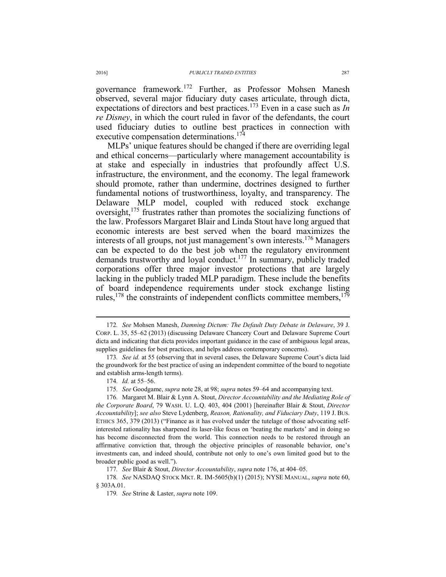governance framework.172 Further, as Professor Mohsen Manesh observed, several major fiduciary duty cases articulate, through dicta, expectations of directors and best practices.173 Even in a case such as *In re Disney*, in which the court ruled in favor of the defendants, the court used fiduciary duties to outline best practices in connection with executive compensation determinations.<sup>174</sup>

MLPs' unique features should be changed if there are overriding legal and ethical concerns—particularly where management accountability is at stake and especially in industries that profoundly affect U.S. infrastructure, the environment, and the economy. The legal framework should promote, rather than undermine, doctrines designed to further fundamental notions of trustworthiness, loyalty, and transparency. The Delaware MLP model, coupled with reduced stock exchange oversight,<sup>175</sup> frustrates rather than promotes the socializing functions of the law. Professors Margaret Blair and Linda Stout have long argued that economic interests are best served when the board maximizes the interests of all groups, not just management's own interests.176 Managers can be expected to do the best job when the regulatory environment demands trustworthy and loyal conduct.<sup>177</sup> In summary, publicly traded corporations offer three major investor protections that are largely lacking in the publicly traded MLP paradigm. These include the benefits of board independence requirements under stock exchange listing rules,<sup>178</sup> the constraints of independent conflicts committee members,<sup>179</sup>

175*. See* Goodgame, *supra* note 28, at 98; *supra* notes 59–64 and accompanying text.

176*.* Margaret M. Blair & Lynn A. Stout, *Director Accountability and the Mediating Role of the Corporate Board*, 79 WASH. U. L.Q. 403, 404 (2001) [hereinafter Blair & Stout, *Director Accountability*]; *see also* Steve Lydenberg, *Reason, Rationality, and Fiduciary Duty*, 119 J. BUS. ETHICS 365, 379 (2013) ("Finance as it has evolved under the tutelage of those advocating selfinterested rationality has sharpened its laser-like focus on 'beating the markets' and in doing so has become disconnected from the world. This connection needs to be restored through an affirmative conviction that, through the objective principles of reasonable behavior, one's investments can, and indeed should, contribute not only to one's own limited good but to the broader public good as well.").

177*. See* Blair & Stout, *Director Accountability*, *supra* note 176, at 404–05.

178*. See* NASDAQ STOCK MKT. R. IM-5605(b)(1) (2015); NYSE MANUAL, *supra* note 60, § 303A.01.

179*. See* Strine & Laster, *supra* note 109.

 <sup>172</sup>*. See* Mohsen Manesh, *Damning Dictum: The Default Duty Debate in Delaware*, 39 J. CORP. L. 35, 55–62 (2013) (discussing Delaware Chancery Court and Delaware Supreme Court dicta and indicating that dicta provides important guidance in the case of ambiguous legal areas, supplies guidelines for best practices, and helps address contemporary concerns).

<sup>173</sup>*. See id.* at 55 (observing that in several cases, the Delaware Supreme Court's dicta laid the groundwork for the best practice of using an independent committee of the board to negotiate and establish arms-length terms).

<sup>174</sup>*. Id.* at 55–56.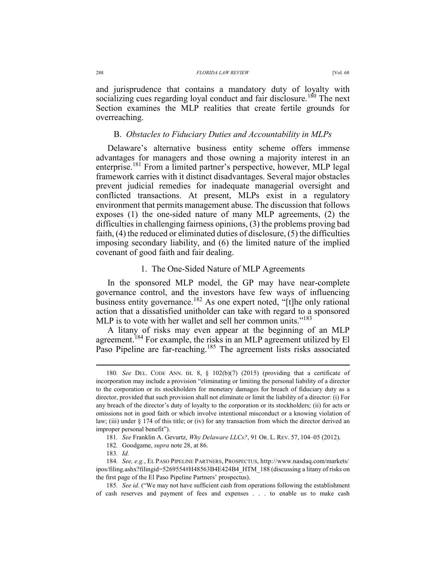and jurisprudence that contains a mandatory duty of loyalty with socializing cues regarding loyal conduct and fair disclosure.<sup>180</sup> The next Section examines the MLP realities that create fertile grounds for overreaching.

#### B. *Obstacles to Fiduciary Duties and Accountability in MLPs*

Delaware's alternative business entity scheme offers immense advantages for managers and those owning a majority interest in an enterprise.<sup>181</sup> From a limited partner's perspective, however, MLP legal framework carries with it distinct disadvantages. Several major obstacles prevent judicial remedies for inadequate managerial oversight and conflicted transactions. At present, MLPs exist in a regulatory environment that permits management abuse. The discussion that follows exposes (1) the one-sided nature of many MLP agreements, (2) the difficulties in challenging fairness opinions, (3) the problems proving bad faith, (4) the reduced or eliminated duties of disclosure, (5) the difficulties imposing secondary liability, and (6) the limited nature of the implied covenant of good faith and fair dealing.

## 1. The One-Sided Nature of MLP Agreements

In the sponsored MLP model, the GP may have near-complete governance control, and the investors have few ways of influencing business entity governance.<sup>182</sup> As one expert noted, "[t]he only rational action that a dissatisfied unitholder can take with regard to a sponsored MLP is to vote with her wallet and sell her common units."<sup>183</sup>

A litany of risks may even appear at the beginning of an MLP agreement.184 For example, the risks in an MLP agreement utilized by El Paso Pipeline are far-reaching.<sup>185</sup> The agreement lists risks associated

 <sup>180</sup>*. See* DEL. CODE ANN. tit. 8, § 102(b)(7) (2015) (providing that a certificate of incorporation may include a provision "eliminating or limiting the personal liability of a director to the corporation or its stockholders for monetary damages for breach of fiduciary duty as a director, provided that such provision shall not eliminate or limit the liability of a director: (i) For any breach of the director's duty of loyalty to the corporation or its stockholders; (ii) for acts or omissions not in good faith or which involve intentional misconduct or a knowing violation of law; (iii) under § 174 of this title; or (iv) for any transaction from which the director derived an improper personal benefit").

<sup>181</sup>*. See* Franklin A. Gevurtz, *Why Delaware LLCs?*, 91 OR. L. REV. 57, 104–05 (2012).

<sup>182</sup>*.* Goodgame, *supra* note 28, at 86.

<sup>183</sup>*. Id.*

<sup>184</sup>*. See, e.g.*, EL PASO PIPELINE PARTNERS, PROSPECTUS, http://www.nasdaq.com/markets/ ipos/filing.ashx?filingid=5269554#H48563B4E424B4\_HTM\_188 (discussing a litany of risks on the first page of the El Paso Pipeline Partners' prospectus).

<sup>185</sup>*. See id.* ("We may not have sufficient cash from operations following the establishment of cash reserves and payment of fees and expenses . . . to enable us to make cash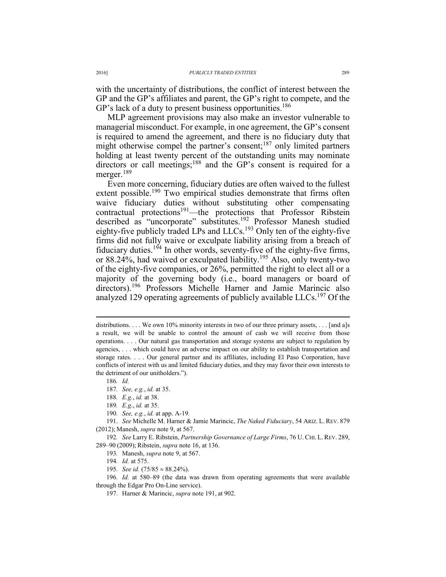with the uncertainty of distributions, the conflict of interest between the GP and the GP's affiliates and parent, the GP's right to compete, and the GP's lack of a duty to present business opportunities.<sup>186</sup>

MLP agreement provisions may also make an investor vulnerable to managerial misconduct. For example, in one agreement, the GP's consent is required to amend the agreement, and there is no fiduciary duty that might otherwise compel the partner's consent;<sup>187</sup> only limited partners holding at least twenty percent of the outstanding units may nominate directors or call meetings;<sup>188</sup> and the GP's consent is required for a merger.<sup>189</sup>

Even more concerning, fiduciary duties are often waived to the fullest extent possible.<sup>190</sup> Two empirical studies demonstrate that firms often waive fiduciary duties without substituting other compensating contractual protections<sup>191</sup>—the protections that Professor Ribstein described as "uncorporate" substitutes.<sup>192</sup> Professor Manesh studied eighty-five publicly traded LPs and  $LLCs$ <sup>193</sup> Only ten of the eighty-five firms did not fully waive or exculpate liability arising from a breach of fiduciary duties.<sup>194</sup> In other words, seventy-five of the eighty-five firms, or 88.24%, had waived or exculpated liability.195 Also, only twenty-two of the eighty-five companies, or 26%, permitted the right to elect all or a majority of the governing body (i.e., board managers or board of directors).<sup>196</sup> Professors Michelle Harner and Jamie Marincic also analyzed 129 operating agreements of publicly available LLCs.<sup>197</sup> Of the

186*. Id.* 

 $\overline{a}$ 

190*. See, e.g.*, *id.* at app. A-19*.*

 191. *See* Michelle M. Harner & Jamie Marincic, *The Naked Fiduciary*, 54 ARIZ. L. REV. 879 (2012); Manesh, *supra* note 9, at 567.

192*. See* Larry E. Ribstein, *Partnership Governance of Large Firms*, 76 U. CHI. L. REV. 289, 289–90 (2009); Ribstein, *supra* note 16, at 136.

193*.* Manesh, *supra* note 9, at 567.

194*. Id.* at 575.

195. See id.  $(75/85 \approx 88.24\%)$ .

196*. Id.* at 580–89 (the data was drawn from operating agreements that were available through the Edgar Pro On-Line service).

197*.* Harner & Marincic, *supra* note 191, at 902.

distributions. . . . We own 10% minority interests in two of our three primary assets, . . . [and a]s a result, we will be unable to control the amount of cash we will receive from those operations. . . . Our natural gas transportation and storage systems are subject to regulation by agencies, . . . which could have an adverse impact on our ability to establish transportation and storage rates. . . . Our general partner and its affiliates, including El Paso Corporation, have conflicts of interest with us and limited fiduciary duties, and they may favor their own interests to the detriment of our unitholders.").

<sup>187</sup>*. See, e.g.*, *id.* at 35.

<sup>188</sup>*. E.g.*, *id.* at 38.

<sup>189</sup>*. E.g*., *id.* at 35.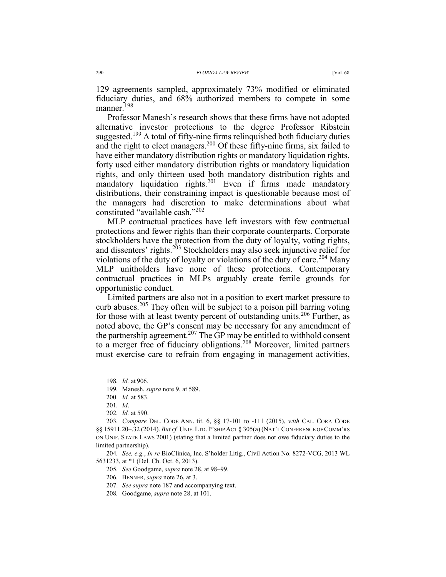129 agreements sampled, approximately 73% modified or eliminated fiduciary duties, and 68% authorized members to compete in some manner.<sup>198</sup>

Professor Manesh's research shows that these firms have not adopted alternative investor protections to the degree Professor Ribstein suggested.<sup>199</sup> A total of fifty-nine firms relinquished both fiduciary duties and the right to elect managers.200 Of these fifty-nine firms, six failed to have either mandatory distribution rights or mandatory liquidation rights, forty used either mandatory distribution rights or mandatory liquidation rights, and only thirteen used both mandatory distribution rights and mandatory liquidation rights.<sup>201</sup> Even if firms made mandatory distributions, their constraining impact is questionable because most of the managers had discretion to make determinations about what constituted "available cash."202

MLP contractual practices have left investors with few contractual protections and fewer rights than their corporate counterparts. Corporate stockholders have the protection from the duty of loyalty, voting rights, and dissenters' rights.203 Stockholders may also seek injunctive relief for violations of the duty of loyalty or violations of the duty of care.<sup>204</sup> Many MLP unitholders have none of these protections. Contemporary contractual practices in MLPs arguably create fertile grounds for opportunistic conduct.

Limited partners are also not in a position to exert market pressure to curb abuses.<sup>205</sup> They often will be subject to a poison pill barring voting for those with at least twenty percent of outstanding units.<sup>206</sup> Further, as noted above, the GP's consent may be necessary for any amendment of the partnership agreement.<sup>207</sup> The GP may be entitled to withhold consent to a merger free of fiduciary obligations.<sup>208</sup> Moreover, limited partners must exercise care to refrain from engaging in management activities,

204*. See, e.g.*, *In re* BioClinica, Inc. S'holder Litig., Civil Action No. 8272-VCG, 2013 WL 5631233, at \*1 (Del. Ch. Oct. 6, 2013).

205*. See* Goodgame, *supra* note 28, at 98–99.

208*.* Goodgame, *supra* note 28, at 101.

 <sup>198</sup>*. Id.* at 906.

<sup>199</sup>*.* Manesh, *supra* note 9, at 589.

 <sup>200.</sup> *Id.* at 583.

<sup>201</sup>*. Id*.

<sup>202</sup>*. Id.* at 590.

<sup>203</sup>*. Compare* DEL. CODE ANN. tit. 6, §§ 17-101 to -111 (2015), *with* CAL. CORP. CODE §§ 15911.20–.32 (2014). *But cf.* UNIF. LTD. P'SHIP ACT § 305(a) (NAT'L CONFERENCE OF COMM'RS ON UNIF. STATE LAWS 2001) (stating that a limited partner does not owe fiduciary duties to the limited partnership).

<sup>206</sup>*.* BENNER, *supra* note 26, at 3.

 <sup>207.</sup> *See supra* note 187 and accompanying text.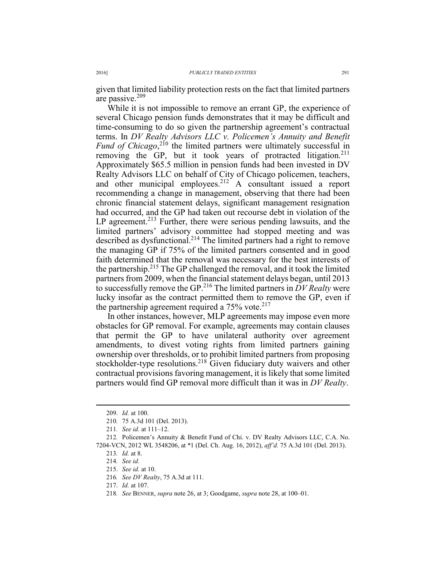given that limited liability protection rests on the fact that limited partners are passive.209

While it is not impossible to remove an errant GP, the experience of several Chicago pension funds demonstrates that it may be difficult and time-consuming to do so given the partnership agreement's contractual terms. In *DV Realty Advisors LLC v. Policemen's Annuity and Benefit Fund of Chicago*,<sup>210</sup> the limited partners were ultimately successful in removing the GP, but it took years of protracted litigation.<sup>211</sup> Approximately \$65.5 million in pension funds had been invested in DV Realty Advisors LLC on behalf of City of Chicago policemen, teachers, and other municipal employees.<sup>212</sup> A consultant issued a report recommending a change in management, observing that there had been chronic financial statement delays, significant management resignation had occurred, and the GP had taken out recourse debt in violation of the LP agreement.<sup>213</sup> Further, there were serious pending lawsuits, and the limited partners' advisory committee had stopped meeting and was described as dysfunctional.<sup>214</sup> The limited partners had a right to remove the managing GP if 75% of the limited partners consented and in good faith determined that the removal was necessary for the best interests of the partnership.215 The GP challenged the removal, and it took the limited partners from 2009, when the financial statement delays began, until 2013 to successfully remove the GP.216 The limited partners in *DV Realty* were lucky insofar as the contract permitted them to remove the GP, even if the partnership agreement required a  $75\%$  vote.<sup>217</sup>

In other instances, however, MLP agreements may impose even more obstacles for GP removal. For example, agreements may contain clauses that permit the GP to have unilateral authority over agreement amendments, to divest voting rights from limited partners gaining ownership over thresholds, or to prohibit limited partners from proposing stockholder-type resolutions.<sup>218</sup> Given fiduciary duty waivers and other contractual provisions favoring management, it is likely that some limited partners would find GP removal more difficult than it was in *DV Realty*.

 <sup>209.</sup> *Id.* at 100.

<sup>210</sup>*.* 75 A.3d 101 (Del. 2013).

<sup>211</sup>*. See id.* at 111–12.

<sup>212</sup>*.* Policemen's Annuity & Benefit Fund of Chi. v. DV Realty Advisors LLC, C.A. No. 7204-VCN, 2012 WL 3548206, at \*1 (Del. Ch. Aug. 16, 2012), *aff'd.* 75 A.3d 101 (Del. 2013).

<sup>213</sup>*. Id.* at 8.

<sup>214</sup>*. See id.*

 <sup>215.</sup> *See id.* at 10.

<sup>216</sup>*. See DV Realty*, 75 A.3d at 111.

 <sup>217.</sup> *Id.* at 107.

<sup>218</sup>*. See* BENNER, *supra* note 26, at 3; Goodgame, *supra* note 28, at 100–01.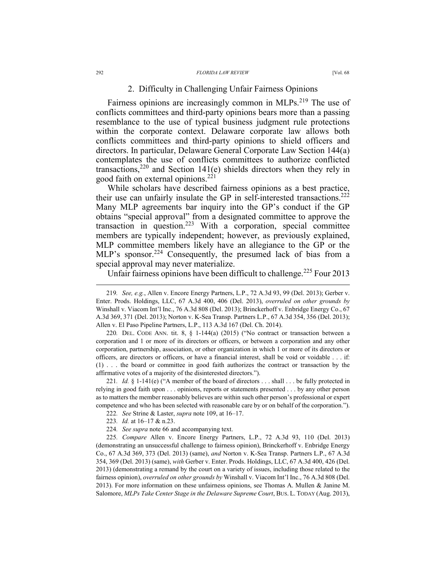## 2. Difficulty in Challenging Unfair Fairness Opinions

Fairness opinions are increasingly common in MLPs.<sup>219</sup> The use of conflicts committees and third-party opinions bears more than a passing resemblance to the use of typical business judgment rule protections within the corporate context. Delaware corporate law allows both conflicts committees and third-party opinions to shield officers and directors. In particular, Delaware General Corporate Law Section 144(a) contemplates the use of conflicts committees to authorize conflicted transactions, $220$  and Section 141(e) shields directors when they rely in good faith on external opinions. $^{221}$ 

While scholars have described fairness opinions as a best practice, their use can unfairly insulate the GP in self-interested transactions.<sup>222</sup> Many MLP agreements bar inquiry into the GP's conduct if the GP obtains "special approval" from a designated committee to approve the transaction in question.<sup>223</sup> With a corporation, special committee members are typically independent; however, as previously explained, MLP committee members likely have an allegiance to the GP or the MLP's sponsor.<sup>224</sup> Consequently, the presumed lack of bias from a special approval may never materialize.

Unfair fairness opinions have been difficult to challenge.<sup>225</sup> Four 2013

220*.* DEL. CODE ANN. tit. 8, § 1-144(a) (2015) ("No contract or transaction between a corporation and 1 or more of its directors or officers, or between a corporation and any other corporation, partnership, association, or other organization in which 1 or more of its directors or officers, are directors or officers, or have a financial interest, shall be void or voidable . . . if: (1) . . . the board or committee in good faith authorizes the contract or transaction by the affirmative votes of a majority of the disinterested directors.").

221. *Id.* § 1-141(e) ("A member of the board of directors . . . shall . . . be fully protected in relying in good faith upon . . . opinions, reports or statements presented . . . by any other person as to matters the member reasonably believes are within such other person's professional or expert competence and who has been selected with reasonable care by or on behalf of the corporation.").

222*. See* Strine & Laster, *supra* note 109, at 16–17.

- 223*. Id.* at 16–17 & n.23.
- 224*. See supra* note 66 and accompanying text.

225*. Compare* Allen v. Encore Energy Partners, L.P., 72 A.3d 93, 110 (Del. 2013) (demonstrating an unsuccessful challenge to fairness opinion), Brinckerhoff v. Enbridge Energy Co., 67 A.3d 369, 373 (Del. 2013) (same), *and* Norton v. K-Sea Transp. Partners L.P., 67 A.3d 354, 369 (Del. 2013) (same), *with* Gerber v. Enter. Prods. Holdings, LLC, 67 A.3d 400, 426 (Del. 2013) (demonstrating a remand by the court on a variety of issues, including those related to the fairness opinion), *overruled on other grounds by* Winshall v. Viacom Int'l Inc., 76 A.3d 808 (Del. 2013). For more information on these unfairness opinions, see Thomas A. Mullen & Janine M. Salomore, *MLPs Take Center Stage in the Delaware Supreme Court*, BUS. L. TODAY (Aug. 2013),

 <sup>219</sup>*. See, e.g.*, Allen v. Encore Energy Partners, L.P., 72 A.3d 93, 99 (Del. 2013); Gerber v. Enter. Prods. Holdings, LLC, 67 A.3d 400, 406 (Del. 2013), *overruled on other grounds by* Winshall v. Viacom Int'l Inc., 76 A.3d 808 (Del. 2013); Brinckerhoff v. Enbridge Energy Co., 67 A.3d 369, 371 (Del. 2013); Norton v. K-Sea Transp. Partners L.P., 67 A.3d 354, 356 (Del. 2013); Allen v. El Paso Pipeline Partners, L.P., 113 A.3d 167 (Del. Ch. 2014).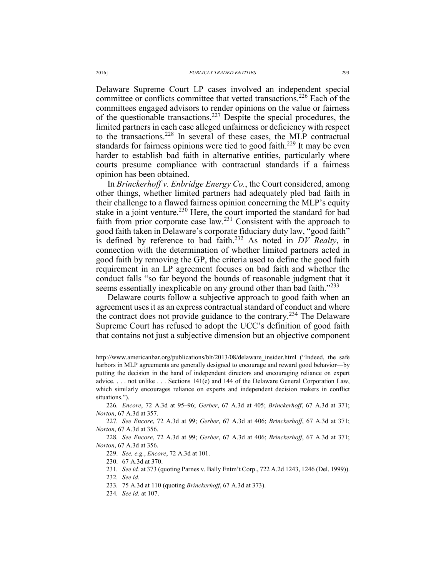Delaware Supreme Court LP cases involved an independent special committee or conflicts committee that vetted transactions.<sup>226</sup> Each of the committees engaged advisors to render opinions on the value or fairness of the questionable transactions.<sup>227</sup> Despite the special procedures, the limited partners in each case alleged unfairness or deficiency with respect to the transactions.228 In several of these cases, the MLP contractual standards for fairness opinions were tied to good faith.<sup>229</sup> It may be even harder to establish bad faith in alternative entities, particularly where courts presume compliance with contractual standards if a fairness opinion has been obtained.

In *Brinckerhoff v. Enbridge Energy Co.*, the Court considered, among other things, whether limited partners had adequately pled bad faith in their challenge to a flawed fairness opinion concerning the MLP's equity stake in a joint venture.<sup>230</sup> Here, the court imported the standard for bad faith from prior corporate case law.<sup>231</sup> Consistent with the approach to good faith taken in Delaware's corporate fiduciary duty law, "good faith" is defined by reference to bad faith.232 As noted in *DV Realty*, in connection with the determination of whether limited partners acted in good faith by removing the GP, the criteria used to define the good faith requirement in an LP agreement focuses on bad faith and whether the conduct falls "so far beyond the bounds of reasonable judgment that it seems essentially inexplicable on any ground other than bad faith."<sup>233</sup>

Delaware courts follow a subjective approach to good faith when an agreement uses it as an express contractual standard of conduct and where the contract does not provide guidance to the contrary.234 The Delaware Supreme Court has refused to adopt the UCC's definition of good faith that contains not just a subjective dimension but an objective component

227*. See Encore*, 72 A.3d at 99; *Gerber*, 67 A.3d at 406; *Brinckerhoff*, 67 A.3d at 371; *Norton*, 67 A.3d at 356.

228*. See Encore*, 72 A.3d at 99; *Gerber*, 67 A.3d at 406; *Brinckerhoff*, 67 A.3d at 371; *Norton*, 67 A.3d at 356.

229. *See, e.g.*, *Encore*, 72 A.3d at 101.

230. 67 A.3d at 370.

232*. See id.* 

- 233*.* 75 A.3d at 110 (quoting *Brinckerhoff*, 67 A.3d at 373).
- 234*. See id.* at 107.

http://www.americanbar.org/publications/blt/2013/08/delaware\_insider.html ("Indeed, the safe harbors in MLP agreements are generally designed to encourage and reward good behavior—by putting the decision in the hand of independent directors and encouraging reliance on expert advice. . . . not unlike . . . Sections 141(e) and 144 of the Delaware General Corporation Law, which similarly encourages reliance on experts and independent decision makers in conflict situations.").

<sup>226</sup>*. Encore*, 72 A.3d at 95–96; *Gerber*, 67 A.3d at 405; *Brinckerhoff*, 67 A.3d at 371; *Norton*, 67 A.3d at 357.

<sup>231</sup>*. See id.* at 373 (quoting Parnes v. Bally Entm't Corp., 722 A.2d 1243, 1246 (Del. 1999)).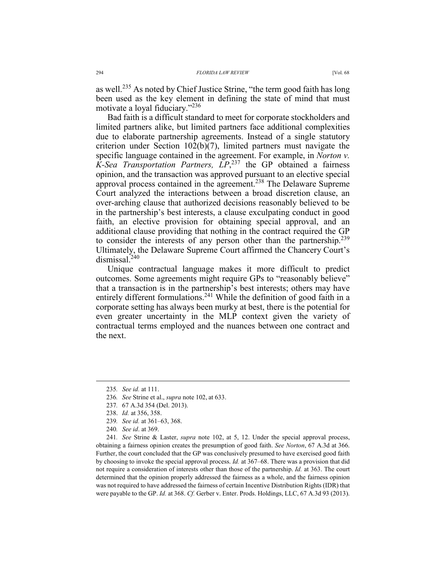as well.<sup>235</sup> As noted by Chief Justice Strine, "the term good faith has long been used as the key element in defining the state of mind that must motivate a loyal fiduciary."<sup>236</sup>

Bad faith is a difficult standard to meet for corporate stockholders and limited partners alike, but limited partners face additional complexities due to elaborate partnership agreements. Instead of a single statutory criterion under Section 102(b)(7), limited partners must navigate the specific language contained in the agreement. For example, in *Norton v. K-Sea Transportation Partners, LP*, 237 the GP obtained a fairness opinion, and the transaction was approved pursuant to an elective special approval process contained in the agreement.<sup>238</sup> The Delaware Supreme Court analyzed the interactions between a broad discretion clause, an over-arching clause that authorized decisions reasonably believed to be in the partnership's best interests, a clause exculpating conduct in good faith, an elective provision for obtaining special approval, and an additional clause providing that nothing in the contract required the GP to consider the interests of any person other than the partnership.<sup>239</sup> Ultimately, the Delaware Supreme Court affirmed the Chancery Court's dismissal<sup>240</sup>

Unique contractual language makes it more difficult to predict outcomes. Some agreements might require GPs to "reasonably believe" that a transaction is in the partnership's best interests; others may have entirely different formulations.<sup>241</sup> While the definition of good faith in a corporate setting has always been murky at best, there is the potential for even greater uncertainty in the MLP context given the variety of contractual terms employed and the nuances between one contract and the next.

- 239*. See id.* at 361–63, 368.
- 240*. See id*. at 369.

241*. See* Strine & Laster, *supra* note 102, at 5, 12. Under the special approval process, obtaining a fairness opinion creates the presumption of good faith. *See Norton*, 67 A.3d at 366. Further, the court concluded that the GP was conclusively presumed to have exercised good faith by choosing to invoke the special approval process. *Id.* at 367–68. There was a provision that did not require a consideration of interests other than those of the partnership. *Id.* at 363. The court determined that the opinion properly addressed the fairness as a whole, and the fairness opinion was not required to have addressed the fairness of certain Incentive Distribution Rights (IDR) that were payable to the GP. *Id.* at 368. *Cf.* Gerber v. Enter. Prods. Holdings, LLC, 67 A.3d 93 (2013).

 <sup>235</sup>*. See id.* at 111.

<sup>236</sup>*. See* Strine et al., *supra* note 102, at 633.

<sup>237</sup>*.* 67 A.3d 354 (Del. 2013).

 <sup>238.</sup> *Id.* at 356, 358.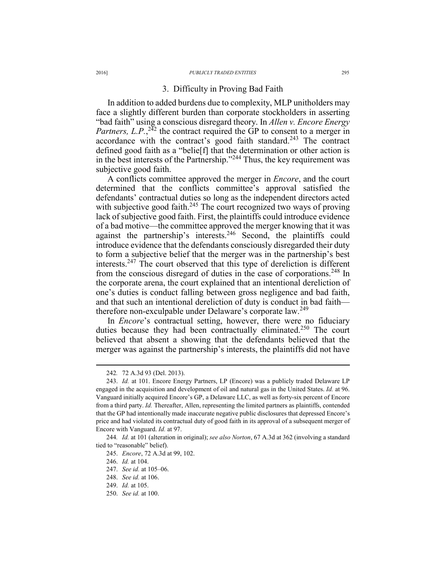## 3. Difficulty in Proving Bad Faith

In addition to added burdens due to complexity, MLP unitholders may face a slightly different burden than corporate stockholders in asserting "bad faith" using a conscious disregard theory. In *Allen v. Encore Energy Partners, L.P.*, $^{242}$  the contract required the GP to consent to a merger in accordance with the contract's good faith standard.<sup>243</sup> The contract defined good faith as a "belie[f] that the determination or other action is in the best interests of the Partnership."244 Thus, the key requirement was subjective good faith.

A conflicts committee approved the merger in *Encore*, and the court determined that the conflicts committee's approval satisfied the defendants' contractual duties so long as the independent directors acted with subjective good faith.<sup>245</sup> The court recognized two ways of proving lack of subjective good faith. First, the plaintiffs could introduce evidence of a bad motive—the committee approved the merger knowing that it was against the partnership's interests.<sup>246</sup> Second, the plaintiffs could introduce evidence that the defendants consciously disregarded their duty to form a subjective belief that the merger was in the partnership's best interests.247 The court observed that this type of dereliction is different from the conscious disregard of duties in the case of corporations.<sup>248</sup> In the corporate arena, the court explained that an intentional dereliction of one's duties is conduct falling between gross negligence and bad faith, and that such an intentional dereliction of duty is conduct in bad faith therefore non-exculpable under Delaware's corporate law.<sup>249</sup>

In *Encore*'s contractual setting, however, there were no fiduciary duties because they had been contractually eliminated.<sup>250</sup> The court believed that absent a showing that the defendants believed that the merger was against the partnership's interests, the plaintiffs did not have

 <sup>242</sup>*.* 72 A.3d 93 (Del. 2013).

 <sup>243.</sup> *Id.* at 101. Encore Energy Partners, LP (Encore) was a publicly traded Delaware LP engaged in the acquisition and development of oil and natural gas in the United States. *Id.* at 96. Vanguard initially acquired Encore's GP, a Delaware LLC, as well as forty-six percent of Encore from a third party. *Id.* Thereafter, Allen, representing the limited partners as plaintiffs, contended that the GP had intentionally made inaccurate negative public disclosures that depressed Encore's price and had violated its contractual duty of good faith in its approval of a subsequent merger of Encore with Vanguard. *Id.* at 97.

<sup>244</sup>*. Id.* at 101 (alteration in original); *see also Norton*, 67 A.3d at 362 (involving a standard tied to "reasonable" belief).

 <sup>245.</sup> *Encore*, 72 A.3d at 99, 102.

 <sup>246.</sup> *Id.* at 104.

 <sup>247.</sup> *See id.* at 105–06.

 <sup>248.</sup> *See id.* at 106.

 <sup>249.</sup> *Id.* at 105.

 <sup>250.</sup> *See id.* at 100.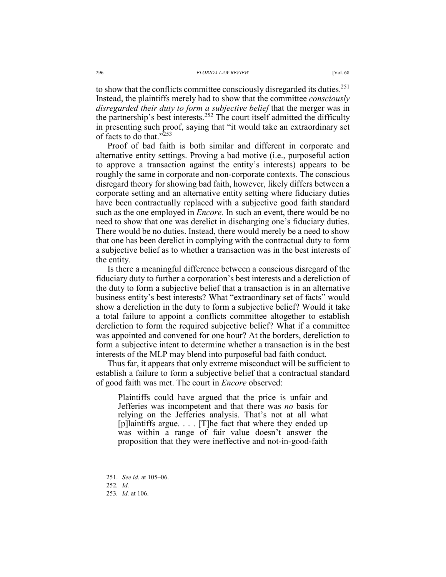to show that the conflicts committee consciously disregarded its duties.<sup>251</sup> Instead, the plaintiffs merely had to show that the committee *consciously disregarded their duty to form a subjective belief* that the merger was in the partnership's best interests.<sup>252</sup> The court itself admitted the difficulty in presenting such proof, saying that "it would take an extraordinary set of facts to do that." $253$ 

Proof of bad faith is both similar and different in corporate and alternative entity settings. Proving a bad motive (i.e., purposeful action to approve a transaction against the entity's interests) appears to be roughly the same in corporate and non-corporate contexts. The conscious disregard theory for showing bad faith, however, likely differs between a corporate setting and an alternative entity setting where fiduciary duties have been contractually replaced with a subjective good faith standard such as the one employed in *Encore.* In such an event, there would be no need to show that one was derelict in discharging one's fiduciary duties. There would be no duties. Instead, there would merely be a need to show that one has been derelict in complying with the contractual duty to form a subjective belief as to whether a transaction was in the best interests of the entity.

Is there a meaningful difference between a conscious disregard of the fiduciary duty to further a corporation's best interests and a dereliction of the duty to form a subjective belief that a transaction is in an alternative business entity's best interests? What "extraordinary set of facts" would show a dereliction in the duty to form a subjective belief? Would it take a total failure to appoint a conflicts committee altogether to establish dereliction to form the required subjective belief? What if a committee was appointed and convened for one hour? At the borders, dereliction to form a subjective intent to determine whether a transaction is in the best interests of the MLP may blend into purposeful bad faith conduct.

Thus far, it appears that only extreme misconduct will be sufficient to establish a failure to form a subjective belief that a contractual standard of good faith was met. The court in *Encore* observed:

Plaintiffs could have argued that the price is unfair and Jefferies was incompetent and that there was *no* basis for relying on the Jefferies analysis. That's not at all what [p]laintiffs argue. . . . [T]he fact that where they ended up was within a range of fair value doesn't answer the proposition that they were ineffective and not-in-good-faith

 <sup>251.</sup> *See id.* at 105–06.

 <sup>252</sup>*. Id.*

<sup>253</sup>*. Id.* at 106.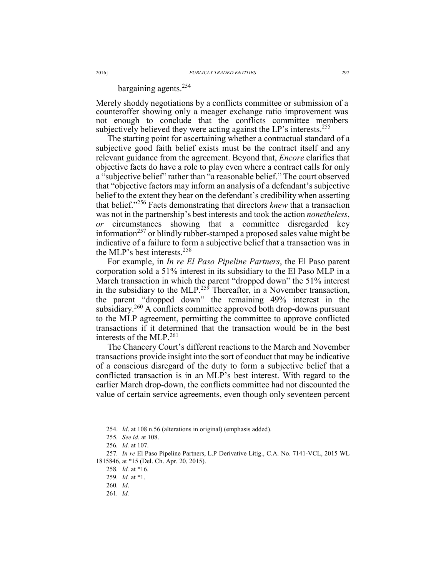## bargaining agents.254

Merely shoddy negotiations by a conflicts committee or submission of a counteroffer showing only a meager exchange ratio improvement was not enough to conclude that the conflicts committee members subjectively believed they were acting against the LP's interests.<sup>255</sup>

The starting point for ascertaining whether a contractual standard of a subjective good faith belief exists must be the contract itself and any relevant guidance from the agreement. Beyond that, *Encore* clarifies that objective facts do have a role to play even where a contract calls for only a "subjective belief" rather than "a reasonable belief." The court observed that "objective factors may inform an analysis of a defendant's subjective belief to the extent they bear on the defendant's credibility when asserting that belief."256 Facts demonstrating that directors *knew* that a transaction was not in the partnership's best interests and took the action *nonetheless*, *or* circumstances showing that a committee disregarded key information<sup>257</sup> or blindly rubber-stamped a proposed sales value might be indicative of a failure to form a subjective belief that a transaction was in the MLP's best interests.<sup>258</sup>

For example, in *In re El Paso Pipeline Partners*, the El Paso parent corporation sold a 51% interest in its subsidiary to the El Paso MLP in a March transaction in which the parent "dropped down" the 51% interest in the subsidiary to the MLP.<sup>259</sup> Thereafter, in a November transaction, the parent "dropped down" the remaining 49% interest in the subsidiary.<sup>260</sup> A conflicts committee approved both drop-downs pursuant to the MLP agreement, permitting the committee to approve conflicted transactions if it determined that the transaction would be in the best interests of the MLP. $^{261}$ 

The Chancery Court's different reactions to the March and November transactions provide insight into the sort of conduct that may be indicative of a conscious disregard of the duty to form a subjective belief that a conflicted transaction is in an MLP's best interest. With regard to the earlier March drop-down, the conflicts committee had not discounted the value of certain service agreements, even though only seventeen percent

 $\overline{a}$ 

261*. Id.*

 <sup>254.</sup> *Id*. at 108 n.56 (alterations in original) (emphasis added).

<sup>255</sup>*. See id.* at 108.

<sup>256</sup>*. Id.* at 107.

<sup>257</sup>*. In re* El Paso Pipeline Partners, L.P Derivative Litig., C.A. No. 7141-VCL, 2015 WL 1815846, at \*15 (Del. Ch. Apr. 20, 2015).

<sup>258</sup>*. Id.* at \*16.

<sup>259</sup>*. Id.* at \*1.

<sup>260</sup>*. Id*.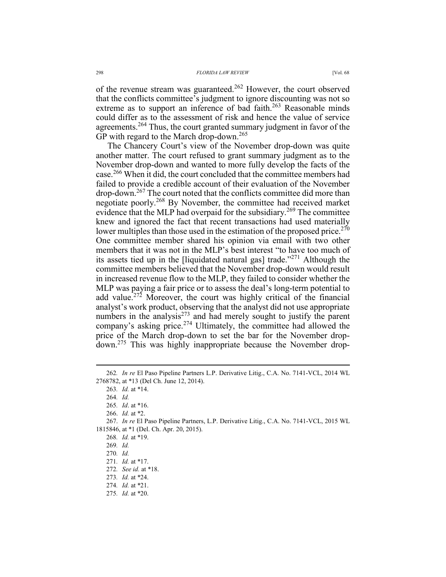of the revenue stream was guaranteed.<sup>262</sup> However, the court observed that the conflicts committee's judgment to ignore discounting was not so extreme as to support an inference of bad faith.<sup>263</sup> Reasonable minds could differ as to the assessment of risk and hence the value of service agreements.264 Thus, the court granted summary judgment in favor of the GP with regard to the March drop-down.<sup>265</sup>

The Chancery Court's view of the November drop-down was quite another matter. The court refused to grant summary judgment as to the November drop-down and wanted to more fully develop the facts of the case.<sup>266</sup> When it did, the court concluded that the committee members had failed to provide a credible account of their evaluation of the November drop-down.267 The court noted that the conflicts committee did more than negotiate poorly.268 By November, the committee had received market evidence that the MLP had overpaid for the subsidiary.<sup>269</sup> The committee knew and ignored the fact that recent transactions had used materially lower multiples than those used in the estimation of the proposed price.<sup>270</sup> One committee member shared his opinion via email with two other members that it was not in the MLP's best interest "to have too much of its assets tied up in the Hiquidated natural gas] trade.<sup> $271$ </sup> Although the committee members believed that the November drop-down would result in increased revenue flow to the MLP, they failed to consider whether the MLP was paying a fair price or to assess the deal's long-term potential to add value.<sup>272</sup> Moreover, the court was highly critical of the financial analyst's work product, observing that the analyst did not use appropriate numbers in the analysis $^{273}$  and had merely sought to justify the parent company's asking price.274 Ultimately, the committee had allowed the price of the March drop-down to set the bar for the November dropdown.275 This was highly inappropriate because the November drop-

275*. Id.* at \*20.

 <sup>262</sup>*. In re* El Paso Pipeline Partners L.P. Derivative Litig., C.A. No. 7141-VCL, 2014 WL 2768782, at \*13 (Del Ch. June 12, 2014).

<sup>263</sup>*. Id.* at \*14. 264*. Id.*

<sup>265</sup>*. Id*. at \*16.

 <sup>266.</sup> *Id.* at \*2.

 <sup>267.</sup> *In re* El Paso Pipeline Partners, L.P. Derivative Litig., C.A. No. 7141-VCL, 2015 WL 1815846, at \*1 (Del. Ch. Apr. 20, 2015).

<sup>268</sup>*. Id.* at \*19.

<sup>269</sup>*. Id.*

<sup>270</sup>*. Id.*

<sup>271</sup>*. Id.* at \*17.

<sup>272</sup>*. See id.* at \*18.

<sup>273</sup>*. Id.* at \*24.

<sup>274</sup>*. Id.* at \*21.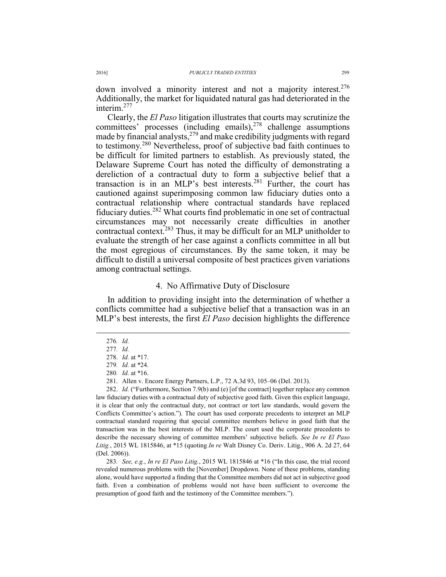down involved a minority interest and not a majority interest.<sup>276</sup> Additionally, the market for liquidated natural gas had deteriorated in the interim<sup>277</sup>

Clearly, the *El Paso* litigation illustrates that courts may scrutinize the committees' processes (including emails),<sup>278</sup> challenge assumptions made by financial analysts,<sup>279</sup> and make credibility judgments with regard to testimony.280 Nevertheless, proof of subjective bad faith continues to be difficult for limited partners to establish. As previously stated, the Delaware Supreme Court has noted the difficulty of demonstrating a dereliction of a contractual duty to form a subjective belief that a transaction is in an MLP's best interests.281 Further, the court has cautioned against superimposing common law fiduciary duties onto a contractual relationship where contractual standards have replaced fiduciary duties.282 What courts find problematic in one set of contractual circumstances may not necessarily create difficulties in another contractual context.283 Thus, it may be difficult for an MLP unitholder to evaluate the strength of her case against a conflicts committee in all but the most egregious of circumstances. By the same token, it may be difficult to distill a universal composite of best practices given variations among contractual settings.

## 4. No Affirmative Duty of Disclosure

In addition to providing insight into the determination of whether a conflicts committee had a subjective belief that a transaction was in an MLP's best interests, the first *El Paso* decision highlights the difference

281. Allen v. Encore Energy Partners, L.P., 72 A.3d 93, 105–06 (Del. 2013).

282. *Id.* ("Furthermore, Section 7.9(b) and (e) [of the contract] together replace any common law fiduciary duties with a contractual duty of subjective good faith. Given this explicit language, it is clear that only the contractual duty, not contract or tort law standards, would govern the Conflicts Committee's action."). The court has used corporate precedents to interpret an MLP contractual standard requiring that special committee members believe in good faith that the transaction was in the best interests of the MLP. The court used the corporate precedents to describe the necessary showing of committee members' subjective beliefs. *See In re El Paso Litig.*, 2015 WL 1815846, at \*15 (quoting *In re* Walt Disney Co. Deriv. Litig., 906 A. 2d 27, 64 (Del. 2006)).

283*. See, e.g.*, *In re El Paso Litig.*, 2015 WL 1815846 at \*16 ("In this case, the trial record revealed numerous problems with the [November] Dropdown. None of these problems, standing alone, would have supported a finding that the Committee members did not act in subjective good faith. Even a combination of problems would not have been sufficient to overcome the presumption of good faith and the testimony of the Committee members.").

 <sup>276</sup>*. Id.*

<sup>277</sup>*. Id.*

 <sup>278.</sup> *Id.* at \*17.

<sup>279</sup>*. Id.* at \*24.

<sup>280</sup>*. Id.* at \*16.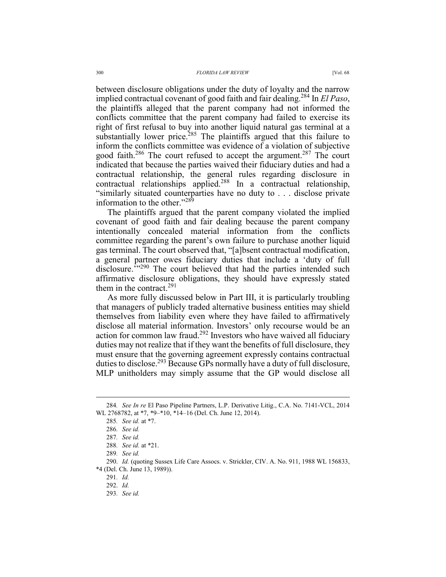between disclosure obligations under the duty of loyalty and the narrow implied contractual covenant of good faith and fair dealing.284 In *El Paso*, the plaintiffs alleged that the parent company had not informed the conflicts committee that the parent company had failed to exercise its right of first refusal to buy into another liquid natural gas terminal at a substantially lower price.<sup>285</sup> The plaintiffs argued that this failure to inform the conflicts committee was evidence of a violation of subjective good faith.<sup>286</sup> The court refused to accept the argument.<sup>287</sup> The court indicated that because the parties waived their fiduciary duties and had a contractual relationship, the general rules regarding disclosure in contractual relationships applied.<sup>288</sup> In a contractual relationship, "similarly situated counterparties have no duty to . . . disclose private information to the other."<sup>289</sup>

The plaintiffs argued that the parent company violated the implied covenant of good faith and fair dealing because the parent company intentionally concealed material information from the conflicts committee regarding the parent's own failure to purchase another liquid gas terminal. The court observed that, "[a]bsent contractual modification, a general partner owes fiduciary duties that include a 'duty of full disclosure.<sup>'"290</sup> The court believed that had the parties intended such affirmative disclosure obligations, they should have expressly stated them in the contract  $291$ 

As more fully discussed below in Part III, it is particularly troubling that managers of publicly traded alternative business entities may shield themselves from liability even where they have failed to affirmatively disclose all material information. Investors' only recourse would be an action for common law fraud.292 Investors who have waived all fiduciary duties may not realize that if they want the benefits of full disclosure, they must ensure that the governing agreement expressly contains contractual duties to disclose.<sup>293</sup> Because GPs normally have a duty of full disclosure, MLP unitholders may simply assume that the GP would disclose all

293*. See id.*

 <sup>284</sup>*. See In re* El Paso Pipeline Partners, L.P. Derivative Litig., C.A. No. 7141-VCL, 2014 WL 2768782, at \*7, \*9–\*10, \*14–16 (Del. Ch. June 12, 2014).

<sup>285</sup>*. See id.* at \*7.

<sup>286</sup>*. See id.*

<sup>287</sup>*. See id.*

<sup>288</sup>*. See id.* at \*21.

<sup>289</sup>*. See id.*

 <sup>290.</sup> *Id.* (quoting Sussex Life Care Assocs. v. Strickler, CIV. A. No. 911, 1988 WL 156833, \*4 (Del. Ch. June 13, 1989)).

<sup>291</sup>*. Id.*

 <sup>292.</sup> *Id.*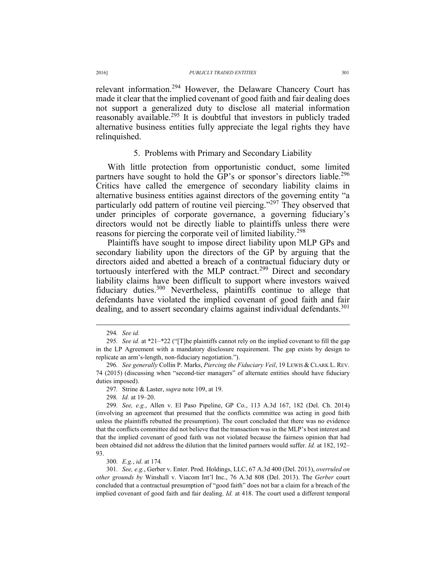relevant information.294 However, the Delaware Chancery Court has made it clear that the implied covenant of good faith and fair dealing does not support a generalized duty to disclose all material information reasonably available.<sup>295</sup> It is doubtful that investors in publicly traded alternative business entities fully appreciate the legal rights they have relinquished.

## 5. Problems with Primary and Secondary Liability

With little protection from opportunistic conduct, some limited partners have sought to hold the GP's or sponsor's directors liable.<sup>296</sup> Critics have called the emergence of secondary liability claims in alternative business entities against directors of the governing entity "a particularly odd pattern of routine veil piercing."<sup>297</sup> They observed that under principles of corporate governance, a governing fiduciary's directors would not be directly liable to plaintiffs unless there were reasons for piercing the corporate veil of limited liability.<sup>298</sup>

Plaintiffs have sought to impose direct liability upon MLP GPs and secondary liability upon the directors of the GP by arguing that the directors aided and abetted a breach of a contractual fiduciary duty or tortuously interfered with the MLP contract.<sup>299</sup> Direct and secondary liability claims have been difficult to support where investors waived fiduciary duties.<sup>300</sup> Nevertheless, plaintiffs continue to allege that defendants have violated the implied covenant of good faith and fair dealing, and to assert secondary claims against individual defendants.<sup>301</sup>

298*. Id.* at 19–20.

299*. See, e.g.*, Allen v. El Paso Pipeline, GP Co., 113 A.3d 167, 182 (Del. Ch. 2014) (involving an agreement that presumed that the conflicts committee was acting in good faith unless the plaintiffs rebutted the presumption). The court concluded that there was no evidence that the conflicts committee did not believe that the transaction was in the MLP's best interest and that the implied covenant of good faith was not violated because the fairness opinion that had been obtained did not address the dilution that the limited partners would suffer. *Id.* at 182, 192– 93.

300*. E.g.*, *id*. at 174*.* 

301*. See, e.g.*, Gerber v. Enter. Prod. Holdings, LLC, 67 A.3d 400 (Del. 2013), *overruled on other grounds by* Winshall v. Viacom Int'l Inc., 76 A.3d 808 (Del. 2013). The *Gerber* court concluded that a contractual presumption of "good faith" does not bar a claim for a breach of the implied covenant of good faith and fair dealing. *Id.* at 418. The court used a different temporal

 <sup>294</sup>*. See id.*

<sup>295</sup>*. See id.* at \*21–\*22 ("[T]he plaintiffs cannot rely on the implied covenant to fill the gap in the LP Agreement with a mandatory disclosure requirement. The gap exists by design to replicate an arm's-length, non-fiduciary negotiation.").

<sup>296</sup>*. See generally* Collin P. Marks, *Piercing the Fiduciary Veil*, 19 LEWIS & CLARK L. REV. 74 (2015) (discussing when "second-tier managers" of alternate entities should have fiduciary duties imposed).

<sup>297</sup>*.* Strine & Laster, *supra* note 109, at 19.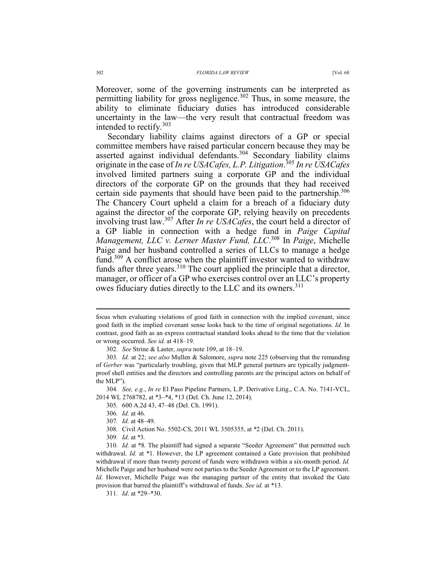Moreover, some of the governing instruments can be interpreted as permitting liability for gross negligence.<sup>302</sup> Thus, in some measure, the ability to eliminate fiduciary duties has introduced considerable uncertainty in the law—the very result that contractual freedom was intended to rectify.<sup>303</sup>

Secondary liability claims against directors of a GP or special committee members have raised particular concern because they may be asserted against individual defendants.<sup>304</sup> Secondary liability claims originate in the case of *In re USACafes, L.P. Litigation*. <sup>305</sup> *In re USACafes*  involved limited partners suing a corporate GP and the individual directors of the corporate GP on the grounds that they had received certain side payments that should have been paid to the partnership.<sup>306</sup> The Chancery Court upheld a claim for a breach of a fiduciary duty against the director of the corporate GP, relying heavily on precedents involving trust law.307 After *In re USACafes*, the court held a director of a GP liable in connection with a hedge fund in *Paige Capital Management, LLC v. Lerner Master Fund, LLC*. 308 In *Paige*, Michelle Paige and her husband controlled a series of LLCs to manage a hedge fund.<sup>309</sup> A conflict arose when the plaintiff investor wanted to withdraw funds after three years.<sup>310</sup> The court applied the principle that a director, manager, or officer of a GP who exercises control over an LLC's property owes fiduciary duties directly to the LLC and its owners.<sup>311</sup>

 $\overline{a}$ 

307*. Id.* at 48–49.

309*. Id.* at \*3*.*

focus when evaluating violations of good faith in connection with the implied covenant, since good faith in the implied covenant sense looks back to the time of original negotiations. *Id.* In contrast, good faith as an express contractual standard looks ahead to the time that the violation or wrong occurred. *See id.* at 418–19.

<sup>302</sup>*. See* Strine & Laster, *supra* note 109, at 18–19.

<sup>303</sup>*. Id.* at 22; *see also* Mullen & Salomore, *supra* note 225 (observing that the remanding of *Gerber* was "particularly troubling, given that MLP general partners are typically judgmentproof shell entities and the directors and controlling parents are the principal actors on behalf of the MLP").

<sup>304</sup>*. See, e.g.*, *In re* El Paso Pipeline Partners, L.P. Derivative Litig., C.A. No. 7141-VCL, 2014 WL 2768782, at \*3–\*4, \*13 (Del. Ch. June 12, 2014).

 <sup>305. 600</sup> A.2d 43, 47–48 (Del. Ch. 1991).

<sup>306</sup>*. Id.* at 46*.* 

<sup>308</sup>*.* Civil Action No. 5502-CS, 2011 WL 3505355, at \*2 (Del. Ch. 2011).

<sup>310</sup>*. Id.* at \*8*.* The plaintiff had signed a separate "Seeder Agreement" that permitted such withdrawal. *Id.* at \*1. However, the LP agreement contained a Gate provision that prohibited withdrawal if more than twenty percent of funds were withdrawn within a six-month period. *Id.* Michelle Paige and her husband were not parties to the Seeder Agreement or to the LP agreement. *Id.* However, Michelle Paige was the managing partner of the entity that invoked the Gate provision that barred the plaintiff's withdrawal of funds. *See id.* at \*13.

<sup>311</sup>*. Id*. at \*29–\*30.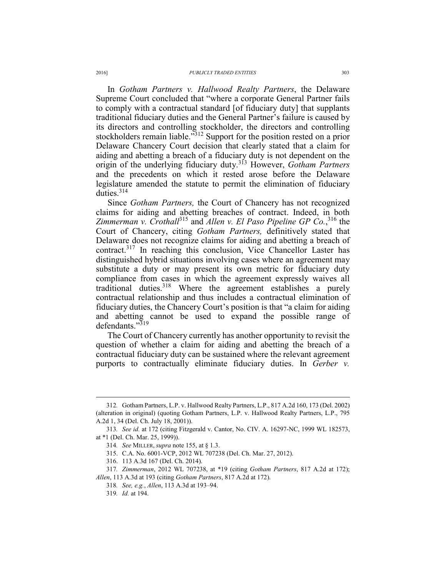In *Gotham Partners v. Hallwood Realty Partners*, the Delaware Supreme Court concluded that "where a corporate General Partner fails to comply with a contractual standard [of fiduciary duty] that supplants traditional fiduciary duties and the General Partner's failure is caused by its directors and controlling stockholder, the directors and controlling stockholders remain liable.<sup>"312</sup> Support for the position rested on a prior Delaware Chancery Court decision that clearly stated that a claim for aiding and abetting a breach of a fiduciary duty is not dependent on the origin of the underlying fiduciary duty.313 However, *Gotham Partners*  and the precedents on which it rested arose before the Delaware legislature amended the statute to permit the elimination of fiduciary duties  $314$ 

Since *Gotham Partners,* the Court of Chancery has not recognized claims for aiding and abetting breaches of contract. Indeed, in both *Zimmerman v. Crothall*315 and *Allen v. El Paso Pipeline GP Co.*, <sup>316</sup> the Court of Chancery, citing *Gotham Partners,* definitively stated that Delaware does not recognize claims for aiding and abetting a breach of contract.317 In reaching this conclusion, Vice Chancellor Laster has distinguished hybrid situations involving cases where an agreement may substitute a duty or may present its own metric for fiduciary duty compliance from cases in which the agreement expressly waives all traditional duties.<sup>318</sup> Where the agreement establishes a purely contractual relationship and thus includes a contractual elimination of fiduciary duties, the Chancery Court's position is that "a claim for aiding and abetting cannot be used to expand the possible range of defendants."<sup>319</sup>

The Court of Chancery currently has another opportunity to revisit the question of whether a claim for aiding and abetting the breach of a contractual fiduciary duty can be sustained where the relevant agreement purports to contractually eliminate fiduciary duties. In *Gerber v.* 

 <sup>312</sup>*.* Gotham Partners, L.P. v. Hallwood Realty Partners, L.P., 817 A.2d 160, 173 (Del. 2002) (alteration in original) (quoting Gotham Partners, L.P. v. Hallwood Realty Partners, L.P., 795 A.2d 1, 34 (Del. Ch. July 18, 2001)).

<sup>313</sup>*. See id.* at 172 (citing Fitzgerald v. Cantor, No. CIV. A. 16297-NC, 1999 WL 182573, at \*1 (Del. Ch. Mar. 25, 1999)).

<sup>314</sup>*. See* MILLER, *supra* note 155, at § 1.3.

 <sup>315.</sup> C.A. No. 6001-VCP, 2012 WL 707238 (Del. Ch. Mar. 27, 2012).

 <sup>316. 113</sup> A.3d 167 (Del. Ch. 2014).

<sup>317</sup>*. Zimmerman*, 2012 WL 707238, at \*19 (citing *Gotham Partners*, 817 A.2d at 172); *Allen*, 113 A.3d at 193 (citing *Gotham Partners*, 817 A.2d at 172).

<sup>318</sup>*. See, e.g.*, *Allen*, 113 A.3d at 193–94.

<sup>319</sup>*. Id.* at 194.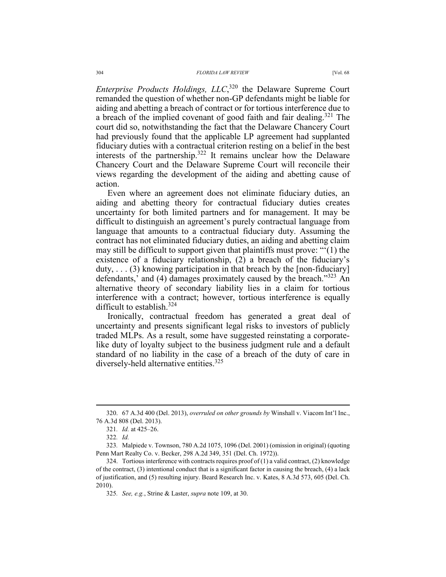*Enterprise Products Holdings,*  $LLC$ ,<sup>320</sup> the Delaware Supreme Court remanded the question of whether non-GP defendants might be liable for aiding and abetting a breach of contract or for tortious interference due to a breach of the implied covenant of good faith and fair dealing.<sup>321</sup> The court did so, notwithstanding the fact that the Delaware Chancery Court had previously found that the applicable LP agreement had supplanted fiduciary duties with a contractual criterion resting on a belief in the best interests of the partnership.322 It remains unclear how the Delaware Chancery Court and the Delaware Supreme Court will reconcile their views regarding the development of the aiding and abetting cause of action.

Even where an agreement does not eliminate fiduciary duties, an aiding and abetting theory for contractual fiduciary duties creates uncertainty for both limited partners and for management. It may be difficult to distinguish an agreement's purely contractual language from language that amounts to a contractual fiduciary duty. Assuming the contract has not eliminated fiduciary duties, an aiding and abetting claim may still be difficult to support given that plaintiffs must prove: "'(1) the existence of a fiduciary relationship, (2) a breach of the fiduciary's duty,  $\ldots$  (3) knowing participation in that breach by the [non-fiduciary] defendants,' and (4) damages proximately caused by the breach.<sup>323</sup> An alternative theory of secondary liability lies in a claim for tortious interference with a contract; however, tortious interference is equally difficult to establish.324

Ironically, contractual freedom has generated a great deal of uncertainty and presents significant legal risks to investors of publicly traded MLPs. As a result, some have suggested reinstating a corporatelike duty of loyalty subject to the business judgment rule and a default standard of no liability in the case of a breach of the duty of care in diversely-held alternative entities.<sup>325</sup>

 <sup>320. 67</sup> A.3d 400 (Del. 2013), *overruled on other grounds by* Winshall v. Viacom Int'l Inc., 76 A.3d 808 (Del. 2013).

<sup>321</sup>*. Id.* at 425–26.

<sup>322</sup>*. Id.* 

<sup>323</sup>*.* Malpiede v. Townson, 780 A.2d 1075, 1096 (Del. 2001) (omission in original) (quoting Penn Mart Realty Co. v. Becker, 298 A.2d 349, 351 (Del. Ch. 1972)).

<sup>324.</sup> Tortious interference with contracts requires proof of  $(1)$  a valid contract,  $(2)$  knowledge of the contract, (3) intentional conduct that is a significant factor in causing the breach, (4) a lack of justification, and (5) resulting injury. Beard Research Inc. v. Kates, 8 A.3d 573, 605 (Del. Ch. 2010).

<sup>325</sup>*. See, e.g.*, Strine & Laster, *supra* note 109, at 30.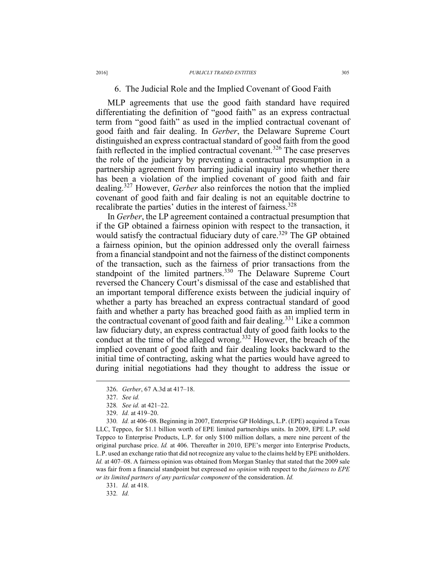## 6. The Judicial Role and the Implied Covenant of Good Faith

MLP agreements that use the good faith standard have required differentiating the definition of "good faith" as an express contractual term from "good faith" as used in the implied contractual covenant of good faith and fair dealing. In *Gerber*, the Delaware Supreme Court distinguished an express contractual standard of good faith from the good faith reflected in the implied contractual covenant.<sup>326</sup> The case preserves the role of the judiciary by preventing a contractual presumption in a partnership agreement from barring judicial inquiry into whether there has been a violation of the implied covenant of good faith and fair dealing.327 However, *Gerber* also reinforces the notion that the implied covenant of good faith and fair dealing is not an equitable doctrine to recalibrate the parties' duties in the interest of fairness.<sup>328</sup>

In *Gerber*, the LP agreement contained a contractual presumption that if the GP obtained a fairness opinion with respect to the transaction, it would satisfy the contractual fiduciary duty of care.<sup>329</sup> The GP obtained a fairness opinion, but the opinion addressed only the overall fairness from a financial standpoint and not the fairness of the distinct components of the transaction, such as the fairness of prior transactions from the standpoint of the limited partners.<sup>330</sup> The Delaware Supreme Court reversed the Chancery Court's dismissal of the case and established that an important temporal difference exists between the judicial inquiry of whether a party has breached an express contractual standard of good faith and whether a party has breached good faith as an implied term in the contractual covenant of good faith and fair dealing.<sup>331</sup> Like a common law fiduciary duty, an express contractual duty of good faith looks to the conduct at the time of the alleged wrong.332 However, the breach of the implied covenant of good faith and fair dealing looks backward to the initial time of contracting, asking what the parties would have agreed to during initial negotiations had they thought to address the issue or

 $\overline{a}$ 

330*. Id.* at 406–08. Beginning in 2007, Enterprise GP Holdings, L.P. (EPE) acquired a Texas LLC, Teppco, for \$1.1 billion worth of EPE limited partnerships units. In 2009, EPE L.P. sold Teppco to Enterprise Products, L.P. for only \$100 million dollars, a mere nine percent of the original purchase price. *Id.* at 406. Thereafter in 2010, EPE's merger into Enterprise Products, L.P. used an exchange ratio that did not recognize any value to the claims held by EPE unitholders. *Id.* at 407–08. A fairness opinion was obtained from Morgan Stanley that stated that the 2009 sale was fair from a financial standpoint but expressed *no opinion* with respect to the *fairness to EPE or its limited partners of any particular component* of the consideration. *Id.*

331*. Id.* at 418.

332*. Id.*

 <sup>326.</sup> *Gerber*, 67 A.3d at 417–18.

 <sup>327.</sup> *See id.*

<sup>328</sup>*. See id.* at 421–22.

 <sup>329.</sup> *Id.* at 419–20.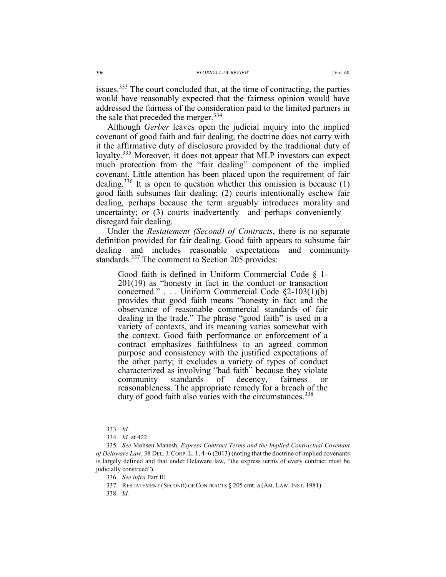issues.<sup>333</sup> The court concluded that, at the time of contracting, the parties would have reasonably expected that the fairness opinion would have addressed the fairness of the consideration paid to the limited partners in the sale that preceded the merger.  $334$ 

Although *Gerber* leaves open the judicial inquiry into the implied covenant of good faith and fair dealing, the doctrine does not carry with it the affirmative duty of disclosure provided by the traditional duty of loyalty.<sup>335</sup> Moreover, it does not appear that MLP investors can expect much protection from the "fair dealing" component of the implied covenant. Little attention has been placed upon the requirement of fair dealing.336 It is open to question whether this omission is because (1) good faith subsumes fair dealing; (2) courts intentionally eschew fair dealing, perhaps because the term arguably introduces morality and uncertainty; or (3) courts inadvertently—and perhaps conveniently disregard fair dealing.

Under the *Restatement (Second) of Contracts*, there is no separate definition provided for fair dealing. Good faith appears to subsume fair dealing and includes reasonable expectations and community standards.<sup>337</sup> The comment to Section 205 provides:

Good faith is defined in Uniform Commercial Code § 1- 201(19) as "honesty in fact in the conduct or transaction concerned." . . . Uniform Commercial Code §2-103(1)(b) provides that good faith means "honesty in fact and the observance of reasonable commercial standards of fair dealing in the trade." The phrase "good faith" is used in a variety of contexts, and its meaning varies somewhat with the context. Good faith performance or enforcement of a contract emphasizes faithfulness to an agreed common purpose and consistency with the justified expectations of the other party; it excludes a variety of types of conduct characterized as involving "bad faith" because they violate community standards of decency, fairness or reasonableness. The appropriate remedy for a breach of the duty of good faith also varies with the circumstances.<sup>338</sup>

338. *Id.*

 <sup>333</sup>*. Id.*

<sup>334</sup>*. Id.* at 422.

<sup>335</sup>*. See* Mohsen Manesh, *Express Contract Terms and the Implied Contractual Covenant of Delaware Law*, 38 DEL.J. CORP. L. 1, 4–6 (2013) (noting that the doctrine of implied covenants is largely defined and that under Delaware law, "the express terms of every contract must be judicially construed").

<sup>336</sup>*. See infra* Part III.

 <sup>337.</sup> RESTATEMENT (SECOND) OF CONTRACTS § 205 cmt. a (AM. LAW. INST. 1981).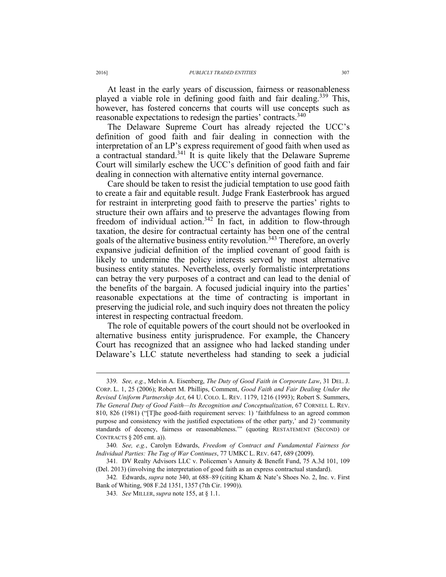At least in the early years of discussion, fairness or reasonableness played a viable role in defining good faith and fair dealing.<sup>339</sup> This, however, has fostered concerns that courts will use concepts such as reasonable expectations to redesign the parties' contracts.<sup>340</sup>

The Delaware Supreme Court has already rejected the UCC's definition of good faith and fair dealing in connection with the interpretation of an LP's express requirement of good faith when used as a contractual standard.<sup>341</sup> It is quite likely that the Delaware Supreme Court will similarly eschew the UCC's definition of good faith and fair dealing in connection with alternative entity internal governance.

Care should be taken to resist the judicial temptation to use good faith to create a fair and equitable result. Judge Frank Easterbrook has argued for restraint in interpreting good faith to preserve the parties' rights to structure their own affairs and to preserve the advantages flowing from freedom of individual action.<sup>342</sup> In fact, in addition to flow-through taxation, the desire for contractual certainty has been one of the central goals of the alternative business entity revolution.<sup>343</sup> Therefore, an overly expansive judicial definition of the implied covenant of good faith is likely to undermine the policy interests served by most alternative business entity statutes. Nevertheless, overly formalistic interpretations can betray the very purposes of a contract and can lead to the denial of the benefits of the bargain. A focused judicial inquiry into the parties' reasonable expectations at the time of contracting is important in preserving the judicial role, and such inquiry does not threaten the policy interest in respecting contractual freedom.

The role of equitable powers of the court should not be overlooked in alternative business entity jurisprudence. For example, the Chancery Court has recognized that an assignee who had lacked standing under Delaware's LLC statute nevertheless had standing to seek a judicial

 <sup>339</sup>*. See, e.g.*, Melvin A. Eisenberg, *The Duty of Good Faith in Corporate Law*, 31 DEL. J. CORP. L. 1, 25 (2006); Robert M. Phillips, Comment, *Good Faith and Fair Dealing Under the Revised Uniform Partnership Act*, 64 U. COLO. L. REV. 1179, 1216 (1993); Robert S. Summers, *The General Duty of Good Faith—Its Recognition and Conceptualization*, 67 CORNELL L. REV. 810, 826 (1981) ("[T]he good-faith requirement serves: 1) 'faithfulness to an agreed common purpose and consistency with the justified expectations of the other party,' and 2) 'community standards of decency, fairness or reasonableness.'" (quoting RESTATEMENT (SECOND) OF CONTRACTS § 205 cmt. a)).

<sup>340</sup>*. See, e.g.*, Carolyn Edwards, *Freedom of Contract and Fundamental Fairness for Individual Parties: The Tug of War Continues*, 77 UMKC L. REV. 647, 689 (2009).

<sup>341</sup>*.* DV Realty Advisors LLC v. Policemen's Annuity & Benefit Fund, 75 A.3d 101, 109 (Del. 2013) (involving the interpretation of good faith as an express contractual standard).

<sup>342</sup>*.* Edwards, *supra* note 340, at 688–89 (citing Kham & Nate's Shoes No. 2, Inc. v. First Bank of Whiting, 908 F.2d 1351, 1357 (7th Cir. 1990)).

<sup>343</sup>*. See* MILLER, *supra* note 155, at § 1.1.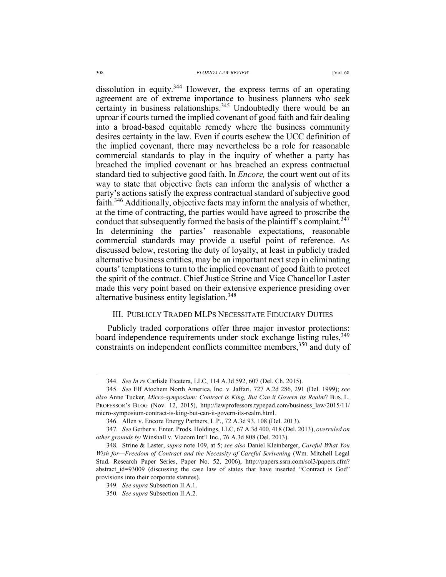#### 308 *FLORIDA LAW REVIEW* [Vol. 68

dissolution in equity.<sup>344</sup> However, the express terms of an operating agreement are of extreme importance to business planners who seek certainty in business relationships.<sup>345</sup> Undoubtedly there would be an uproar if courts turned the implied covenant of good faith and fair dealing into a broad-based equitable remedy where the business community desires certainty in the law. Even if courts eschew the UCC definition of the implied covenant, there may nevertheless be a role for reasonable commercial standards to play in the inquiry of whether a party has breached the implied covenant or has breached an express contractual standard tied to subjective good faith. In *Encore,* the court went out of its way to state that objective facts can inform the analysis of whether a party's actions satisfy the express contractual standard of subjective good faith.346 Additionally, objective facts may inform the analysis of whether, at the time of contracting, the parties would have agreed to proscribe the conduct that subsequently formed the basis of the plaintiff's complaint.<sup>347</sup> In determining the parties' reasonable expectations, reasonable commercial standards may provide a useful point of reference. As discussed below, restoring the duty of loyalty, at least in publicly traded alternative business entities, may be an important next step in eliminating courts' temptations to turn to the implied covenant of good faith to protect the spirit of the contract. Chief Justice Strine and Vice Chancellor Laster made this very point based on their extensive experience presiding over alternative business entity legislation.<sup>348</sup>

## III. PUBLICLY TRADED MLPS NECESSITATE FIDUCIARY DUTIES

Publicly traded corporations offer three major investor protections: board independence requirements under stock exchange listing rules, 349 constraints on independent conflicts committee members,<sup>350</sup> and duty of

 <sup>344.</sup> *See In re* Carlisle Etcetera, LLC, 114 A.3d 592, 607 (Del. Ch. 2015).

 <sup>345.</sup> *See* Elf Atochem North America, Inc. v. Jaffari, 727 A.2d 286, 291 (Del. 1999); *see also* Anne Tucker, *Micro-symposium: Contract is King, But Can it Govern its Realm*? BUS. L. PROFESSOR'S BLOG (Nov. 12, 2015), http://lawprofessors.typepad.com/business\_law/2015/11/ micro-symposium-contract-is-king-but-can-it-govern-its-realm.html.

 <sup>346.</sup> Allen v. Encore Energy Partners, L.P., 72 A.3d 93, 108 (Del. 2013).

<sup>347</sup>*. See* Gerber v. Enter. Prods. Holdings, LLC, 67 A.3d 400, 418 (Del. 2013), *overruled on other grounds by* Winshall v. Viacom Int'l Inc., 76 A.3d 808 (Del. 2013).

<sup>348</sup>*.* Strine & Laster, *supra* note 109, at 5; *see also* Daniel Kleinberger, *Careful What You Wish for—Freedom of Contract and the Necessity of Careful Scrivening* (Wm. Mitchell Legal Stud. Research Paper Series, Paper No. 52, 2006), http://papers.ssrn.com/sol3/papers.cfm? abstract\_id=93009 (discussing the case law of states that have inserted "Contract is God" provisions into their corporate statutes).

<sup>349</sup>*. See supra* Subsection II.A.1.

<sup>350</sup>*. See supra* Subsection II.A.2.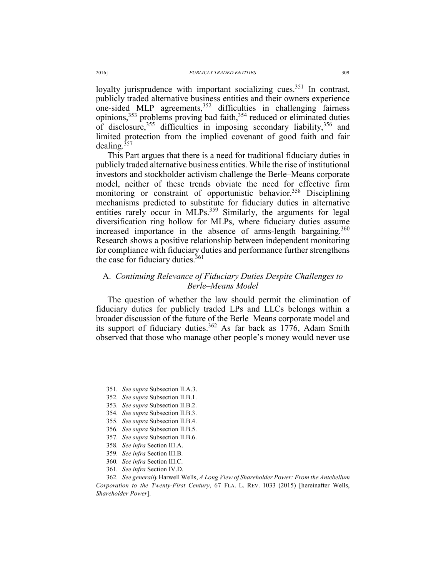loyalty jurisprudence with important socializing cues.<sup>351</sup> In contrast, publicly traded alternative business entities and their owners experience one-sided MLP agreements,  $352$  difficulties in challenging fairness opinions,  $353$  problems proving bad faith,  $354$  reduced or eliminated duties of disclosure,  $355$  difficulties in imposing secondary liability,  $356$  and limited protection from the implied covenant of good faith and fair dealing. $357$ 

This Part argues that there is a need for traditional fiduciary duties in publicly traded alternative business entities. While the rise of institutional investors and stockholder activism challenge the Berle–Means corporate model, neither of these trends obviate the need for effective firm monitoring or constraint of opportunistic behavior.<sup>358</sup> Disciplining mechanisms predicted to substitute for fiduciary duties in alternative entities rarely occur in MLPs.<sup>359</sup> Similarly, the arguments for legal diversification ring hollow for MLPs, where fiduciary duties assume increased importance in the absence of arms-length bargaining.<sup>360</sup> Research shows a positive relationship between independent monitoring for compliance with fiduciary duties and performance further strengthens the case for fiduciary duties. $361$ 

## A. *Continuing Relevance of Fiduciary Duties Despite Challenges to Berle–Means Model*

The question of whether the law should permit the elimination of fiduciary duties for publicly traded LPs and LLCs belongs within a broader discussion of the future of the Berle–Means corporate model and its support of fiduciary duties.<sup>362</sup> As far back as  $1776$ , Adam Smith observed that those who manage other people's money would never use

- 359*. See infra* Section III.B.
- 360*. See infra* Section III.C.
- 361*. See infra* Section IV.D.

362*. See generally* Harwell Wells, *A Long View of Shareholder Power: From the Antebellum Corporation to the Twenty-First Century*, 67 FLA. L. REV. 1033 (2015) [hereinafter Wells, *Shareholder Power*].

 <sup>351</sup>*. See supra* Subsection II.A.3.

<sup>352</sup>*. See supra* Subsection II.B.1.

<sup>353</sup>*. See supra* Subsection II.B.2.

<sup>354</sup>*. See supra* Subsection II.B.3.

<sup>355</sup>*. See supra* Subsection II.B.4.

<sup>356</sup>*. See supra* Subsection II.B.5.

<sup>357</sup>*. See supra* Subsection II.B.6.

<sup>358</sup>*. See infra* Section III.A.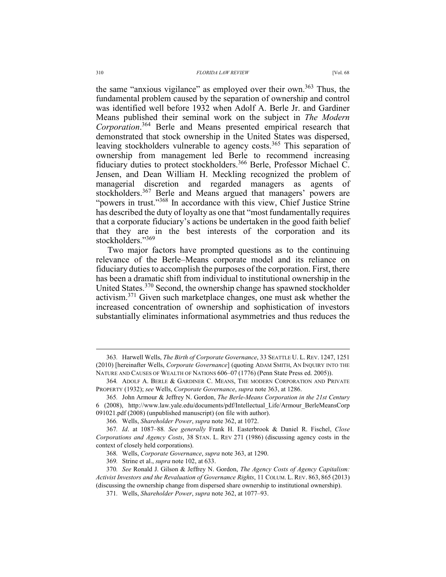the same "anxious vigilance" as employed over their own.<sup>363</sup> Thus, the fundamental problem caused by the separation of ownership and control was identified well before 1932 when Adolf A. Berle Jr. and Gardiner Means published their seminal work on the subject in *The Modern Corporation*. 364 Berle and Means presented empirical research that demonstrated that stock ownership in the United States was dispersed, leaving stockholders vulnerable to agency costs.<sup>365</sup> This separation of ownership from management led Berle to recommend increasing fiduciary duties to protect stockholders.366 Berle, Professor Michael C. Jensen, and Dean William H. Meckling recognized the problem of managerial discretion and regarded managers as agents of stockholders.<sup>367</sup> Berle and Means argued that managers' powers are "powers in trust."368 In accordance with this view, Chief Justice Strine has described the duty of loyalty as one that "most fundamentally requires that a corporate fiduciary's actions be undertaken in the good faith belief that they are in the best interests of the corporation and its stockholders."<sup>369</sup>

Two major factors have prompted questions as to the continuing relevance of the Berle–Means corporate model and its reliance on fiduciary duties to accomplish the purposes of the corporation. First, there has been a dramatic shift from individual to institutional ownership in the United States.<sup>370</sup> Second, the ownership change has spawned stockholder activism.371 Given such marketplace changes, one must ask whether the increased concentration of ownership and sophistication of investors substantially eliminates informational asymmetries and thus reduces the

 <sup>363</sup>*.* Harwell Wells, *The Birth of Corporate Governance*, 33 SEATTLE U. L. REV. 1247, 1251 (2010) [hereinafter Wells, *Corporate Governance*] (quoting ADAM SMITH, AN INQUIRY INTO THE NATURE AND CAUSES OF WEALTH OF NATIONS 606–07 (1776) (Penn State Press ed. 2005)).

<sup>364</sup>*.* ADOLF A. BERLE & GARDINER C. MEANS, THE MODERN CORPORATION AND PRIVATE PROPERTY (1932); *see* Wells, *Corporate Governance*, *supra* note 363, at 1286.

<sup>365</sup>*.* John Armour & Jeffrey N. Gordon, *The Berle-Means Corporation in the 21st Century*  6 (2008), http://www.law.yale.edu/documents/pdf/Intellectual\_Life/Armour\_BerleMeansCorp 091021.pdf (2008) (unpublished manuscript) (on file with author).

<sup>366</sup>*.* Wells, *Shareholder Power*, *supra* note 362, at 1072.

<sup>367</sup>*. Id*. at 1087–88*. See generally* Frank H. Easterbrook & Daniel R. Fischel, *Close Corporations and Agency Costs*, 38 STAN. L. REV 271 (1986) (discussing agency costs in the context of closely held corporations).

<sup>368</sup>*.* Wells, *Corporate Governance*, *supra* note 363, at 1290.

<sup>369</sup>*.* Strine et al., *supra* note 102, at 633.

<sup>370</sup>*. See* Ronald J. Gilson & Jeffrey N. Gordon, *The Agency Costs of Agency Capitalism: Activist Investors and the Revaluation of Governance Rights*, 11 COLUM. L. REV. 863, 865 (2013) (discussing the ownership change from dispersed share ownership to institutional ownership).

<sup>371</sup>*.* Wells, *Shareholder Power*, *supra* note 362, at 1077–93.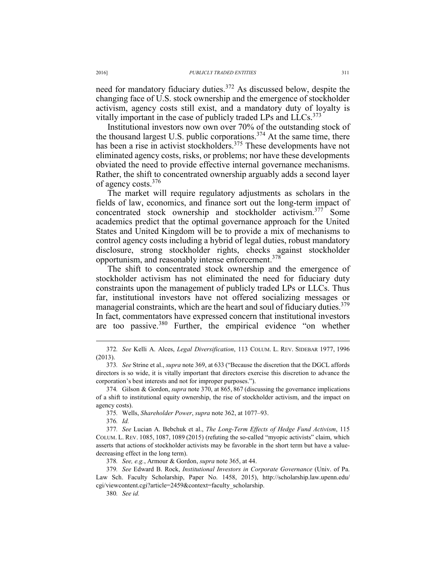need for mandatory fiduciary duties.<sup>372</sup> As discussed below, despite the changing face of U.S. stock ownership and the emergence of stockholder activism, agency costs still exist, and a mandatory duty of loyalty is vitally important in the case of publicly traded LPs and  $LLCs$ <sup>373</sup>

Institutional investors now own over 70% of the outstanding stock of the thousand largest U.S. public corporations.<sup>374</sup> At the same time, there has been a rise in activist stockholders.<sup>375</sup> These developments have not eliminated agency costs, risks, or problems; nor have these developments obviated the need to provide effective internal governance mechanisms. Rather, the shift to concentrated ownership arguably adds a second layer of agency costs.<sup>376</sup>

The market will require regulatory adjustments as scholars in the fields of law, economics, and finance sort out the long-term impact of concentrated stock ownership and stockholder activism.<sup>377</sup> Some academics predict that the optimal governance approach for the United States and United Kingdom will be to provide a mix of mechanisms to control agency costs including a hybrid of legal duties, robust mandatory disclosure, strong stockholder rights, checks against stockholder opportunism, and reasonably intense enforcement.<sup>378</sup>

The shift to concentrated stock ownership and the emergence of stockholder activism has not eliminated the need for fiduciary duty constraints upon the management of publicly traded LPs or LLCs. Thus far, institutional investors have not offered socializing messages or managerial constraints, which are the heart and soul of fiduciary duties.<sup>379</sup> In fact, commentators have expressed concern that institutional investors are too passive.380 Further, the empirical evidence "on whether

375*.* Wells, *Shareholder Power*, *supra* note 362, at 1077–93.

376*. Id.*

377*. See* Lucian A. Bebchuk et al., *The Long-Term Effects of Hedge Fund Activism*, 115 COLUM. L. REV. 1085, 1087, 1089 (2015) (refuting the so-called "myopic activists" claim, which asserts that actions of stockholder activists may be favorable in the short term but have a valuedecreasing effect in the long term).

378*. See, e.g.*, Armour & Gordon, *supra* note 365, at 44.

379*. See* Edward B. Rock, *Institutional Investors in Corporate Governance* (Univ. of Pa. Law Sch. Faculty Scholarship, Paper No. 1458, 2015), http://scholarship.law.upenn.edu/ cgi/viewcontent.cgi?article=2459&context=faculty\_scholarship.

380*. See id.*

 <sup>372</sup>*. See* Kelli A. Alces, *Legal Diversification*, 113 COLUM. L. REV. SIDEBAR 1977, <sup>1996</sup> (2013).

<sup>373</sup>*. See* Strine et al., *supra* note 369, at 633 ("Because the discretion that the DGCL affords directors is so wide, it is vitally important that directors exercise this discretion to advance the corporation's best interests and not for improper purposes.").

<sup>374</sup>*.* Gilson & Gordon, *supra* note 370, at 865, 867 (discussing the governance implications of a shift to institutional equity ownership, the rise of stockholder activism, and the impact on agency costs).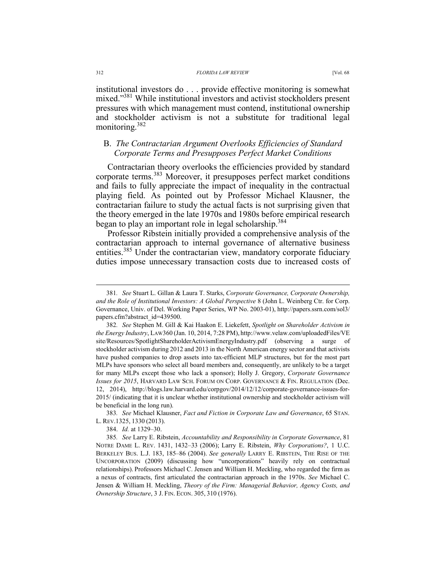institutional investors do . . . provide effective monitoring is somewhat mixed."<sup>381</sup> While institutional investors and activist stockholders present pressures with which management must contend, institutional ownership and stockholder activism is not a substitute for traditional legal monitoring.<sup>382</sup>

## B. *The Contractarian Argument Overlooks Efficiencies of Standard Corporate Terms and Presupposes Perfect Market Conditions*

Contractarian theory overlooks the efficiencies provided by standard corporate terms.383 Moreover, it presupposes perfect market conditions and fails to fully appreciate the impact of inequality in the contractual playing field. As pointed out by Professor Michael Klausner, the contractarian failure to study the actual facts is not surprising given that the theory emerged in the late 1970s and 1980s before empirical research began to play an important role in legal scholarship.<sup>384</sup>

Professor Ribstein initially provided a comprehensive analysis of the contractarian approach to internal governance of alternative business entities.<sup>385</sup> Under the contractarian view, mandatory corporate fiduciary duties impose unnecessary transaction costs due to increased costs of

383*. See* Michael Klausner, *Fact and Fiction in Corporate Law and Governance*, 65 STAN. L. REV.1325, 1330 (2013).

384. *Id.* at 1329–30.

 <sup>381</sup>*. See* Stuart L. Gillan & Laura T. Starks, *Corporate Governance, Corporate Ownership, and the Role of Institutional Investors: A Global Perspective* 8 (John L. Weinberg Ctr. for Corp. Governance, Univ. of Del. Working Paper Series, WP No. 2003-01), http://papers.ssrn.com/sol3/ papers.cfm?abstract\_id=439500.

<sup>382</sup>*. See* Stephen M. Gill & Kai Haakon E. Liekefett, *Spotlight on Shareholder Activism in the Energy Industry*, LAW360 (Jan. 10, 2014, 7:28 PM), http://www.velaw.com/uploadedFiles/VE site/Resources/SpotlightShareholderActivismEnergyIndustry.pdf (observing a surge of stockholder activism during 2012 and 2013 in the North American energy sector and that activists have pushed companies to drop assets into tax-efficient MLP structures, but for the most part MLPs have sponsors who select all board members and, consequently, are unlikely to be a target for many MLPs except those who lack a sponsor); Holly J. Gregory, *Corporate Governance Issues for 2015*, HARVARD LAW SCH. FORUM ON CORP. GOVERNANCE & FIN. REGULATION (Dec. 12, 2014), http://blogs.law.harvard.edu/corpgov/2014/12/12/corporate-governance-issues-for-2015/ (indicating that it is unclear whether institutional ownership and stockholder activism will be beneficial in the long run).

<sup>385</sup>*. See* Larry E. Ribstein, *Accountability and Responsibility in Corporate Governance*, 81 NOTRE DAME L. REV. 1431, 1432–33 (2006); Larry E. Ribstein, *Why Corporations?*, 1 U.C. BERKELEY BUS. L.J. 183, 185–86 (2004). *See generally* LARRY E. RIBSTEIN, THE RISE OF THE UNCORPORATION (2009) (discussing how "uncorporations" heavily rely on contractual relationships). Professors Michael C. Jensen and William H. Meckling, who regarded the firm as a nexus of contracts, first articulated the contractarian approach in the 1970s. *See* Michael C. Jensen & William H. Meckling, *Theory of the Firm: Managerial Behavior, Agency Costs, and Ownership Structure*, 3 J. FIN. ECON. 305, 310 (1976).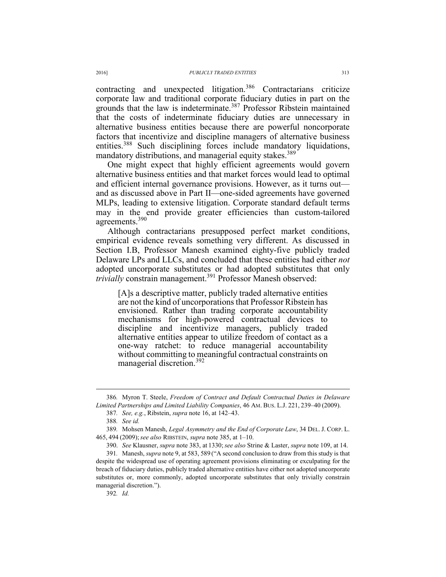contracting and unexpected litigation.386 Contractarians criticize corporate law and traditional corporate fiduciary duties in part on the grounds that the law is indeterminate.<sup>387</sup> Professor Ribstein maintained that the costs of indeterminate fiduciary duties are unnecessary in alternative business entities because there are powerful noncorporate factors that incentivize and discipline managers of alternative business entities.<sup>388</sup> Such disciplining forces include mandatory liquidations, mandatory distributions, and managerial equity stakes.<sup>389</sup>

One might expect that highly efficient agreements would govern alternative business entities and that market forces would lead to optimal and efficient internal governance provisions. However, as it turns out and as discussed above in Part II—one-sided agreements have governed MLPs, leading to extensive litigation. Corporate standard default terms may in the end provide greater efficiencies than custom-tailored agreements.<sup>390</sup>

Although contractarians presupposed perfect market conditions, empirical evidence reveals something very different. As discussed in Section I.B, Professor Manesh examined eighty-five publicly traded Delaware LPs and LLCs, and concluded that these entities had either *not*  adopted uncorporate substitutes or had adopted substitutes that only *trivially* constrain management.<sup>391</sup> Professor Manesh observed:

[A]s a descriptive matter, publicly traded alternative entities are not the kind of uncorporations that Professor Ribstein has envisioned. Rather than trading corporate accountability mechanisms for high-powered contractual devices to discipline and incentivize managers, publicly traded alternative entities appear to utilize freedom of contact as a one-way ratchet: to reduce managerial accountability without committing to meaningful contractual constraints on managerial discretion.<sup>392</sup>

392*. Id.*

 <sup>386</sup>*.* Myron T. Steele, *Freedom of Contract and Default Contractual Duties in Delaware Limited Partnerships and Limited Liability Companies*, 46 AM. BUS. L.J. 221, 239–40 (2009).

<sup>387</sup>*. See, e.g.*, Ribstein, *supra* note 16, at 142–43.

<sup>388</sup>*. See id.* 

<sup>389</sup>*.* Mohsen Manesh, *Legal Asymmetry and the End of Corporate Law*, 34 DEL. J. CORP. L. 465, 494 (2009);*see also* RIBSTEIN, *supra* note 385, at 1–10.

 <sup>390.</sup> *See* Klausner, *supra* note 383, at 1330;*see also* Strine & Laster, *supra* note 109, at 14.

<sup>391</sup>*.* Manesh, *supra* note 9, at 583, 589 ("A second conclusion to draw from this study is that despite the widespread use of operating agreement provisions eliminating or exculpating for the breach of fiduciary duties, publicly traded alternative entities have either not adopted uncorporate substitutes or, more commonly, adopted uncorporate substitutes that only trivially constrain managerial discretion.").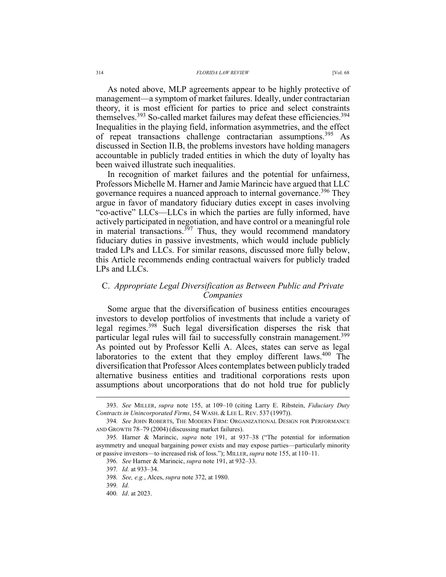As noted above, MLP agreements appear to be highly protective of management—a symptom of market failures. Ideally, under contractarian theory, it is most efficient for parties to price and select constraints themselves.<sup>393</sup> So-called market failures may defeat these efficiencies.<sup>394</sup> Inequalities in the playing field, information asymmetries, and the effect of repeat transactions challenge contractarian assumptions.<sup>395</sup> As discussed in Section II.B, the problems investors have holding managers accountable in publicly traded entities in which the duty of loyalty has been waived illustrate such inequalities.

In recognition of market failures and the potential for unfairness, Professors Michelle M. Harner and Jamie Marincic have argued that LLC governance requires a nuanced approach to internal governance.<sup>396</sup> They argue in favor of mandatory fiduciary duties except in cases involving "co-active" LLCs—LLCs in which the parties are fully informed, have actively participated in negotiation, and have control or a meaningful role in material transactions. $357$  Thus, they would recommend mandatory fiduciary duties in passive investments, which would include publicly traded LPs and LLCs. For similar reasons, discussed more fully below, this Article recommends ending contractual waivers for publicly traded LPs and LLCs.

## C. *Appropriate Legal Diversification as Between Public and Private Companies*

Some argue that the diversification of business entities encourages investors to develop portfolios of investments that include a variety of legal regimes.398 Such legal diversification disperses the risk that particular legal rules will fail to successfully constrain management.<sup>399</sup> As pointed out by Professor Kelli A. Alces, states can serve as legal laboratories to the extent that they employ different laws.<sup>400</sup> The diversification that Professor Alces contemplates between publicly traded alternative business entities and traditional corporations rests upon assumptions about uncorporations that do not hold true for publicly

 <sup>393.</sup> *See* MILLER, *supra* note 155, at 109–10 (citing Larry E. Ribstein, *Fiduciary Duty Contracts in Unincorporated Firms*, 54 WASH. & LEE L. REV. 537 (1997)).

<sup>394</sup>*. See* JOHN ROBERTS, THE MODERN FIRM: ORGANIZATIONAL DESIGN FOR PERFORMANCE AND GROWTH 78–79 (2004) (discussing market failures).

<sup>395</sup>*.* Harner & Marincic, *supra* note 191, at 937–38 ("The potential for information asymmetry and unequal bargaining power exists and may expose parties—particularly minority or passive investors—to increased risk of loss."); MILLER, *supra* note 155, at 110–11.

<sup>396</sup>*. See* Harner & Marincic, *supra* note 191, at 932–33.

<sup>397</sup>*. Id.* at 933–34.

<sup>398</sup>*. See, e.g.*, Alces, *supra* note 372, at 1980.

<sup>399</sup>*. Id.* 

<sup>400</sup>*. Id*. at 2023.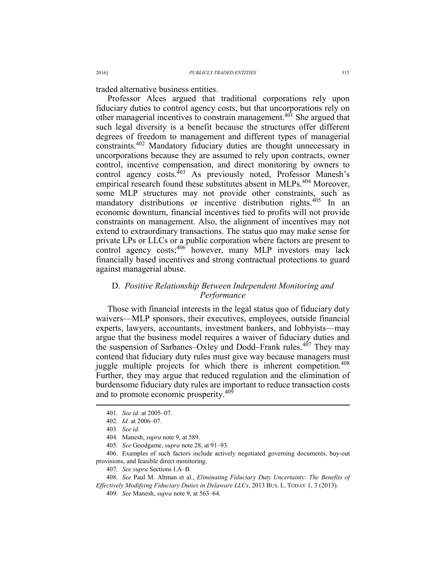traded alternative business entities.

Professor Alces argued that traditional corporations rely upon fiduciary duties to control agency costs, but that uncorporations rely on other managerial incentives to constrain management.<sup>401</sup> She argued that such legal diversity is a benefit because the structures offer different degrees of freedom to management and different types of managerial constraints.402 Mandatory fiduciary duties are thought unnecessary in uncorporations because they are assumed to rely upon contracts, owner control, incentive compensation, and direct monitoring by owners to control agency costs.<sup>403</sup> As previously noted, Professor Manesh's empirical research found these substitutes absent in MLPs.<sup>404</sup> Moreover, some MLP structures may not provide other constraints, such as mandatory distributions or incentive distribution rights.<sup>405</sup> In an economic downturn, financial incentives tied to profits will not provide constraints on management. Also, the alignment of incentives may not extend to extraordinary transactions. The status quo may make sense for private LPs or LLCs or a public corporation where factors are present to control agency costs;<sup>406</sup> however, many MLP investors may lack financially based incentives and strong contractual protections to guard against managerial abuse.

## D. *Positive Relationship Between Independent Monitoring and Performance*

Those with financial interests in the legal status quo of fiduciary duty waivers—MLP sponsors, their executives, employees, outside financial experts, lawyers, accountants, investment bankers, and lobbyists—may argue that the business model requires a waiver of fiduciary duties and the suspension of Sarbanes–Oxley and Dodd–Frank rules.<sup>407</sup> They may contend that fiduciary duty rules must give way because managers must juggle multiple projects for which there is inherent competition.<sup>408</sup> Further, they may argue that reduced regulation and the elimination of burdensome fiduciary duty rules are important to reduce transaction costs and to promote economic prosperity.<sup>409</sup>

405*. See* Goodgame, *supra* note 28, at 91–93.

408*. See* Paul M. Altman et al., *Eliminating Fiduciary Duty Uncertainty: The Benefits of Effectively Modifying Fiduciary Duties in Delaware LLCs*, 2013 BUS. L. TODAY 1, 3 (2013).

409*. See* Manesh, *supra* note 9, at 563–64.

 <sup>401</sup>*. See id.* at 2005–07.

<sup>402</sup>*. Id.* at 2006–07.

<sup>403</sup>*. See id.*

<sup>404</sup>*.* Manesh, *supra* note 9, at 589.

 <sup>406.</sup> Examples of such factors include actively negotiated governing documents, buy-out provisions, and feasible direct monitoring.

<sup>407</sup>*. See supra* Sections I.A–B.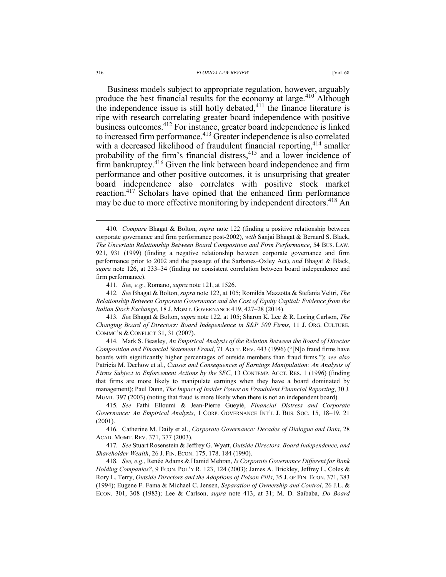Business models subject to appropriate regulation, however, arguably produce the best financial results for the economy at large.<sup>410</sup> Although the independence issue is still hotly debated, $411$  the finance literature is ripe with research correlating greater board independence with positive business outcomes.412 For instance, greater board independence is linked to increased firm performance.<sup>413</sup> Greater independence is also correlated with a decreased likelihood of fraudulent financial reporting,<sup>414</sup> smaller probability of the firm's financial distress,<sup>415</sup> and a lower incidence of firm bankruptcy.416 Given the link between board independence and firm performance and other positive outcomes, it is unsurprising that greater board independence also correlates with positive stock market reaction.<sup>417</sup> Scholars have opined that the enhanced firm performance may be due to more effective monitoring by independent directors.<sup>418</sup> An

412*. See* Bhagat & Bolton, *supra* note 122, at 105; Romilda Mazzotta & Stefania Veltri, *The Relationship Between Corporate Governance and the Cost of Equity Capital: Evidence from the Italian Stock Exchange*, 18 J. MGMT. GOVERNANCE 419, 427–28 (2014).

413*. See* Bhagat & Bolton, *supra* note 122, at 105; Sharon K. Lee & R. Loring Carlson, *The Changing Board of Directors: Board Independence in S&P 500 Firms*, 11 J. ORG. CULTURE, COMMC'N & CONFLICT 31, 31 (2007).

414*.* Mark S. Beasley, *An Empirical Analysis of the Relation Between the Board of Director Composition and Financial Statement Fraud*, 71 ACCT. REV. 443 (1996) ("[N]o fraud firms have boards with significantly higher percentages of outside members than fraud firms."); *see also* Patricia M. Dechow et al., *Causes and Consequences of Earnings Manipulation: An Analysis of Firms Subject to Enforcement Actions by the SEC*, 13 CONTEMP. ACCT. RES. 1 (1996) (finding that firms are more likely to manipulate earnings when they have a board dominated by management); Paul Dunn, *The Impact of Insider Power on Fraudulent Financial Reporting*, 30 J. MGMT. 397 (2003) (noting that fraud is more likely when there is not an independent board).

415*. See* Fathi Elloumi & Jean-Pierre Gueyié, *Financial Distress and Corporate Governance: An Empirical Analysis*, 1 CORP. GOVERNANCE INT'L J. BUS. SOC. 15, 18–19, 21 (2001).

416*.* Catherine M. Daily et al., *Corporate Governance: Decades of Dialogue and Data*, 28 ACAD. MGMT. REV. 371, 377 (2003).

417*. See* Stuart Rosenstein & Jeffrey G. Wyatt, *Outside Directors, Board Independence, and Shareholder Wealth*, 26 J. FIN. ECON. 175, 178, 184 (1990).

418*. See, e.g.*, Renée Adams & Hamid Mehran, *Is Corporate Governance Different for Bank Holding Companies?*, 9 ECON. POL'Y R. 123, 124 (2003); James A. Brickley, Jeffrey L. Coles & Rory L. Terry, *Outside Directors and the Adoptions of Poison Pills*, 35 J. OF FIN. ECON. 371, 383 (1994); Eugene F. Fama & Michael C. Jensen, *Separation of Ownership and Control*, 26 J.L. & ECON. 301, 308 (1983); Lee & Carlson, *supra* note 413, at 31; M. D. Saibaba, *Do Board* 

 <sup>410</sup>*. Compare* Bhagat & Bolton, *supra* note 122 (finding a positive relationship between corporate governance and firm performance post-2002), *with* Sanjai Bhagat & Bernard S. Black, *The Uncertain Relationship Between Board Composition and Firm Performance*, 54 BUS. LAW. 921, 931 (1999) (finding a negative relationship between corporate governance and firm performance prior to 2002 and the passage of the Sarbanes–Oxley Act), *and* Bhagat & Black, *supra* note 126, at 233–34 (finding no consistent correlation between board independence and firm performance).

<sup>411</sup>*. See, e.g.*, Romano, *supra* note 121, at 1526.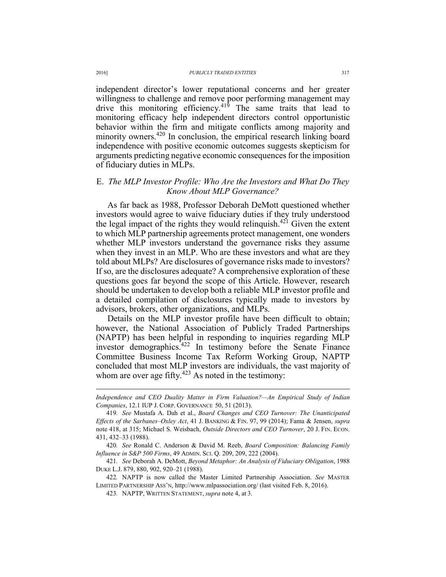independent director's lower reputational concerns and her greater willingness to challenge and remove poor performing management may drive this monitoring efficiency.<sup>419</sup> The same traits that lead to monitoring efficacy help independent directors control opportunistic behavior within the firm and mitigate conflicts among majority and minority owners.<sup>420</sup> In conclusion, the empirical research linking board independence with positive economic outcomes suggests skepticism for arguments predicting negative economic consequences for the imposition of fiduciary duties in MLPs.

## E. *The MLP Investor Profile: Who Are the Investors and What Do They Know About MLP Governance?*

As far back as 1988, Professor Deborah DeMott questioned whether investors would agree to waive fiduciary duties if they truly understood the legal impact of the rights they would relinquish.<sup>421</sup> Given the extent to which MLP partnership agreements protect management, one wonders whether MLP investors understand the governance risks they assume when they invest in an MLP. Who are these investors and what are they told about MLPs? Are disclosures of governance risks made to investors? If so, are the disclosures adequate? A comprehensive exploration of these questions goes far beyond the scope of this Article. However, research should be undertaken to develop both a reliable MLP investor profile and a detailed compilation of disclosures typically made to investors by advisors, brokers, other organizations, and MLPs.

Details on the MLP investor profile have been difficult to obtain; however, the National Association of Publicly Traded Partnerships (NAPTP) has been helpful in responding to inquiries regarding MLP investor demographics.<sup>422</sup> In testimony before the Senate Finance Committee Business Income Tax Reform Working Group, NAPTP concluded that most MLP investors are individuals, the vast majority of whom are over age fifty.<sup>423</sup> As noted in the testimony:

*Independence and CEO Duality Matter in Firm Valuation?—An Empirical Study of Indian Companies*, 12.1 IUP J. CORP. GOVERNANCE 50, 51 (2013).

<sup>419</sup>*. See* Mustafa A. Dah et al., *Board Changes and CEO Turnover: The Unanticipated Effects of the Sarbanes–Oxley Act*, 41 J. BANKING & FIN. 97, 99 (2014); Fama & Jensen, *supra* note 418, at 315; Michael S. Weisbach, *Outside Directors and CEO Turnover*, 20 J. FIN. ECON. 431, 432–33 (1988).

<sup>420</sup>*. See* Ronald C. Anderson & David M. Reeb, *Board Composition: Balancing Family Influence in S&P 500 Firms*, 49 ADMIN. SCI. Q. 209, 209, 222 (2004).

<sup>421</sup>*. See* Deborah A. DeMott, *Beyond Metaphor: An Analysis of Fiduciary Obligation*, 1988 DUKE L.J. 879, 880, 902, 920–21 (1988).

<sup>422</sup>*.* NAPTP is now called the Master Limited Partnership Association. *See* MASTER LIMITED PARTNERSHIP ASS'N, http://www.mlpassociation.org/ (last visited Feb. 8, 2016).

<sup>423</sup>*.* NAPTP, WRITTEN STATEMENT, *supra* note 4, at 3.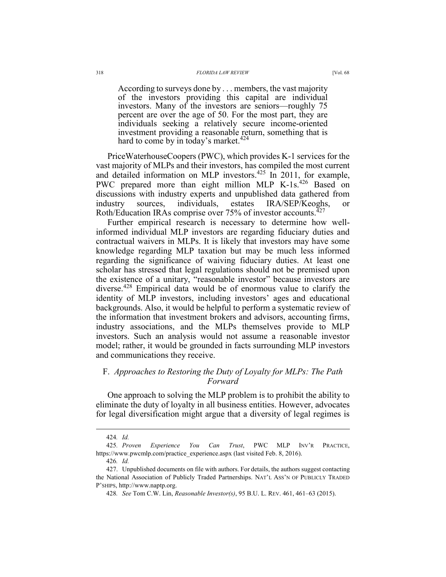According to surveys done by . . . members, the vast majority of the investors providing this capital are individual investors. Many of the investors are seniors—roughly 75 percent are over the age of 50. For the most part, they are individuals seeking a relatively secure income-oriented investment providing a reasonable return, something that is hard to come by in today's market. $424$ 

PriceWaterhouseCoopers (PWC), which provides K-1 services for the vast majority of MLPs and their investors, has compiled the most current and detailed information on MLP investors.425 In 2011, for example, PWC prepared more than eight million MLP K-1s.<sup>426</sup> Based on discussions with industry experts and unpublished data gathered from industry sources, individuals, estates IRA/SEP/Keoghs, or Roth/Education IRAs comprise over 75% of investor accounts.<sup>427</sup>

Further empirical research is necessary to determine how wellinformed individual MLP investors are regarding fiduciary duties and contractual waivers in MLPs. It is likely that investors may have some knowledge regarding MLP taxation but may be much less informed regarding the significance of waiving fiduciary duties. At least one scholar has stressed that legal regulations should not be premised upon the existence of a unitary, "reasonable investor" because investors are diverse.428 Empirical data would be of enormous value to clarify the identity of MLP investors, including investors' ages and educational backgrounds. Also, it would be helpful to perform a systematic review of the information that investment brokers and advisors, accounting firms, industry associations, and the MLPs themselves provide to MLP investors. Such an analysis would not assume a reasonable investor model; rather, it would be grounded in facts surrounding MLP investors and communications they receive.

## F. *Approaches to Restoring the Duty of Loyalty for MLPs: The Path Forward*

One approach to solving the MLP problem is to prohibit the ability to eliminate the duty of loyalty in all business entities. However, advocates for legal diversification might argue that a diversity of legal regimes is

 <sup>424</sup>*. Id.*

<sup>425</sup>*. Proven Experience You Can Trust*, PWC MLP INV'R PRACTICE, https://www.pwcmlp.com/practice\_experience.aspx (last visited Feb. 8, 2016).

<sup>426</sup>*. Id.*

 <sup>427.</sup> Unpublished documents on file with authors. For details, the authors suggest contacting the National Association of Publicly Traded Partnerships. NAT'L ASS'N OF PUBLICLY TRADED P'SHIPS, http://www.naptp.org.

<sup>428</sup>*. See* Tom C.W. Lin, *Reasonable Investor(s)*, 95 B.U. L. REV. 461, 461–63 (2015).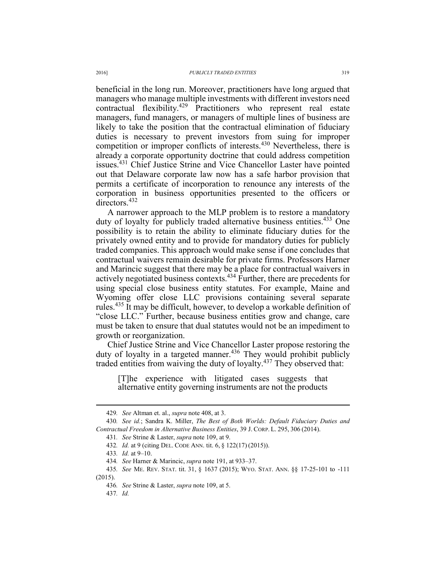beneficial in the long run. Moreover, practitioners have long argued that managers who manage multiple investments with different investors need contractual flexibility.429 Practitioners who represent real estate managers, fund managers, or managers of multiple lines of business are likely to take the position that the contractual elimination of fiduciary duties is necessary to prevent investors from suing for improper competition or improper conflicts of interests.<sup>430</sup> Nevertheless, there is already a corporate opportunity doctrine that could address competition issues.<sup>431</sup> Chief Justice Strine and Vice Chancellor Laster have pointed out that Delaware corporate law now has a safe harbor provision that permits a certificate of incorporation to renounce any interests of the corporation in business opportunities presented to the officers or directors.<sup>432</sup>

A narrower approach to the MLP problem is to restore a mandatory duty of loyalty for publicly traded alternative business entities.<sup>433</sup> One possibility is to retain the ability to eliminate fiduciary duties for the privately owned entity and to provide for mandatory duties for publicly traded companies. This approach would make sense if one concludes that contractual waivers remain desirable for private firms. Professors Harner and Marincic suggest that there may be a place for contractual waivers in actively negotiated business contexts.434 Further, there are precedents for using special close business entity statutes. For example, Maine and Wyoming offer close LLC provisions containing several separate rules.435 It may be difficult, however, to develop a workable definition of "close LLC." Further, because business entities grow and change, care must be taken to ensure that dual statutes would not be an impediment to growth or reorganization.

Chief Justice Strine and Vice Chancellor Laster propose restoring the duty of loyalty in a targeted manner.<sup>436</sup> They would prohibit publicly traded entities from waiving the duty of loyalty.<sup>437</sup> They observed that:

[T]he experience with litigated cases suggests that alternative entity governing instruments are not the products

437*. Id.*

 <sup>429</sup>*. See* Altman et. al., *supra* note 408, at 3.

<sup>430</sup>*. See id.*; Sandra K. Miller, *The Best of Both Worlds: Default Fiduciary Duties and Contractual Freedom in Alternative Business Entities*, 39 J. CORP. L. 295, 306 (2014).

<sup>431</sup>*. See* Strine & Laster, *supra* note 109, at 9.

<sup>432</sup>*. Id.* at 9 (citing DEL. CODE ANN. tit. 6, § 122(17) (2015)).

<sup>433</sup>*. Id.* at 9–10.

<sup>434</sup>*. See* Harner & Marincic, *supra* note 191, at 933–37.

<sup>435</sup>*. See* ME. REV. STAT. tit. 31, § 1637 (2015); WYO. STAT. ANN. §§ 17-25-101 to -111 (2015).

<sup>436</sup>*. See* Strine & Laster, *supra* note 109, at 5.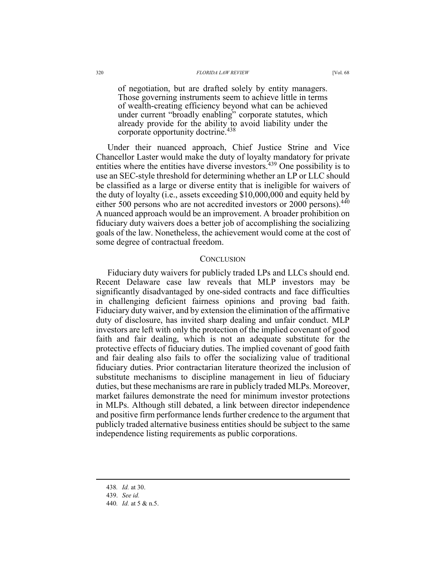of negotiation, but are drafted solely by entity managers. Those governing instruments seem to achieve little in terms of wealth-creating efficiency beyond what can be achieved under current "broadly enabling" corporate statutes, which already provide for the ability to avoid liability under the corporate opportunity doctrine.<sup>438</sup>

Under their nuanced approach, Chief Justice Strine and Vice Chancellor Laster would make the duty of loyalty mandatory for private entities where the entities have diverse investors.<sup>439</sup> One possibility is to use an SEC-style threshold for determining whether an LP or LLC should be classified as a large or diverse entity that is ineligible for waivers of the duty of loyalty (i.e., assets exceeding \$10,000,000 and equity held by either 500 persons who are not accredited investors or 2000 persons).<sup>440</sup> A nuanced approach would be an improvement. A broader prohibition on fiduciary duty waivers does a better job of accomplishing the socializing goals of the law. Nonetheless, the achievement would come at the cost of some degree of contractual freedom.

#### **CONCLUSION**

Fiduciary duty waivers for publicly traded LPs and LLCs should end. Recent Delaware case law reveals that MLP investors may be significantly disadvantaged by one-sided contracts and face difficulties in challenging deficient fairness opinions and proving bad faith. Fiduciary duty waiver, and by extension the elimination of the affirmative duty of disclosure, has invited sharp dealing and unfair conduct. MLP investors are left with only the protection of the implied covenant of good faith and fair dealing, which is not an adequate substitute for the protective effects of fiduciary duties. The implied covenant of good faith and fair dealing also fails to offer the socializing value of traditional fiduciary duties. Prior contractarian literature theorized the inclusion of substitute mechanisms to discipline management in lieu of fiduciary duties, but these mechanisms are rare in publicly traded MLPs. Moreover, market failures demonstrate the need for minimum investor protections in MLPs. Although still debated, a link between director independence and positive firm performance lends further credence to the argument that publicly traded alternative business entities should be subject to the same independence listing requirements as public corporations.

 <sup>438</sup>*. Id.* at 30.

 <sup>439.</sup> *See id.*

<sup>440</sup>*. Id.* at 5 & n.5.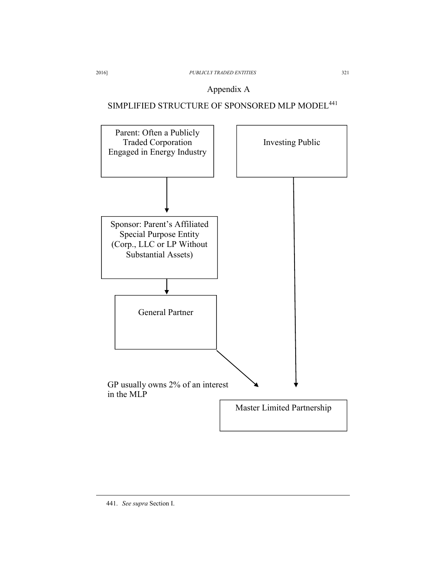## Appendix A

# SIMPLIFIED STRUCTURE OF SPONSORED MLP MODEL<sup>441</sup>